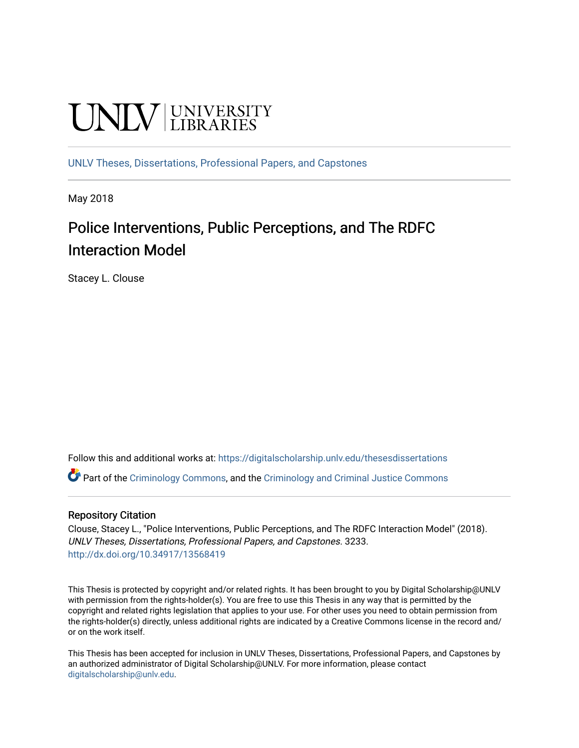# **UNIVERSITY**

[UNLV Theses, Dissertations, Professional Papers, and Capstones](https://digitalscholarship.unlv.edu/thesesdissertations)

May 2018

# Police Interventions, Public Perceptions, and The RDFC Interaction Model

Stacey L. Clouse

Follow this and additional works at: [https://digitalscholarship.unlv.edu/thesesdissertations](https://digitalscholarship.unlv.edu/thesesdissertations?utm_source=digitalscholarship.unlv.edu%2Fthesesdissertations%2F3233&utm_medium=PDF&utm_campaign=PDFCoverPages)

Part of the [Criminology Commons](http://network.bepress.com/hgg/discipline/417?utm_source=digitalscholarship.unlv.edu%2Fthesesdissertations%2F3233&utm_medium=PDF&utm_campaign=PDFCoverPages), and the [Criminology and Criminal Justice Commons](http://network.bepress.com/hgg/discipline/367?utm_source=digitalscholarship.unlv.edu%2Fthesesdissertations%2F3233&utm_medium=PDF&utm_campaign=PDFCoverPages)

#### Repository Citation

Clouse, Stacey L., "Police Interventions, Public Perceptions, and The RDFC Interaction Model" (2018). UNLV Theses, Dissertations, Professional Papers, and Capstones. 3233. <http://dx.doi.org/10.34917/13568419>

This Thesis is protected by copyright and/or related rights. It has been brought to you by Digital Scholarship@UNLV with permission from the rights-holder(s). You are free to use this Thesis in any way that is permitted by the copyright and related rights legislation that applies to your use. For other uses you need to obtain permission from the rights-holder(s) directly, unless additional rights are indicated by a Creative Commons license in the record and/ or on the work itself.

This Thesis has been accepted for inclusion in UNLV Theses, Dissertations, Professional Papers, and Capstones by an authorized administrator of Digital Scholarship@UNLV. For more information, please contact [digitalscholarship@unlv.edu](mailto:digitalscholarship@unlv.edu).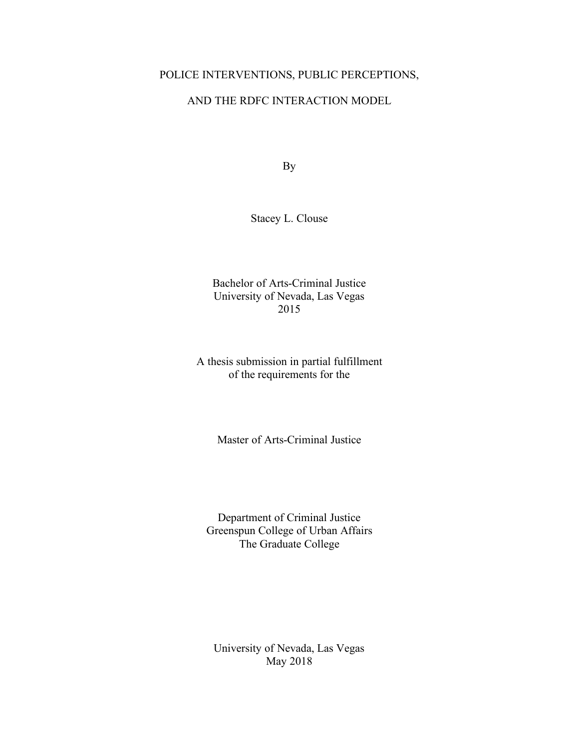### POLICE INTERVENTIONS, PUBLIC PERCEPTIONS,

### AND THE RDFC INTERACTION MODEL

By

Stacey L. Clouse

Bachelor of Arts-Criminal Justice University of Nevada, Las Vegas 2015

A thesis submission in partial fulfillment of the requirements for the

Master of Arts-Criminal Justice

Department of Criminal Justice Greenspun College of Urban Affairs The Graduate College

University of Nevada, Las Vegas May 2018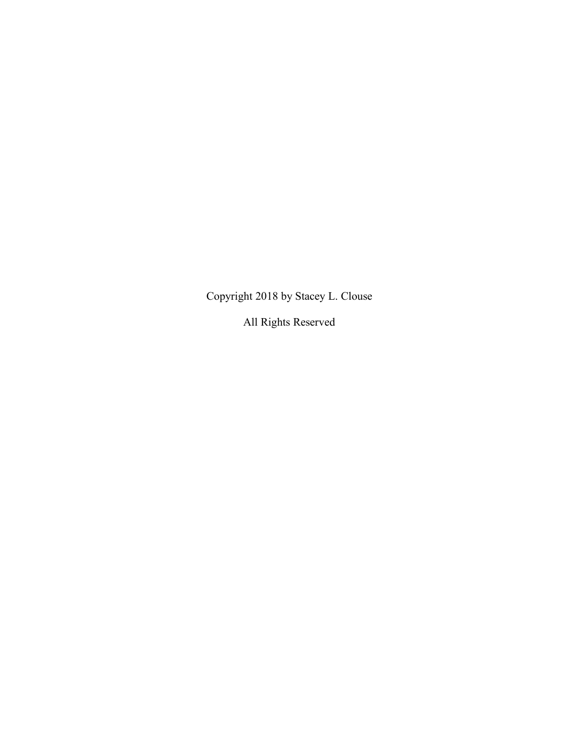Copyright 2018 by Stacey L. Clouse

All Rights Reserved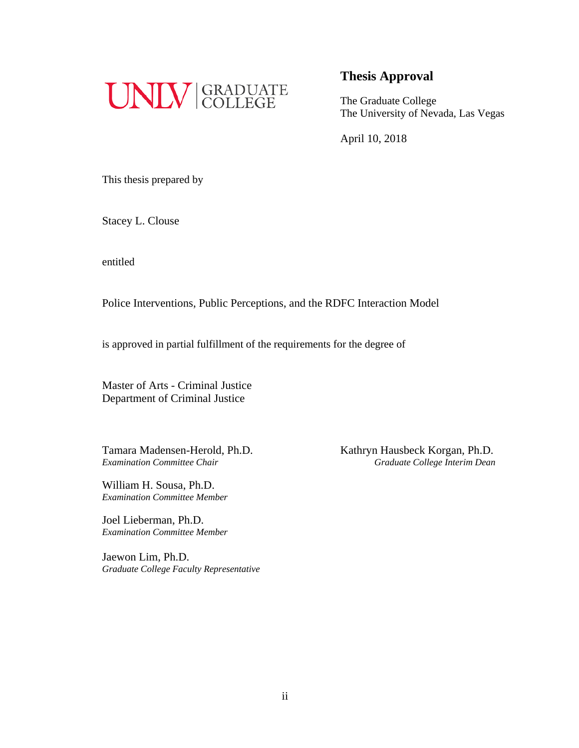

The Graduate College The University of Nevada, Las Vegas

April 10, 2018

This thesis prepared by

Stacey L. Clouse

entitled

Police Interventions, Public Perceptions, and the RDFC Interaction Model

is approved in partial fulfillment of the requirements for the degree of

Master of Arts - Criminal Justice Department of Criminal Justice

William H. Sousa, Ph.D. *Examination Committee Member*

Joel Lieberman, Ph.D. *Examination Committee Member*

Jaewon Lim, Ph.D. *Graduate College Faculty Representative*

Tamara Madensen-Herold, Ph.D.<br>
Examination Committee Chair<br>
Graduate College Interim Dean *Examination Committee Chair Graduate College Interim Dean*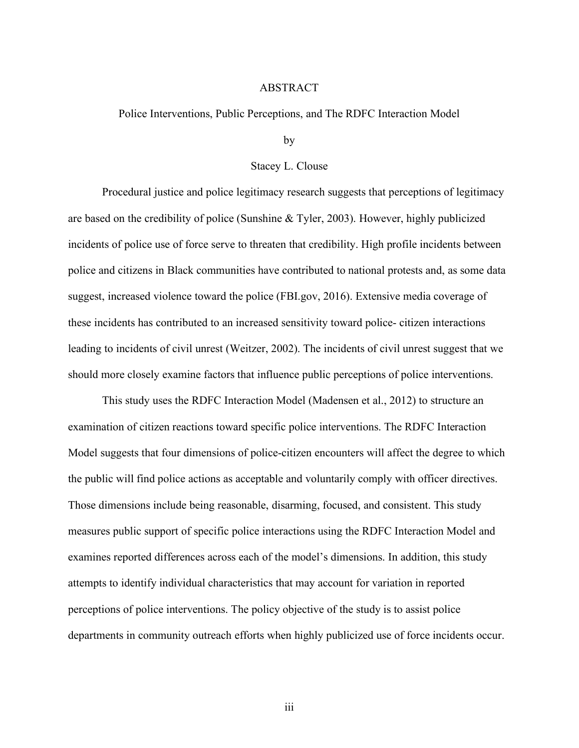#### ABSTRACT

#### Police Interventions, Public Perceptions, and The RDFC Interaction Model

by

#### Stacey L. Clouse

Procedural justice and police legitimacy research suggests that perceptions of legitimacy are based on the credibility of police (Sunshine & Tyler, 2003). However, highly publicized incidents of police use of force serve to threaten that credibility. High profile incidents between police and citizens in Black communities have contributed to national protests and, as some data suggest, increased violence toward the police (FBI.gov, 2016). Extensive media coverage of these incidents has contributed to an increased sensitivity toward police- citizen interactions leading to incidents of civil unrest (Weitzer, 2002). The incidents of civil unrest suggest that we should more closely examine factors that influence public perceptions of police interventions.

This study uses the RDFC Interaction Model (Madensen et al., 2012) to structure an examination of citizen reactions toward specific police interventions. The RDFC Interaction Model suggests that four dimensions of police-citizen encounters will affect the degree to which the public will find police actions as acceptable and voluntarily comply with officer directives. Those dimensions include being reasonable, disarming, focused, and consistent. This study measures public support of specific police interactions using the RDFC Interaction Model and examines reported differences across each of the model's dimensions. In addition, this study attempts to identify individual characteristics that may account for variation in reported perceptions of police interventions. The policy objective of the study is to assist police departments in community outreach efforts when highly publicized use of force incidents occur.

iii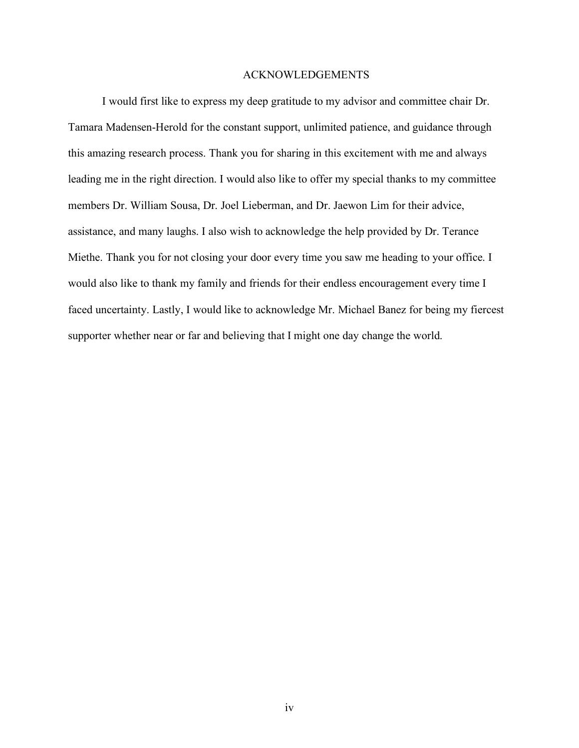#### ACKNOWLEDGEMENTS

I would first like to express my deep gratitude to my advisor and committee chair Dr. Tamara Madensen-Herold for the constant support, unlimited patience, and guidance through this amazing research process. Thank you for sharing in this excitement with me and always leading me in the right direction. I would also like to offer my special thanks to my committee members Dr. William Sousa, Dr. Joel Lieberman, and Dr. Jaewon Lim for their advice, assistance, and many laughs. I also wish to acknowledge the help provided by Dr. Terance Miethe. Thank you for not closing your door every time you saw me heading to your office. I would also like to thank my family and friends for their endless encouragement every time I faced uncertainty. Lastly, I would like to acknowledge Mr. Michael Banez for being my fiercest supporter whether near or far and believing that I might one day change the world.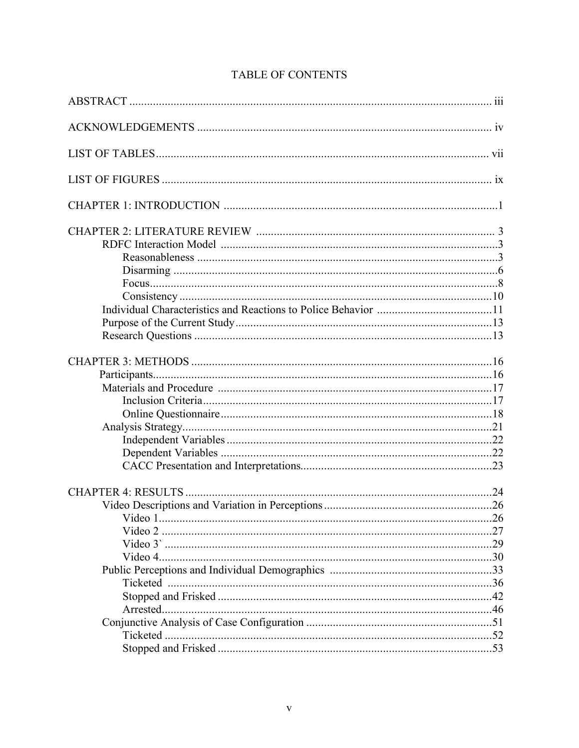# TABLE OF CONTENTS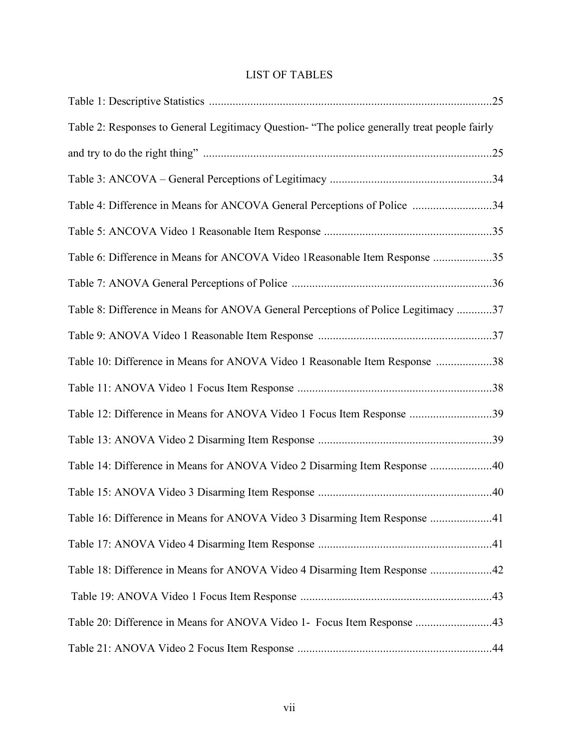# LIST OF TABLES

| Table 2: Responses to General Legitimacy Question- "The police generally treat people fairly |  |
|----------------------------------------------------------------------------------------------|--|
|                                                                                              |  |
|                                                                                              |  |
| Table 4: Difference in Means for ANCOVA General Perceptions of Police 34                     |  |
|                                                                                              |  |
| Table 6: Difference in Means for ANCOVA Video 1 Reasonable Item Response 35                  |  |
|                                                                                              |  |
| Table 8: Difference in Means for ANOVA General Perceptions of Police Legitimacy 37           |  |
|                                                                                              |  |
| Table 10: Difference in Means for ANOVA Video 1 Reasonable Item Response 38                  |  |
|                                                                                              |  |
| Table 12: Difference in Means for ANOVA Video 1 Focus Item Response 39                       |  |
|                                                                                              |  |
| Table 14: Difference in Means for ANOVA Video 2 Disarming Item Response 40                   |  |
|                                                                                              |  |
| Table 16: Difference in Means for ANOVA Video 3 Disarming Item Response 41                   |  |
|                                                                                              |  |
| Table 18: Difference in Means for ANOVA Video 4 Disarming Item Response 42                   |  |
|                                                                                              |  |
| Table 20: Difference in Means for ANOVA Video 1- Focus Item Response 43                      |  |
|                                                                                              |  |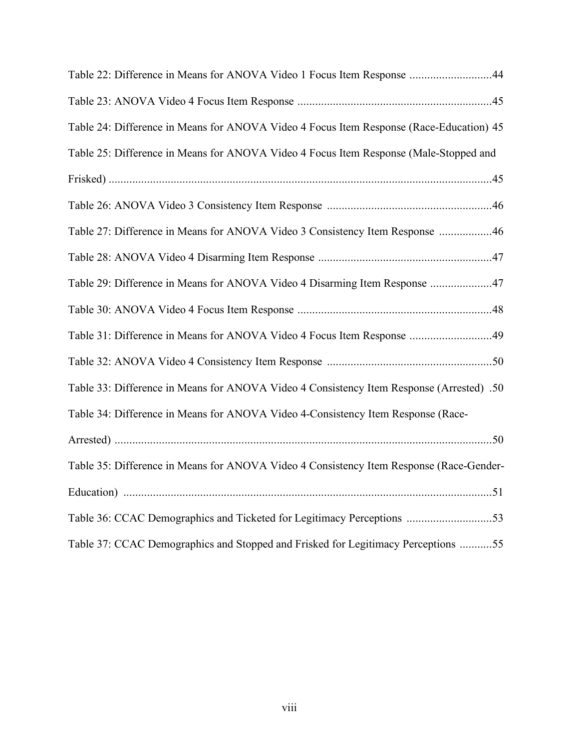| Table 22: Difference in Means for ANOVA Video 1 Focus Item Response 44                   |
|------------------------------------------------------------------------------------------|
|                                                                                          |
| Table 24: Difference in Means for ANOVA Video 4 Focus Item Response (Race-Education) 45  |
| Table 25: Difference in Means for ANOVA Video 4 Focus Item Response (Male-Stopped and    |
|                                                                                          |
|                                                                                          |
| Table 27: Difference in Means for ANOVA Video 3 Consistency Item Response 46             |
|                                                                                          |
| Table 29: Difference in Means for ANOVA Video 4 Disarming Item Response 47               |
|                                                                                          |
| Table 31: Difference in Means for ANOVA Video 4 Focus Item Response 49                   |
|                                                                                          |
| Table 33: Difference in Means for ANOVA Video 4 Consistency Item Response (Arrested) .50 |
| Table 34: Difference in Means for ANOVA Video 4-Consistency Item Response (Race-         |
|                                                                                          |
| Table 35: Difference in Means for ANOVA Video 4 Consistency Item Response (Race-Gender-  |
|                                                                                          |
| Table 36: CCAC Demographics and Ticketed for Legitimacy Perceptions 53                   |
| Table 37: CCAC Demographics and Stopped and Frisked for Legitimacy Perceptions 55        |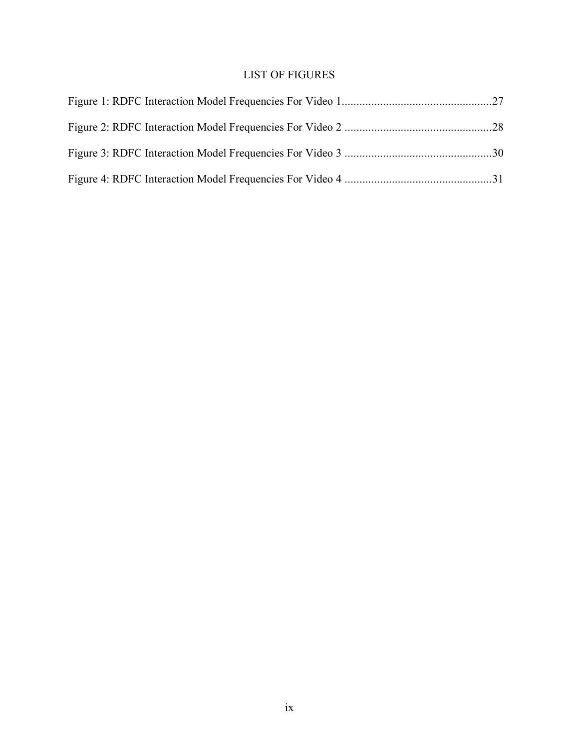# LIST OF FIGURES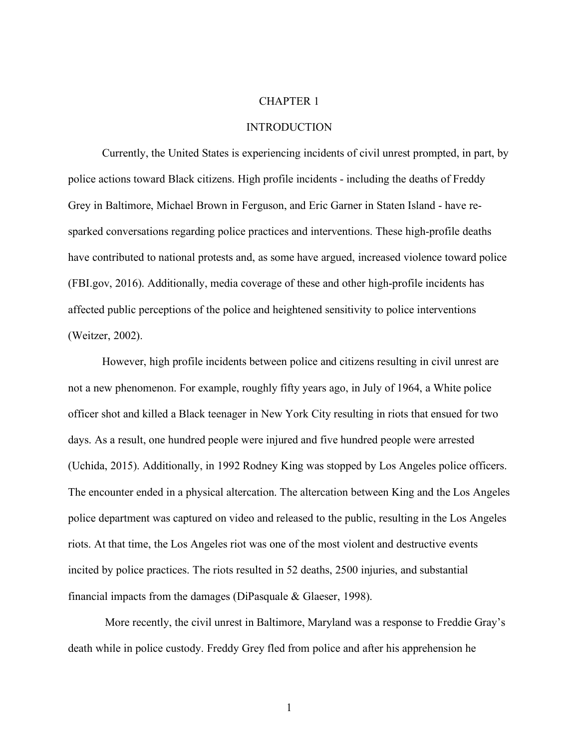#### CHAPTER 1

#### INTRODUCTION

Currently, the United States is experiencing incidents of civil unrest prompted, in part, by police actions toward Black citizens. High profile incidents - including the deaths of Freddy Grey in Baltimore, Michael Brown in Ferguson, and Eric Garner in Staten Island - have resparked conversations regarding police practices and interventions. These high-profile deaths have contributed to national protests and, as some have argued, increased violence toward police (FBI.gov, 2016). Additionally, media coverage of these and other high-profile incidents has affected public perceptions of the police and heightened sensitivity to police interventions (Weitzer, 2002).

However, high profile incidents between police and citizens resulting in civil unrest are not a new phenomenon. For example, roughly fifty years ago, in July of 1964, a White police officer shot and killed a Black teenager in New York City resulting in riots that ensued for two days. As a result, one hundred people were injured and five hundred people were arrested (Uchida, 2015). Additionally, in 1992 Rodney King was stopped by Los Angeles police officers. The encounter ended in a physical altercation. The altercation between King and the Los Angeles police department was captured on video and released to the public, resulting in the Los Angeles riots. At that time, the Los Angeles riot was one of the most violent and destructive events incited by police practices. The riots resulted in 52 deaths, 2500 injuries, and substantial financial impacts from the damages (DiPasquale & Glaeser, 1998).

More recently, the civil unrest in Baltimore, Maryland was a response to Freddie Gray's death while in police custody. Freddy Grey fled from police and after his apprehension he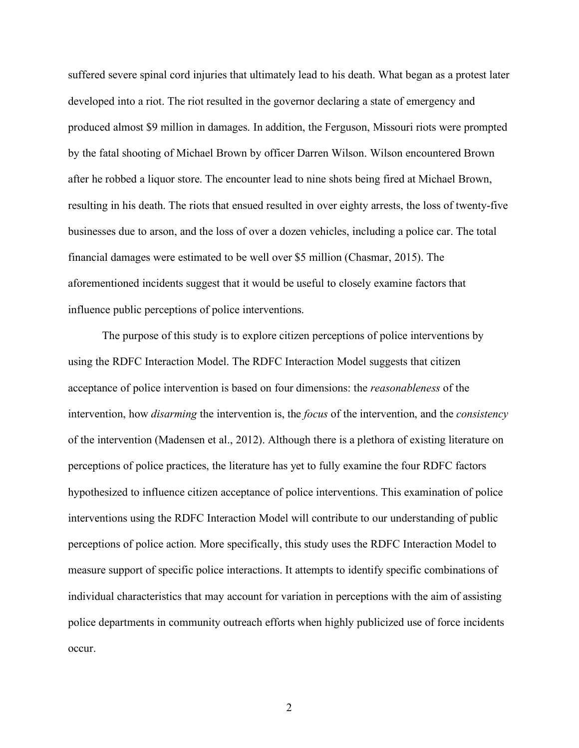suffered severe spinal cord injuries that ultimately lead to his death. What began as a protest later developed into a riot. The riot resulted in the governor declaring a state of emergency and produced almost \$9 million in damages. In addition, the Ferguson, Missouri riots were prompted by the fatal shooting of Michael Brown by officer Darren Wilson. Wilson encountered Brown after he robbed a liquor store. The encounter lead to nine shots being fired at Michael Brown, resulting in his death. The riots that ensued resulted in over eighty arrests, the loss of twenty-five businesses due to arson, and the loss of over a dozen vehicles, including a police car. The total financial damages were estimated to be well over \$5 million (Chasmar, 2015). The aforementioned incidents suggest that it would be useful to closely examine factors that influence public perceptions of police interventions.

The purpose of this study is to explore citizen perceptions of police interventions by using the RDFC Interaction Model. The RDFC Interaction Model suggests that citizen acceptance of police intervention is based on four dimensions: the *reasonableness* of the intervention, how *disarming* the intervention is, the *focus* of the intervention, and the *consistency*  of the intervention (Madensen et al., 2012). Although there is a plethora of existing literature on perceptions of police practices, the literature has yet to fully examine the four RDFC factors hypothesized to influence citizen acceptance of police interventions. This examination of police interventions using the RDFC Interaction Model will contribute to our understanding of public perceptions of police action. More specifically, this study uses the RDFC Interaction Model to measure support of specific police interactions. It attempts to identify specific combinations of individual characteristics that may account for variation in perceptions with the aim of assisting police departments in community outreach efforts when highly publicized use of force incidents occur.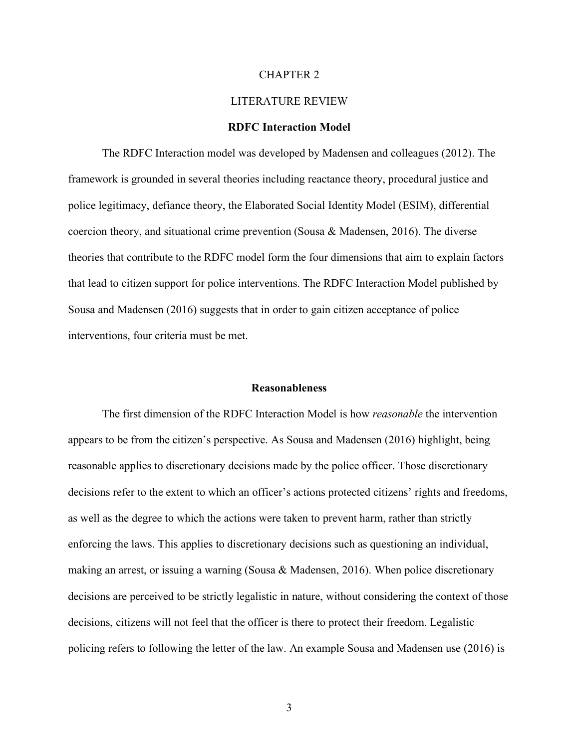#### CHAPTER 2

#### LITERATURE REVIEW

#### **RDFC Interaction Model**

The RDFC Interaction model was developed by Madensen and colleagues (2012). The framework is grounded in several theories including reactance theory, procedural justice and police legitimacy, defiance theory, the Elaborated Social Identity Model (ESIM), differential coercion theory, and situational crime prevention (Sousa & Madensen, 2016). The diverse theories that contribute to the RDFC model form the four dimensions that aim to explain factors that lead to citizen support for police interventions. The RDFC Interaction Model published by Sousa and Madensen (2016) suggests that in order to gain citizen acceptance of police interventions, four criteria must be met.

#### **Reasonableness**

The first dimension of the RDFC Interaction Model is how *reasonable* the intervention appears to be from the citizen's perspective. As Sousa and Madensen (2016) highlight, being reasonable applies to discretionary decisions made by the police officer. Those discretionary decisions refer to the extent to which an officer's actions protected citizens' rights and freedoms, as well as the degree to which the actions were taken to prevent harm, rather than strictly enforcing the laws. This applies to discretionary decisions such as questioning an individual, making an arrest, or issuing a warning (Sousa & Madensen, 2016). When police discretionary decisions are perceived to be strictly legalistic in nature, without considering the context of those decisions, citizens will not feel that the officer is there to protect their freedom. Legalistic policing refers to following the letter of the law. An example Sousa and Madensen use (2016) is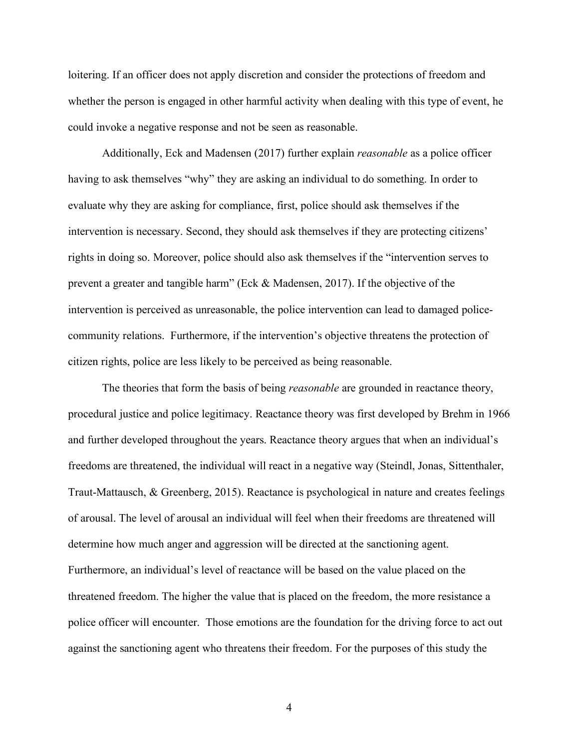loitering. If an officer does not apply discretion and consider the protections of freedom and whether the person is engaged in other harmful activity when dealing with this type of event, he could invoke a negative response and not be seen as reasonable.

Additionally, Eck and Madensen (2017) further explain *reasonable* as a police officer having to ask themselves "why" they are asking an individual to do something. In order to evaluate why they are asking for compliance, first, police should ask themselves if the intervention is necessary. Second, they should ask themselves if they are protecting citizens' rights in doing so. Moreover, police should also ask themselves if the "intervention serves to prevent a greater and tangible harm" (Eck & Madensen, 2017). If the objective of the intervention is perceived as unreasonable, the police intervention can lead to damaged policecommunity relations. Furthermore, if the intervention's objective threatens the protection of citizen rights, police are less likely to be perceived as being reasonable.

The theories that form the basis of being *reasonable* are grounded in reactance theory, procedural justice and police legitimacy. Reactance theory was first developed by Brehm in 1966 and further developed throughout the years. Reactance theory argues that when an individual's freedoms are threatened, the individual will react in a negative way (Steindl, Jonas, Sittenthaler, Traut-Mattausch, & Greenberg, 2015). Reactance is psychological in nature and creates feelings of arousal. The level of arousal an individual will feel when their freedoms are threatened will determine how much anger and aggression will be directed at the sanctioning agent. Furthermore, an individual's level of reactance will be based on the value placed on the threatened freedom. The higher the value that is placed on the freedom, the more resistance a police officer will encounter. Those emotions are the foundation for the driving force to act out against the sanctioning agent who threatens their freedom. For the purposes of this study the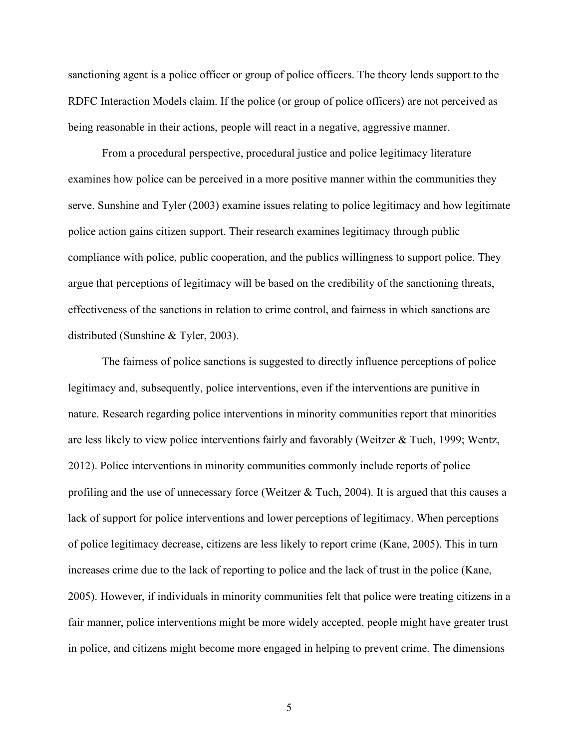sanctioning agent is a police officer or group of police officers. The theory lends support to the RDFC Interaction Models claim. If the police (or group of police officers) are not perceived as being reasonable in their actions, people will react in a negative, aggressive manner.

From a procedural perspective, procedural justice and police legitimacy literature examines how police can be perceived in a more positive manner within the communities they serve. Sunshine and Tyler (2003) examine issues relating to police legitimacy and how legitimate police action gains citizen support. Their research examines legitimacy through public compliance with police, public cooperation, and the publics willingness to support police. They argue that perceptions of legitimacy will be based on the credibility of the sanctioning threats, effectiveness of the sanctions in relation to crime control, and fairness in which sanctions are distributed (Sunshine & Tyler, 2003).

The fairness of police sanctions is suggested to directly influence perceptions of police legitimacy and, subsequently, police interventions, even if the interventions are punitive in nature. Research regarding police interventions in minority communities report that minorities are less likely to view police interventions fairly and favorably (Weitzer & Tuch, 1999; Wentz, 2012). Police interventions in minority communities commonly include reports of police profiling and the use of unnecessary force (Weitzer  $&$  Tuch, 2004). It is argued that this causes a lack of support for police interventions and lower perceptions of legitimacy. When perceptions of police legitimacy decrease, citizens are less likely to report crime (Kane, 2005). This in turn increases crime due to the lack of reporting to police and the lack of trust in the police (Kane, 2005). However, if individuals in minority communities felt that police were treating citizens in a fair manner, police interventions might be more widely accepted, people might have greater trust in police, and citizens might become more engaged in helping to prevent crime. The dimensions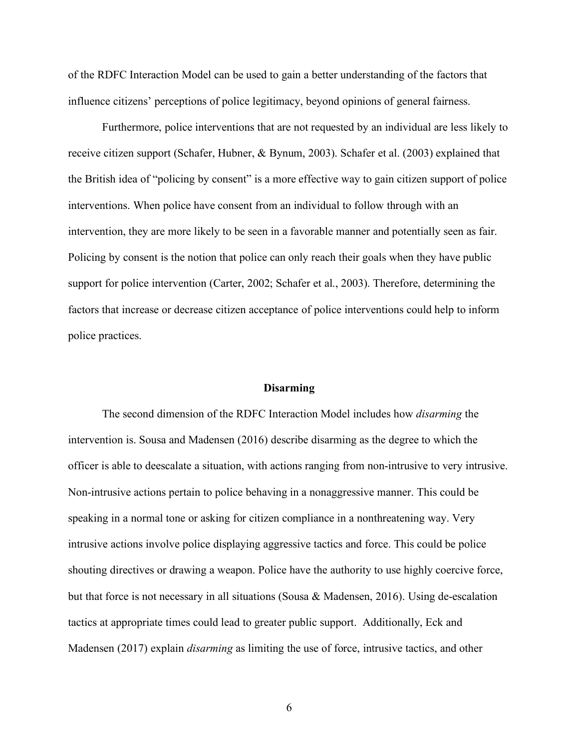of the RDFC Interaction Model can be used to gain a better understanding of the factors that influence citizens' perceptions of police legitimacy, beyond opinions of general fairness.

Furthermore, police interventions that are not requested by an individual are less likely to receive citizen support (Schafer, Hubner, & Bynum, 2003). Schafer et al. (2003) explained that the British idea of "policing by consent" is a more effective way to gain citizen support of police interventions. When police have consent from an individual to follow through with an intervention, they are more likely to be seen in a favorable manner and potentially seen as fair. Policing by consent is the notion that police can only reach their goals when they have public support for police intervention (Carter, 2002; Schafer et al., 2003). Therefore, determining the factors that increase or decrease citizen acceptance of police interventions could help to inform police practices.

#### **Disarming**

The second dimension of the RDFC Interaction Model includes how *disarming* the intervention is. Sousa and Madensen (2016) describe disarming as the degree to which the officer is able to deescalate a situation, with actions ranging from non-intrusive to very intrusive. Non-intrusive actions pertain to police behaving in a nonaggressive manner. This could be speaking in a normal tone or asking for citizen compliance in a nonthreatening way. Very intrusive actions involve police displaying aggressive tactics and force. This could be police shouting directives or drawing a weapon. Police have the authority to use highly coercive force, but that force is not necessary in all situations (Sousa & Madensen, 2016). Using de-escalation tactics at appropriate times could lead to greater public support. Additionally, Eck and Madensen (2017) explain *disarming* as limiting the use of force, intrusive tactics, and other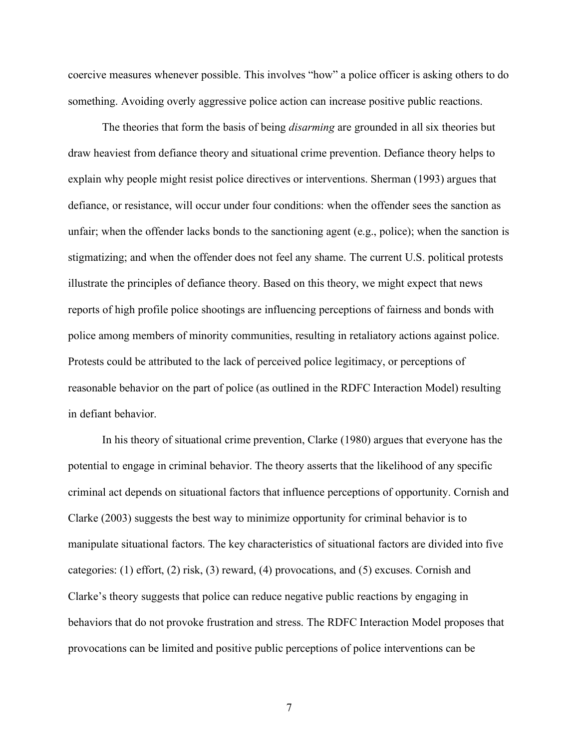coercive measures whenever possible. This involves "how" a police officer is asking others to do something. Avoiding overly aggressive police action can increase positive public reactions.

The theories that form the basis of being *disarming* are grounded in all six theories but draw heaviest from defiance theory and situational crime prevention. Defiance theory helps to explain why people might resist police directives or interventions. Sherman (1993) argues that defiance, or resistance, will occur under four conditions: when the offender sees the sanction as unfair; when the offender lacks bonds to the sanctioning agent (e.g., police); when the sanction is stigmatizing; and when the offender does not feel any shame. The current U.S. political protests illustrate the principles of defiance theory. Based on this theory, we might expect that news reports of high profile police shootings are influencing perceptions of fairness and bonds with police among members of minority communities, resulting in retaliatory actions against police. Protests could be attributed to the lack of perceived police legitimacy, or perceptions of reasonable behavior on the part of police (as outlined in the RDFC Interaction Model) resulting in defiant behavior.

In his theory of situational crime prevention, Clarke (1980) argues that everyone has the potential to engage in criminal behavior. The theory asserts that the likelihood of any specific criminal act depends on situational factors that influence perceptions of opportunity. Cornish and Clarke (2003) suggests the best way to minimize opportunity for criminal behavior is to manipulate situational factors. The key characteristics of situational factors are divided into five categories: (1) effort, (2) risk, (3) reward, (4) provocations, and (5) excuses. Cornish and Clarke's theory suggests that police can reduce negative public reactions by engaging in behaviors that do not provoke frustration and stress. The RDFC Interaction Model proposes that provocations can be limited and positive public perceptions of police interventions can be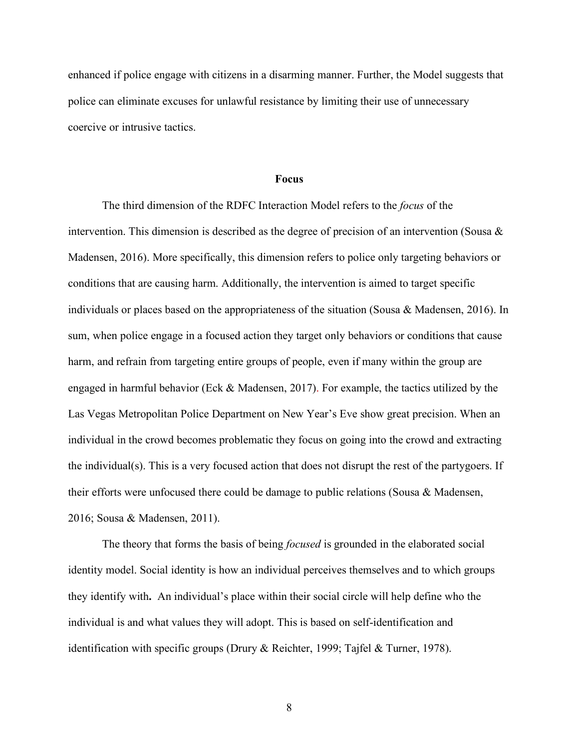enhanced if police engage with citizens in a disarming manner. Further, the Model suggests that police can eliminate excuses for unlawful resistance by limiting their use of unnecessary coercive or intrusive tactics.

#### **Focus**

The third dimension of the RDFC Interaction Model refers to the *focus* of the intervention. This dimension is described as the degree of precision of an intervention (Sousa  $\&$ Madensen, 2016). More specifically, this dimension refers to police only targeting behaviors or conditions that are causing harm. Additionally, the intervention is aimed to target specific individuals or places based on the appropriateness of the situation (Sousa & Madensen, 2016). In sum, when police engage in a focused action they target only behaviors or conditions that cause harm, and refrain from targeting entire groups of people, even if many within the group are engaged in harmful behavior (Eck & Madensen, 2017). For example, the tactics utilized by the Las Vegas Metropolitan Police Department on New Year's Eve show great precision. When an individual in the crowd becomes problematic they focus on going into the crowd and extracting the individual(s). This is a very focused action that does not disrupt the rest of the partygoers. If their efforts were unfocused there could be damage to public relations (Sousa & Madensen, 2016; Sousa & Madensen, 2011).

The theory that forms the basis of being *focused* is grounded in the elaborated social identity model. Social identity is how an individual perceives themselves and to which groups they identify with**.** An individual's place within their social circle will help define who the individual is and what values they will adopt. This is based on self-identification and identification with specific groups (Drury & Reichter, 1999; Tajfel & Turner, 1978).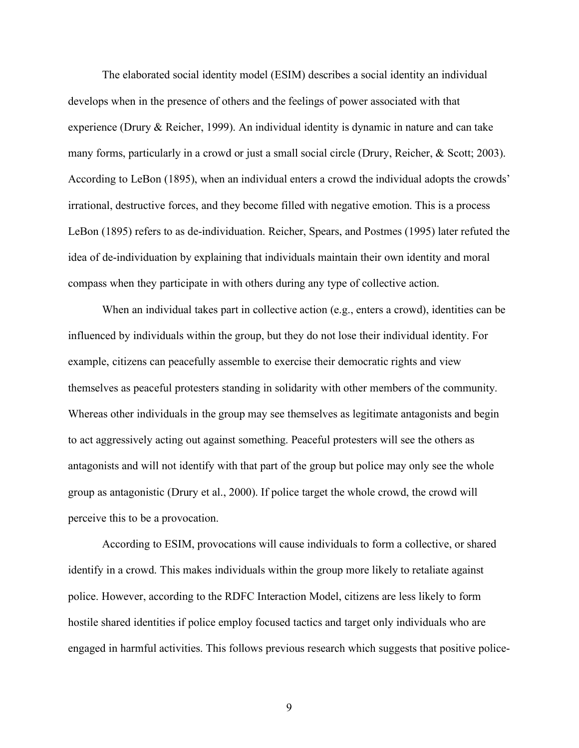The elaborated social identity model (ESIM) describes a social identity an individual develops when in the presence of others and the feelings of power associated with that experience (Drury & Reicher, 1999). An individual identity is dynamic in nature and can take many forms, particularly in a crowd or just a small social circle (Drury, Reicher, & Scott; 2003). According to LeBon (1895), when an individual enters a crowd the individual adopts the crowds' irrational, destructive forces, and they become filled with negative emotion. This is a process LeBon (1895) refers to as de-individuation. Reicher, Spears, and Postmes (1995) later refuted the idea of de-individuation by explaining that individuals maintain their own identity and moral compass when they participate in with others during any type of collective action.

When an individual takes part in collective action (e.g., enters a crowd), identities can be influenced by individuals within the group, but they do not lose their individual identity. For example, citizens can peacefully assemble to exercise their democratic rights and view themselves as peaceful protesters standing in solidarity with other members of the community. Whereas other individuals in the group may see themselves as legitimate antagonists and begin to act aggressively acting out against something. Peaceful protesters will see the others as antagonists and will not identify with that part of the group but police may only see the whole group as antagonistic (Drury et al., 2000). If police target the whole crowd, the crowd will perceive this to be a provocation.

According to ESIM, provocations will cause individuals to form a collective, or shared identify in a crowd. This makes individuals within the group more likely to retaliate against police. However, according to the RDFC Interaction Model, citizens are less likely to form hostile shared identities if police employ focused tactics and target only individuals who are engaged in harmful activities. This follows previous research which suggests that positive police-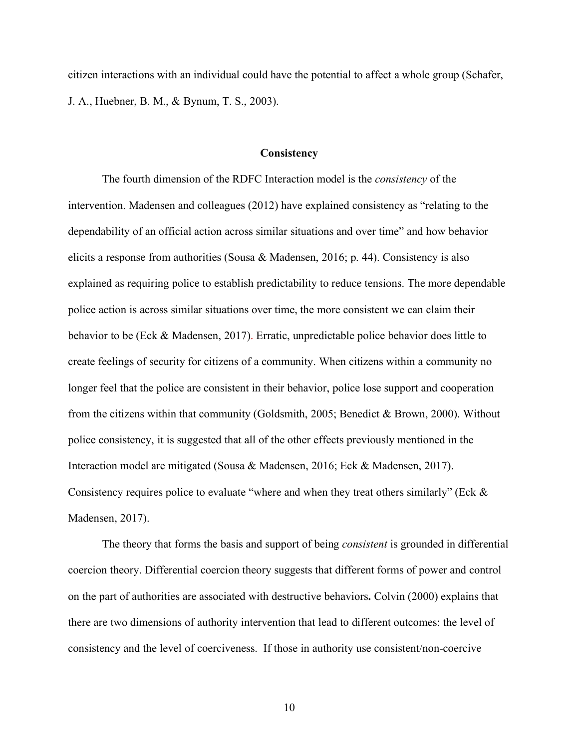citizen interactions with an individual could have the potential to affect a whole group (Schafer, J. A., Huebner, B. M., & Bynum, T. S., 2003).

#### **Consistency**

The fourth dimension of the RDFC Interaction model is the *consistency* of the intervention. Madensen and colleagues (2012) have explained consistency as "relating to the dependability of an official action across similar situations and over time" and how behavior elicits a response from authorities (Sousa & Madensen, 2016; p. 44). Consistency is also explained as requiring police to establish predictability to reduce tensions. The more dependable police action is across similar situations over time, the more consistent we can claim their behavior to be (Eck & Madensen, 2017). Erratic, unpredictable police behavior does little to create feelings of security for citizens of a community. When citizens within a community no longer feel that the police are consistent in their behavior, police lose support and cooperation from the citizens within that community (Goldsmith, 2005; Benedict & Brown, 2000). Without police consistency, it is suggested that all of the other effects previously mentioned in the Interaction model are mitigated (Sousa & Madensen, 2016; Eck & Madensen, 2017). Consistency requires police to evaluate "where and when they treat others similarly" (Eck & Madensen, 2017).

The theory that forms the basis and support of being *consistent* is grounded in differential coercion theory. Differential coercion theory suggests that different forms of power and control on the part of authorities are associated with destructive behaviors**.** Colvin (2000) explains that there are two dimensions of authority intervention that lead to different outcomes: the level of consistency and the level of coerciveness. If those in authority use consistent/non-coercive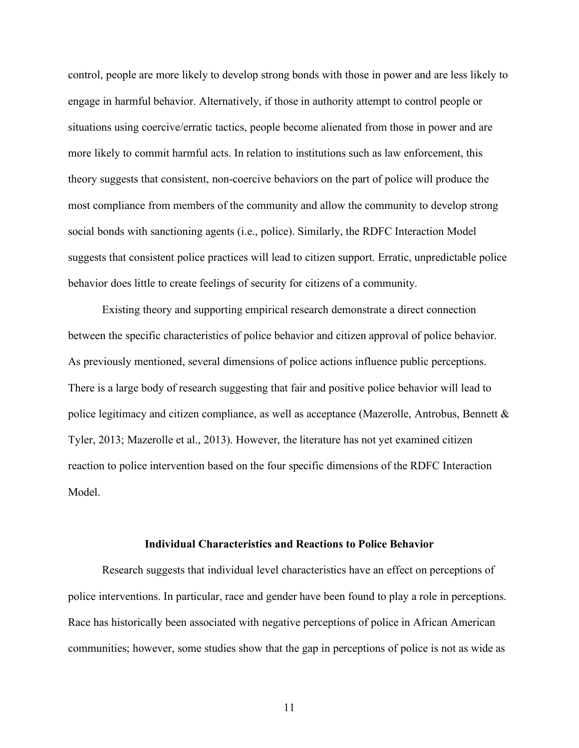control, people are more likely to develop strong bonds with those in power and are less likely to engage in harmful behavior. Alternatively, if those in authority attempt to control people or situations using coercive/erratic tactics, people become alienated from those in power and are more likely to commit harmful acts. In relation to institutions such as law enforcement, this theory suggests that consistent, non-coercive behaviors on the part of police will produce the most compliance from members of the community and allow the community to develop strong social bonds with sanctioning agents (i.e., police). Similarly, the RDFC Interaction Model suggests that consistent police practices will lead to citizen support. Erratic, unpredictable police behavior does little to create feelings of security for citizens of a community.

Existing theory and supporting empirical research demonstrate a direct connection between the specific characteristics of police behavior and citizen approval of police behavior. As previously mentioned, several dimensions of police actions influence public perceptions. There is a large body of research suggesting that fair and positive police behavior will lead to police legitimacy and citizen compliance, as well as acceptance (Mazerolle, Antrobus, Bennett & Tyler, 2013; Mazerolle et al., 2013). However, the literature has not yet examined citizen reaction to police intervention based on the four specific dimensions of the RDFC Interaction Model.

#### **Individual Characteristics and Reactions to Police Behavior**

Research suggests that individual level characteristics have an effect on perceptions of police interventions. In particular, race and gender have been found to play a role in perceptions. Race has historically been associated with negative perceptions of police in African American communities; however, some studies show that the gap in perceptions of police is not as wide as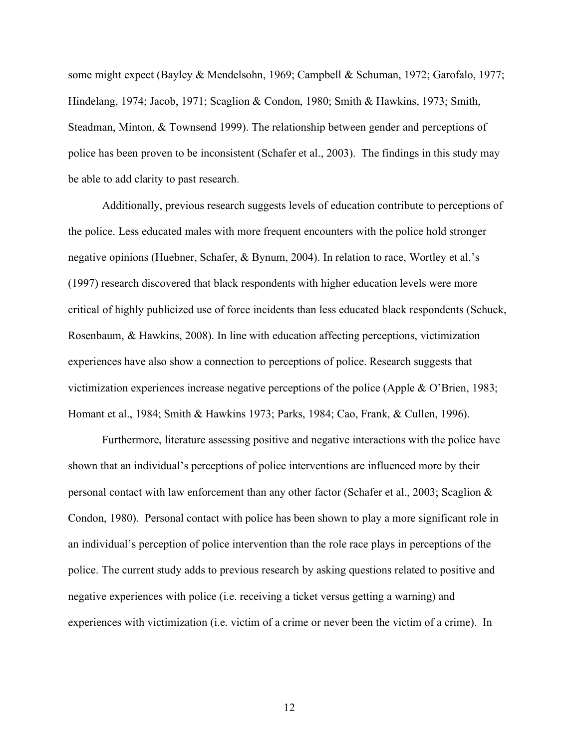some might expect (Bayley & Mendelsohn, 1969; Campbell & Schuman, 1972; Garofalo, 1977; Hindelang, 1974; Jacob, 1971; Scaglion & Condon, 1980; Smith & Hawkins, 1973; Smith, Steadman, Minton, & Townsend 1999). The relationship between gender and perceptions of police has been proven to be inconsistent (Schafer et al., 2003). The findings in this study may be able to add clarity to past research.

Additionally, previous research suggests levels of education contribute to perceptions of the police. Less educated males with more frequent encounters with the police hold stronger negative opinions (Huebner, Schafer, & Bynum, 2004). In relation to race, Wortley et al.'s (1997) research discovered that black respondents with higher education levels were more critical of highly publicized use of force incidents than less educated black respondents (Schuck, Rosenbaum, & Hawkins, 2008). In line with education affecting perceptions, victimization experiences have also show a connection to perceptions of police. Research suggests that victimization experiences increase negative perceptions of the police (Apple & O'Brien, 1983; Homant et al., 1984; Smith & Hawkins 1973; Parks, 1984; Cao, Frank, & Cullen, 1996).

Furthermore, literature assessing positive and negative interactions with the police have shown that an individual's perceptions of police interventions are influenced more by their personal contact with law enforcement than any other factor (Schafer et al., 2003; Scaglion  $\&$ Condon, 1980). Personal contact with police has been shown to play a more significant role in an individual's perception of police intervention than the role race plays in perceptions of the police. The current study adds to previous research by asking questions related to positive and negative experiences with police (i.e. receiving a ticket versus getting a warning) and experiences with victimization (i.e. victim of a crime or never been the victim of a crime). In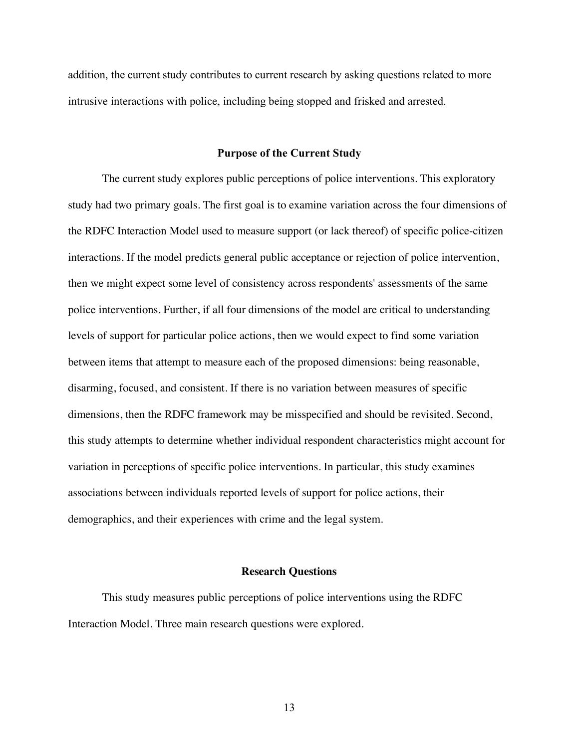addition, the current study contributes to current research by asking questions related to more intrusive interactions with police, including being stopped and frisked and arrested.

#### **Purpose of the Current Study**

The current study explores public perceptions of police interventions. This exploratory study had two primary goals. The first goal is to examine variation across the four dimensions of the RDFC Interaction Model used to measure support (or lack thereof) of specific police-citizen interactions. If the model predicts general public acceptance or rejection of police intervention, then we might expect some level of consistency across respondents' assessments of the same police interventions. Further, if all four dimensions of the model are critical to understanding levels of support for particular police actions, then we would expect to find some variation between items that attempt to measure each of the proposed dimensions: being reasonable, disarming, focused, and consistent. If there is no variation between measures of specific dimensions, then the RDFC framework may be misspecified and should be revisited. Second, this study attempts to determine whether individual respondent characteristics might account for variation in perceptions of specific police interventions. In particular, this study examines associations between individuals reported levels of support for police actions, their demographics, and their experiences with crime and the legal system.

#### **Research Questions**

This study measures public perceptions of police interventions using the RDFC Interaction Model. Three main research questions were explored.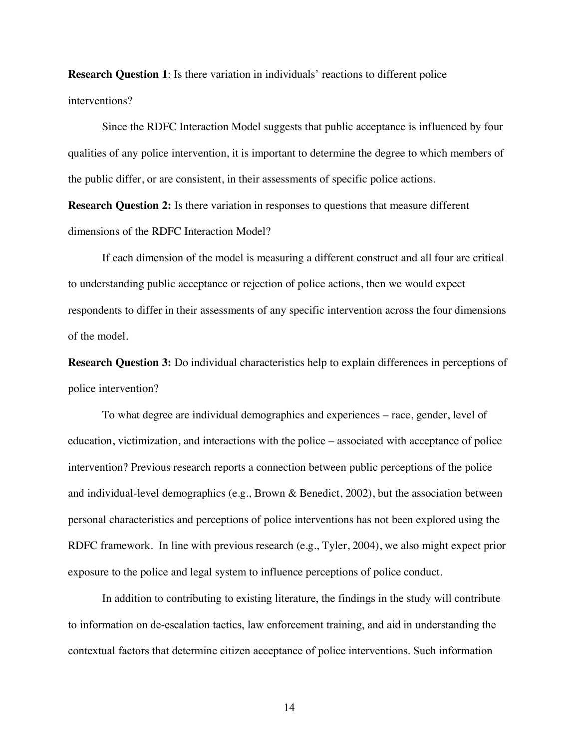**Research Question 1**: Is there variation in individuals' reactions to different police interventions?

Since the RDFC Interaction Model suggests that public acceptance is influenced by four qualities of any police intervention, it is important to determine the degree to which members of the public differ, or are consistent, in their assessments of specific police actions.

**Research Question 2:** Is there variation in responses to questions that measure different dimensions of the RDFC Interaction Model?

If each dimension of the model is measuring a different construct and all four are critical to understanding public acceptance or rejection of police actions, then we would expect respondents to differ in their assessments of any specific intervention across the four dimensions of the model.

**Research Question 3:** Do individual characteristics help to explain differences in perceptions of police intervention?

To what degree are individual demographics and experiences – race, gender, level of education, victimization, and interactions with the police – associated with acceptance of police intervention? Previous research reports a connection between public perceptions of the police and individual-level demographics (e.g., Brown & Benedict, 2002), but the association between personal characteristics and perceptions of police interventions has not been explored using the RDFC framework. In line with previous research (e.g., Tyler, 2004), we also might expect prior exposure to the police and legal system to influence perceptions of police conduct.

In addition to contributing to existing literature, the findings in the study will contribute to information on de-escalation tactics, law enforcement training, and aid in understanding the contextual factors that determine citizen acceptance of police interventions. Such information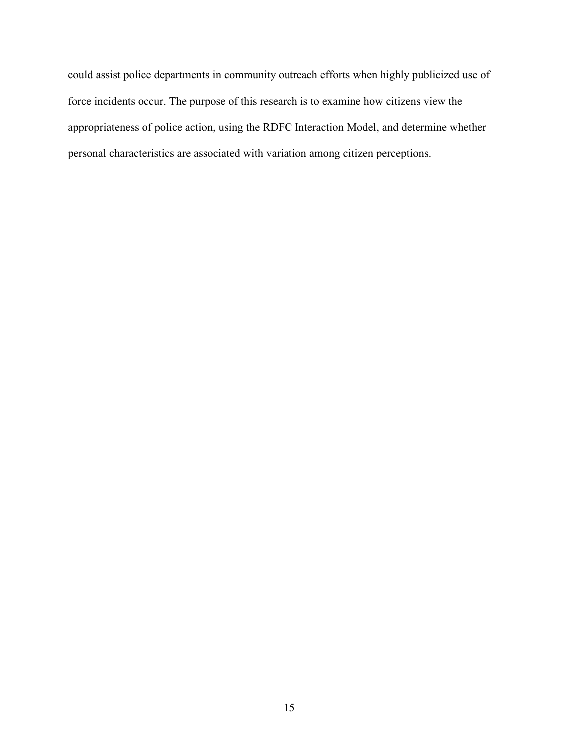could assist police departments in community outreach efforts when highly publicized use of force incidents occur. The purpose of this research is to examine how citizens view the appropriateness of police action, using the RDFC Interaction Model, and determine whether personal characteristics are associated with variation among citizen perceptions.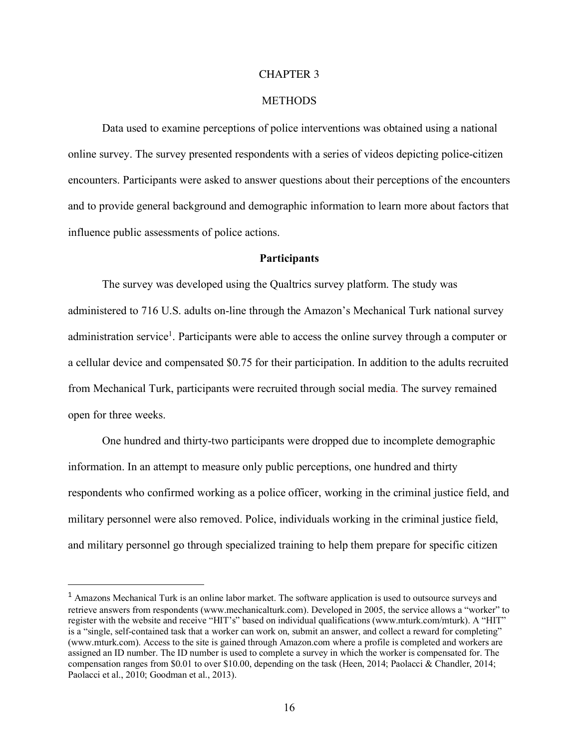#### CHAPTER 3

#### **METHODS**

Data used to examine perceptions of police interventions was obtained using a national online survey. The survey presented respondents with a series of videos depicting police-citizen encounters. Participants were asked to answer questions about their perceptions of the encounters and to provide general background and demographic information to learn more about factors that influence public assessments of police actions.

#### **Participants**

The survey was developed using the Qualtrics survey platform. The study was administered to 716 U.S. adults on-line through the Amazon's Mechanical Turk national survey administration service<sup>1</sup>. Participants were able to access the online survey through a computer or a cellular device and compensated \$0.75 for their participation. In addition to the adults recruited from Mechanical Turk, participants were recruited through social media. The survey remained open for three weeks.

One hundred and thirty-two participants were dropped due to incomplete demographic information. In an attempt to measure only public perceptions, one hundred and thirty respondents who confirmed working as a police officer, working in the criminal justice field, and military personnel were also removed. Police, individuals working in the criminal justice field, and military personnel go through specialized training to help them prepare for specific citizen

 <sup>1</sup> Amazons Mechanical Turk is an online labor market. The software application is used to outsource surveys and retrieve answers from respondents (www.mechanicalturk.com). Developed in 2005, the service allows a "worker" to register with the website and receive "HIT's" based on individual qualifications (www.mturk.com/mturk). A "HIT" is a "single, self-contained task that a worker can work on, submit an answer, and collect a reward for completing" (www.mturk.com). Access to the site is gained through Amazon.com where a profile is completed and workers are assigned an ID number. The ID number is used to complete a survey in which the worker is compensated for. The compensation ranges from \$0.01 to over \$10.00, depending on the task (Heen, 2014; Paolacci & Chandler, 2014; Paolacci et al., 2010; Goodman et al., 2013).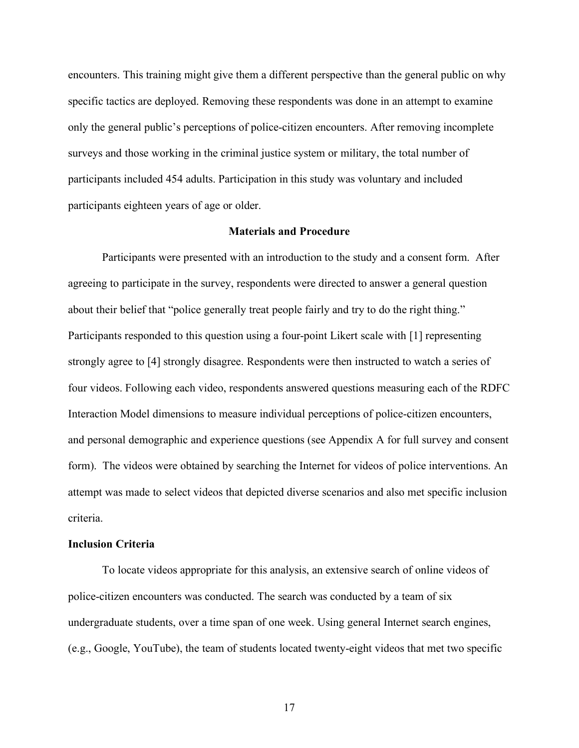encounters. This training might give them a different perspective than the general public on why specific tactics are deployed. Removing these respondents was done in an attempt to examine only the general public's perceptions of police-citizen encounters. After removing incomplete surveys and those working in the criminal justice system or military, the total number of participants included 454 adults. Participation in this study was voluntary and included participants eighteen years of age or older.

#### **Materials and Procedure**

Participants were presented with an introduction to the study and a consent form. After agreeing to participate in the survey, respondents were directed to answer a general question about their belief that "police generally treat people fairly and try to do the right thing." Participants responded to this question using a four-point Likert scale with [1] representing strongly agree to [4] strongly disagree. Respondents were then instructed to watch a series of four videos. Following each video, respondents answered questions measuring each of the RDFC Interaction Model dimensions to measure individual perceptions of police-citizen encounters, and personal demographic and experience questions (see Appendix A for full survey and consent form). The videos were obtained by searching the Internet for videos of police interventions. An attempt was made to select videos that depicted diverse scenarios and also met specific inclusion criteria.

#### **Inclusion Criteria**

To locate videos appropriate for this analysis, an extensive search of online videos of police-citizen encounters was conducted. The search was conducted by a team of six undergraduate students, over a time span of one week. Using general Internet search engines, (e.g., Google, YouTube), the team of students located twenty-eight videos that met two specific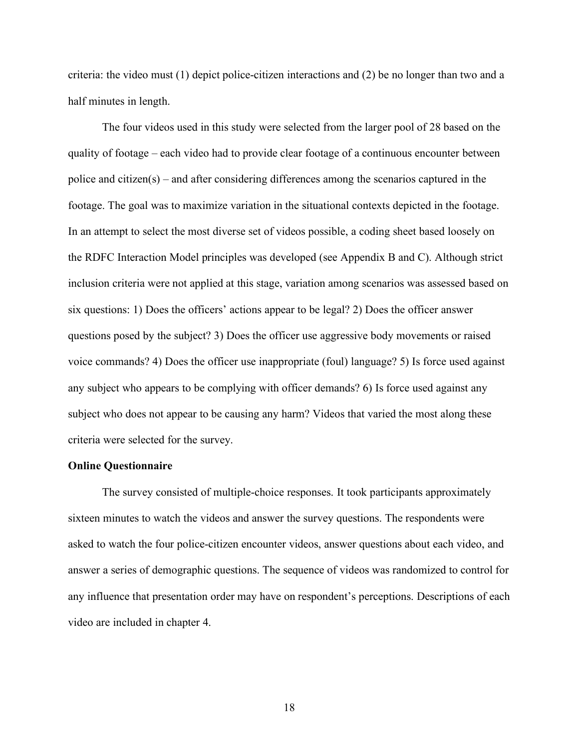criteria: the video must (1) depict police-citizen interactions and (2) be no longer than two and a half minutes in length.

The four videos used in this study were selected from the larger pool of 28 based on the quality of footage – each video had to provide clear footage of a continuous encounter between police and citizen(s) – and after considering differences among the scenarios captured in the footage. The goal was to maximize variation in the situational contexts depicted in the footage. In an attempt to select the most diverse set of videos possible, a coding sheet based loosely on the RDFC Interaction Model principles was developed (see Appendix B and C). Although strict inclusion criteria were not applied at this stage, variation among scenarios was assessed based on six questions: 1) Does the officers' actions appear to be legal? 2) Does the officer answer questions posed by the subject? 3) Does the officer use aggressive body movements or raised voice commands? 4) Does the officer use inappropriate (foul) language? 5) Is force used against any subject who appears to be complying with officer demands? 6) Is force used against any subject who does not appear to be causing any harm? Videos that varied the most along these criteria were selected for the survey.

#### **Online Questionnaire**

The survey consisted of multiple-choice responses. It took participants approximately sixteen minutes to watch the videos and answer the survey questions. The respondents were asked to watch the four police-citizen encounter videos, answer questions about each video, and answer a series of demographic questions. The sequence of videos was randomized to control for any influence that presentation order may have on respondent's perceptions. Descriptions of each video are included in chapter 4.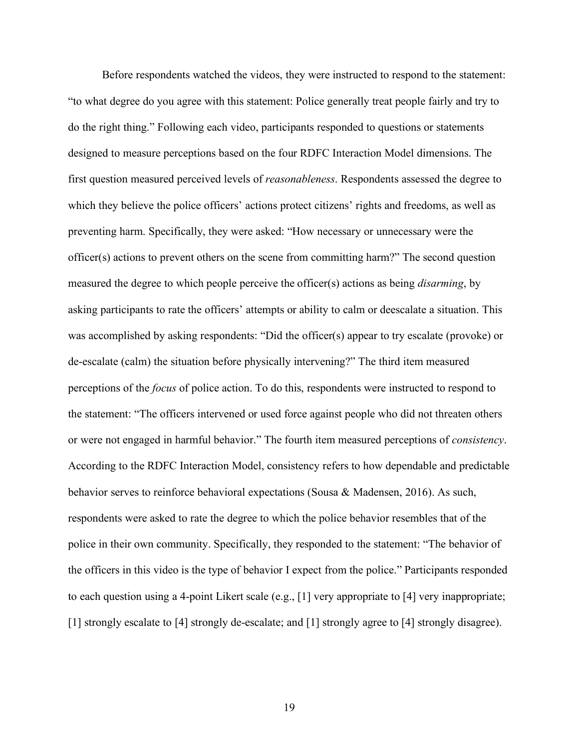Before respondents watched the videos, they were instructed to respond to the statement: "to what degree do you agree with this statement: Police generally treat people fairly and try to do the right thing." Following each video, participants responded to questions or statements designed to measure perceptions based on the four RDFC Interaction Model dimensions. The first question measured perceived levels of *reasonableness*. Respondents assessed the degree to which they believe the police officers' actions protect citizens' rights and freedoms, as well as preventing harm. Specifically, they were asked: "How necessary or unnecessary were the officer(s) actions to prevent others on the scene from committing harm?" The second question measured the degree to which people perceive the officer(s) actions as being *disarming*, by asking participants to rate the officers' attempts or ability to calm or deescalate a situation. This was accomplished by asking respondents: "Did the officer(s) appear to try escalate (provoke) or de-escalate (calm) the situation before physically intervening?" The third item measured perceptions of the *focus* of police action. To do this, respondents were instructed to respond to the statement: "The officers intervened or used force against people who did not threaten others or were not engaged in harmful behavior." The fourth item measured perceptions of *consistency*. According to the RDFC Interaction Model, consistency refers to how dependable and predictable behavior serves to reinforce behavioral expectations (Sousa & Madensen, 2016). As such, respondents were asked to rate the degree to which the police behavior resembles that of the police in their own community. Specifically, they responded to the statement: "The behavior of the officers in this video is the type of behavior I expect from the police." Participants responded to each question using a 4-point Likert scale (e.g., [1] very appropriate to [4] very inappropriate; [1] strongly escalate to [4] strongly de-escalate; and [1] strongly agree to [4] strongly disagree).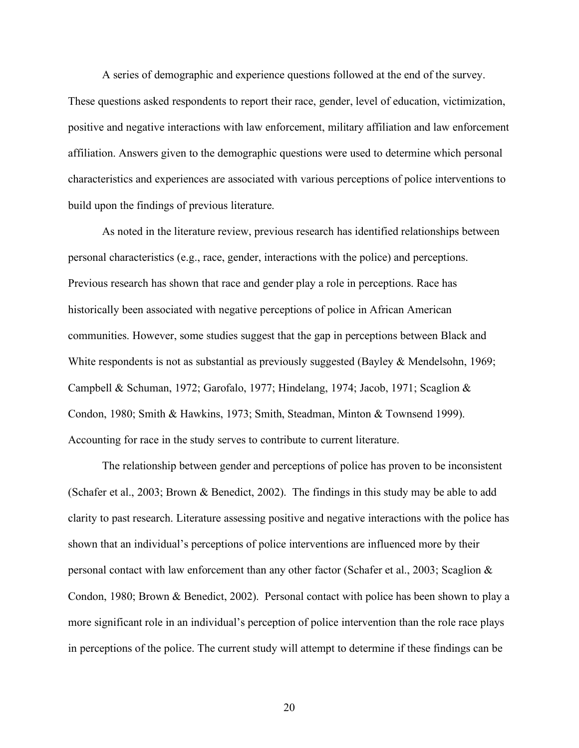A series of demographic and experience questions followed at the end of the survey. These questions asked respondents to report their race, gender, level of education, victimization, positive and negative interactions with law enforcement, military affiliation and law enforcement affiliation. Answers given to the demographic questions were used to determine which personal characteristics and experiences are associated with various perceptions of police interventions to build upon the findings of previous literature.

As noted in the literature review, previous research has identified relationships between personal characteristics (e.g., race, gender, interactions with the police) and perceptions. Previous research has shown that race and gender play a role in perceptions. Race has historically been associated with negative perceptions of police in African American communities. However, some studies suggest that the gap in perceptions between Black and White respondents is not as substantial as previously suggested (Bayley & Mendelsohn, 1969; Campbell & Schuman, 1972; Garofalo, 1977; Hindelang, 1974; Jacob, 1971; Scaglion & Condon, 1980; Smith & Hawkins, 1973; Smith, Steadman, Minton & Townsend 1999). Accounting for race in the study serves to contribute to current literature.

The relationship between gender and perceptions of police has proven to be inconsistent (Schafer et al., 2003; Brown & Benedict, 2002). The findings in this study may be able to add clarity to past research. Literature assessing positive and negative interactions with the police has shown that an individual's perceptions of police interventions are influenced more by their personal contact with law enforcement than any other factor (Schafer et al., 2003; Scaglion & Condon, 1980; Brown & Benedict, 2002). Personal contact with police has been shown to play a more significant role in an individual's perception of police intervention than the role race plays in perceptions of the police. The current study will attempt to determine if these findings can be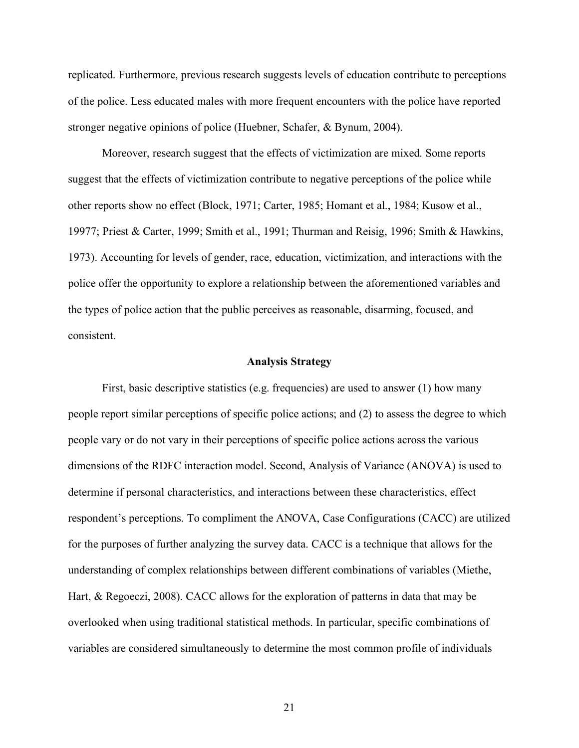replicated. Furthermore, previous research suggests levels of education contribute to perceptions of the police. Less educated males with more frequent encounters with the police have reported stronger negative opinions of police (Huebner, Schafer, & Bynum, 2004).

Moreover, research suggest that the effects of victimization are mixed. Some reports suggest that the effects of victimization contribute to negative perceptions of the police while other reports show no effect (Block, 1971; Carter, 1985; Homant et al., 1984; Kusow et al., 19977; Priest & Carter, 1999; Smith et al., 1991; Thurman and Reisig, 1996; Smith & Hawkins, 1973). Accounting for levels of gender, race, education, victimization, and interactions with the police offer the opportunity to explore a relationship between the aforementioned variables and the types of police action that the public perceives as reasonable, disarming, focused, and consistent.

#### **Analysis Strategy**

First, basic descriptive statistics (e.g. frequencies) are used to answer (1) how many people report similar perceptions of specific police actions; and (2) to assess the degree to which people vary or do not vary in their perceptions of specific police actions across the various dimensions of the RDFC interaction model. Second, Analysis of Variance (ANOVA) is used to determine if personal characteristics, and interactions between these characteristics, effect respondent's perceptions. To compliment the ANOVA, Case Configurations (CACC) are utilized for the purposes of further analyzing the survey data. CACC is a technique that allows for the understanding of complex relationships between different combinations of variables (Miethe, Hart, & Regoeczi, 2008). CACC allows for the exploration of patterns in data that may be overlooked when using traditional statistical methods. In particular, specific combinations of variables are considered simultaneously to determine the most common profile of individuals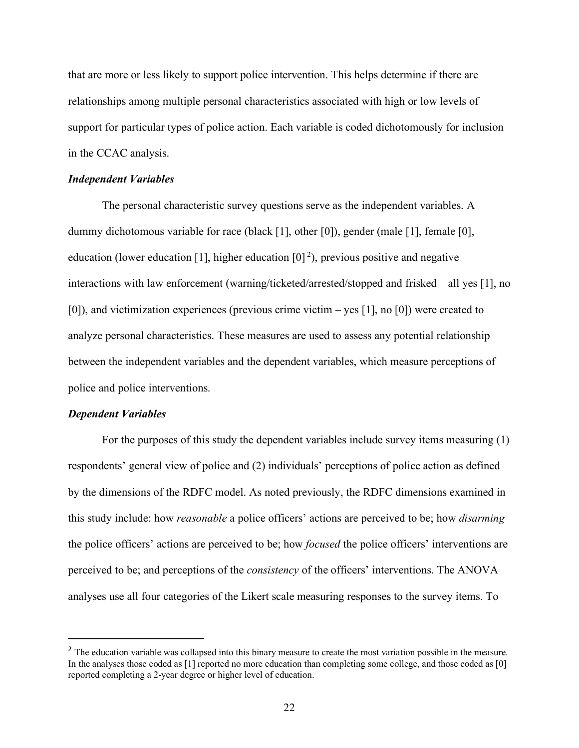that are more or less likely to support police intervention. This helps determine if there are relationships among multiple personal characteristics associated with high or low levels of support for particular types of police action. Each variable is coded dichotomously for inclusion in the CCAC analysis.

#### *Independent Variables*

The personal characteristic survey questions serve as the independent variables. A dummy dichotomous variable for race (black [1], other [0]), gender (male [1], female [0], education (lower education [1], higher education  $[0]^2$ ), previous positive and negative interactions with law enforcement (warning/ticketed/arrested/stopped and frisked – all yes [1], no [0]), and victimization experiences (previous crime victim – yes [1], no [0]) were created to analyze personal characteristics. These measures are used to assess any potential relationship between the independent variables and the dependent variables, which measure perceptions of police and police interventions.

#### *Dependent Variables*

For the purposes of this study the dependent variables include survey items measuring (1) respondents' general view of police and (2) individuals' perceptions of police action as defined by the dimensions of the RDFC model. As noted previously, the RDFC dimensions examined in this study include: how *reasonable* a police officers' actions are perceived to be; how *disarming*  the police officers' actions are perceived to be; how *focused* the police officers' interventions are perceived to be; and perceptions of the *consistency* of the officers' interventions. The ANOVA analyses use all four categories of the Likert scale measuring responses to the survey items. To

<sup>&</sup>lt;sup>2</sup> The education variable was collapsed into this binary measure to create the most variation possible in the measure. In the analyses those coded as [1] reported no more education than completing some college, and those coded as [0] reported completing a 2-year degree or higher level of education.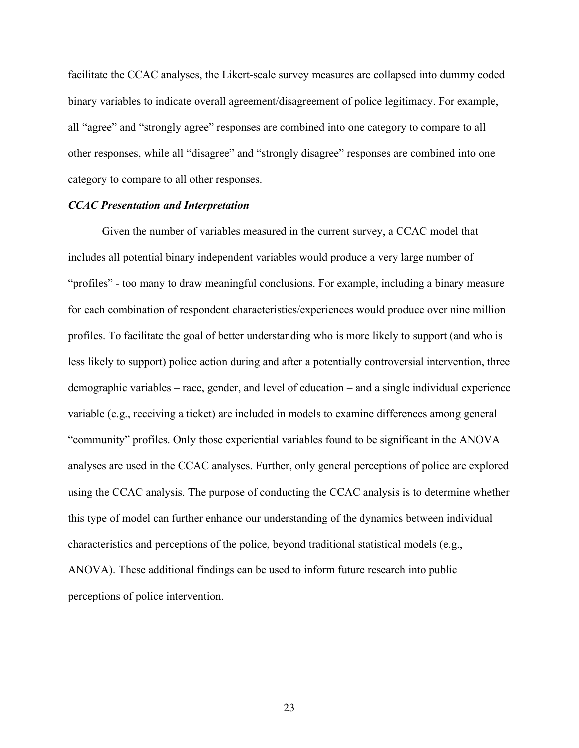facilitate the CCAC analyses, the Likert-scale survey measures are collapsed into dummy coded binary variables to indicate overall agreement/disagreement of police legitimacy. For example, all "agree" and "strongly agree" responses are combined into one category to compare to all other responses, while all "disagree" and "strongly disagree" responses are combined into one category to compare to all other responses.

#### *CCAC Presentation and Interpretation*

Given the number of variables measured in the current survey, a CCAC model that includes all potential binary independent variables would produce a very large number of "profiles" - too many to draw meaningful conclusions. For example, including a binary measure for each combination of respondent characteristics/experiences would produce over nine million profiles. To facilitate the goal of better understanding who is more likely to support (and who is less likely to support) police action during and after a potentially controversial intervention, three demographic variables – race, gender, and level of education – and a single individual experience variable (e.g., receiving a ticket) are included in models to examine differences among general "community" profiles. Only those experiential variables found to be significant in the ANOVA analyses are used in the CCAC analyses. Further, only general perceptions of police are explored using the CCAC analysis. The purpose of conducting the CCAC analysis is to determine whether this type of model can further enhance our understanding of the dynamics between individual characteristics and perceptions of the police, beyond traditional statistical models (e.g., ANOVA). These additional findings can be used to inform future research into public perceptions of police intervention.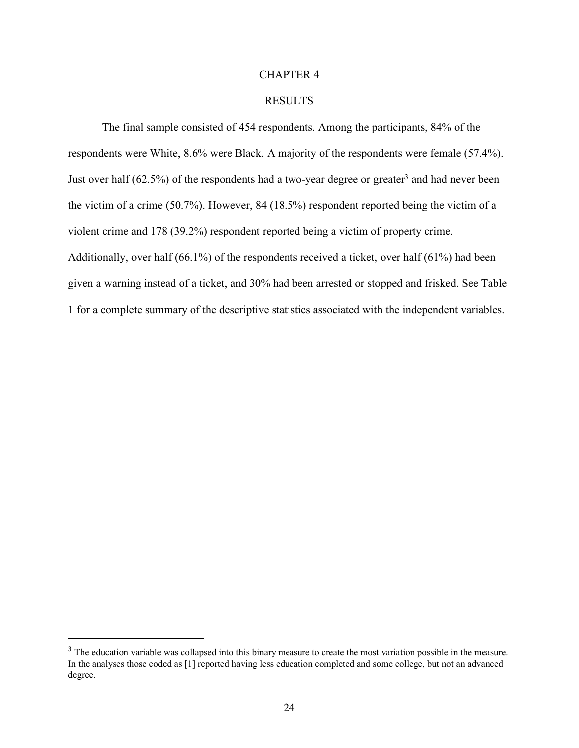#### CHAPTER 4

#### RESULTS

The final sample consisted of 454 respondents. Among the participants, 84% of the respondents were White, 8.6% were Black. A majority of the respondents were female (57.4%). Just over half  $(62.5\%)$  of the respondents had a two-year degree or greater<sup>3</sup> and had never been the victim of a crime (50.7%). However, 84 (18.5%) respondent reported being the victim of a violent crime and 178 (39.2%) respondent reported being a victim of property crime. Additionally, over half (66.1%) of the respondents received a ticket, over half (61%) had been given a warning instead of a ticket, and 30% had been arrested or stopped and frisked. See Table 1 for a complete summary of the descriptive statistics associated with the independent variables.

<sup>&</sup>lt;sup>3</sup> The education variable was collapsed into this binary measure to create the most variation possible in the measure. In the analyses those coded as [1] reported having less education completed and some college, but not an advanced degree.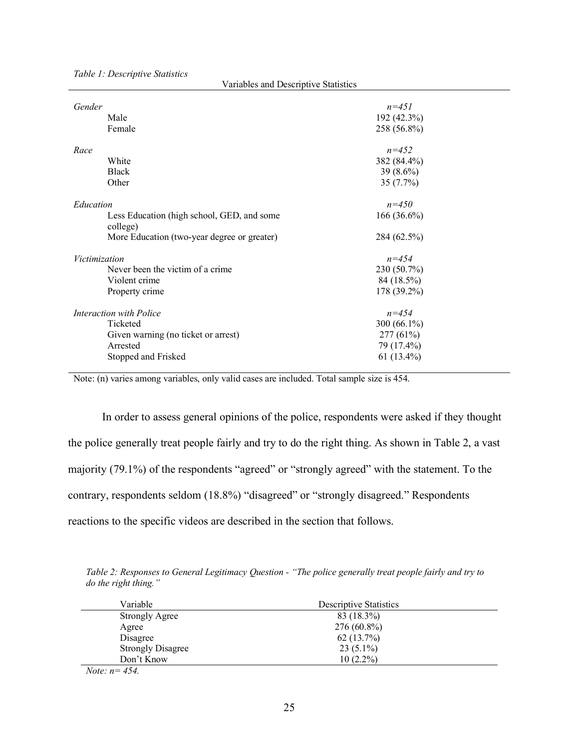| Gender                                                                                                             | $n = 451$                                 |
|--------------------------------------------------------------------------------------------------------------------|-------------------------------------------|
| Male                                                                                                               | 192 (42.3%)                               |
| Female                                                                                                             | 258 (56.8%)                               |
| Race                                                                                                               | $n = 452$                                 |
| White                                                                                                              | 382 (84.4%)                               |
| <b>Black</b>                                                                                                       | 39 $(8.6\%)$                              |
| Other                                                                                                              | 35(7.7%)                                  |
| Education<br>Less Education (high school, GED, and some<br>college)<br>More Education (two-year degree or greater) | $n = 450$<br>$166(36.6\%)$<br>284 (62.5%) |
| Victimization                                                                                                      | $n = 454$                                 |
| Never been the victim of a crime.                                                                                  | 230 (50.7%)                               |
| Violent crime                                                                                                      | 84 (18.5%)                                |
| Property crime                                                                                                     | 178 (39.2%)                               |
| Interaction with Police                                                                                            | $n = 454$                                 |
| Ticketed                                                                                                           | 300 $(66.1\%)$                            |
| Given warning (no ticket or arrest)                                                                                | 277(61%)                                  |
| Arrested                                                                                                           | 79 (17.4%)                                |
| Stopped and Frisked                                                                                                | 61 $(13.4\%)$                             |

*Table 1: Descriptive Statistics*

Variables and Descriptive Statistics

Note: (n) varies among variables, only valid cases are included. Total sample size is 454.

In order to assess general opinions of the police, respondents were asked if they thought the police generally treat people fairly and try to do the right thing. As shown in Table 2, a vast majority (79.1%) of the respondents "agreed" or "strongly agreed" with the statement. To the contrary, respondents seldom (18.8%) "disagreed" or "strongly disagreed." Respondents reactions to the specific videos are described in the section that follows.

*Table 2: Responses to General Legitimacy Question - "The police generally treat people fairly and try to do the right thing."*

| Variable                 | <b>Descriptive Statistics</b> |
|--------------------------|-------------------------------|
| <b>Strongly Agree</b>    | 83 (18.3%)                    |
| Agree                    | $276(60.8\%)$                 |
| Disagree                 | 62(13.7%)                     |
| <b>Strongly Disagree</b> | $23(5.1\%)$                   |
| Don't Know               | $10(2.2\%)$                   |

*Note: n= 454.*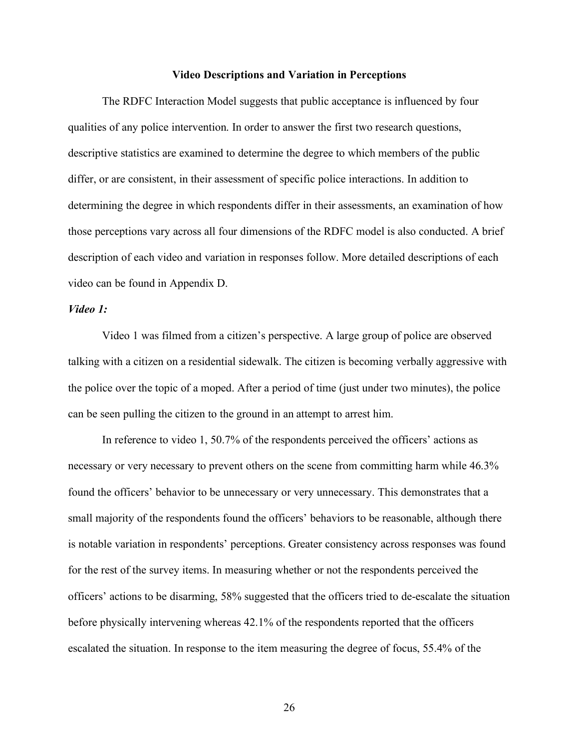#### **Video Descriptions and Variation in Perceptions**

The RDFC Interaction Model suggests that public acceptance is influenced by four qualities of any police intervention. In order to answer the first two research questions, descriptive statistics are examined to determine the degree to which members of the public differ, or are consistent, in their assessment of specific police interactions. In addition to determining the degree in which respondents differ in their assessments, an examination of how those perceptions vary across all four dimensions of the RDFC model is also conducted. A brief description of each video and variation in responses follow. More detailed descriptions of each video can be found in Appendix D.

## *Video 1:*

Video 1 was filmed from a citizen's perspective. A large group of police are observed talking with a citizen on a residential sidewalk. The citizen is becoming verbally aggressive with the police over the topic of a moped. After a period of time (just under two minutes), the police can be seen pulling the citizen to the ground in an attempt to arrest him.

In reference to video 1, 50.7% of the respondents perceived the officers' actions as necessary or very necessary to prevent others on the scene from committing harm while 46.3% found the officers' behavior to be unnecessary or very unnecessary. This demonstrates that a small majority of the respondents found the officers' behaviors to be reasonable, although there is notable variation in respondents' perceptions. Greater consistency across responses was found for the rest of the survey items. In measuring whether or not the respondents perceived the officers' actions to be disarming, 58% suggested that the officers tried to de-escalate the situation before physically intervening whereas 42.1% of the respondents reported that the officers escalated the situation. In response to the item measuring the degree of focus, 55.4% of the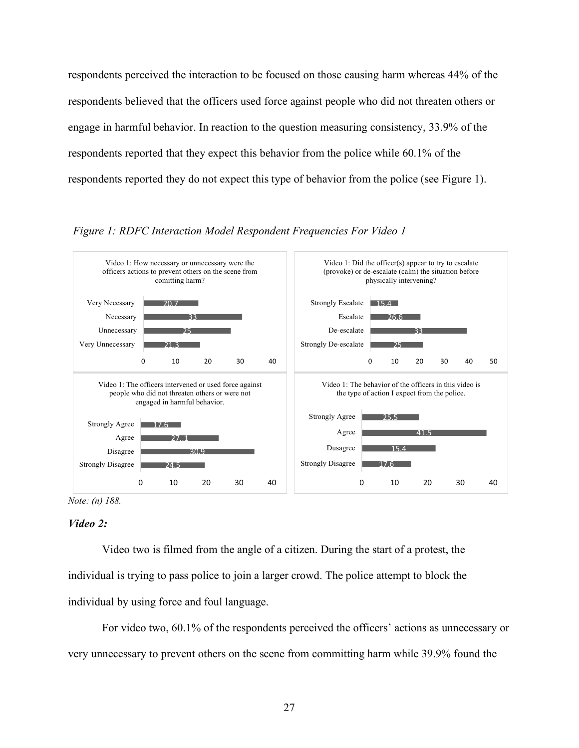respondents perceived the interaction to be focused on those causing harm whereas 44% of the respondents believed that the officers used force against people who did not threaten others or engage in harmful behavior. In reaction to the question measuring consistency, 33.9% of the respondents reported that they expect this behavior from the police while 60.1% of the respondents reported they do not expect this type of behavior from the police (see Figure 1).





*Note: (n) 188.*

## *Video 2:*

Video two is filmed from the angle of a citizen. During the start of a protest, the individual is trying to pass police to join a larger crowd. The police attempt to block the individual by using force and foul language.

For video two, 60.1% of the respondents perceived the officers' actions as unnecessary or very unnecessary to prevent others on the scene from committing harm while 39.9% found the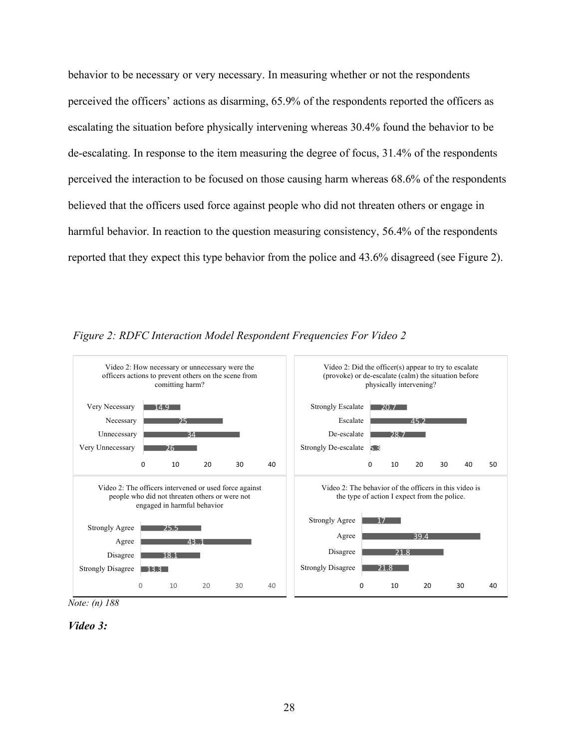behavior to be necessary or very necessary. In measuring whether or not the respondents perceived the officers' actions as disarming, 65.9% of the respondents reported the officers as escalating the situation before physically intervening whereas 30.4% found the behavior to be de-escalating. In response to the item measuring the degree of focus, 31.4% of the respondents perceived the interaction to be focused on those causing harm whereas 68.6% of the respondents believed that the officers used force against people who did not threaten others or engage in harmful behavior. In reaction to the question measuring consistency, 56.4% of the respondents reported that they expect this type behavior from the police and 43.6% disagreed (see Figure 2).

*Figure 2: RDFC Interaction Model Respondent Frequencies For Video 2*



*Note: (n) 188*

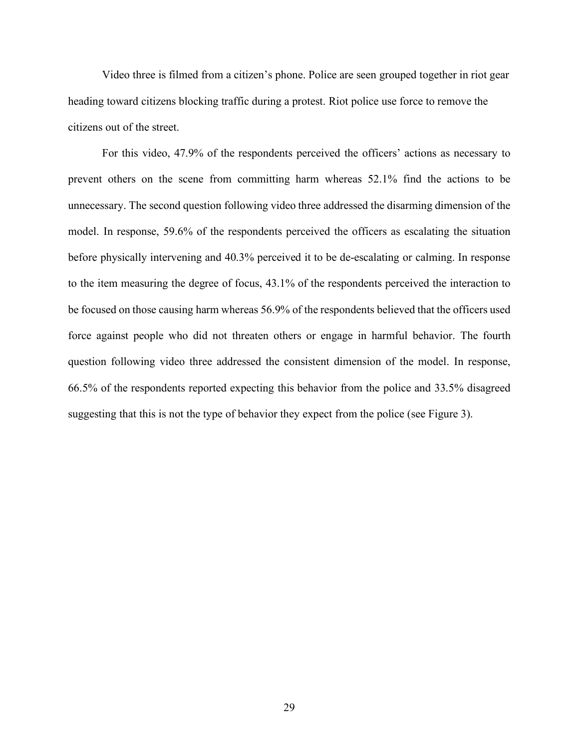Video three is filmed from a citizen's phone. Police are seen grouped together in riot gear heading toward citizens blocking traffic during a protest. Riot police use force to remove the citizens out of the street.

For this video, 47.9% of the respondents perceived the officers' actions as necessary to prevent others on the scene from committing harm whereas 52.1% find the actions to be unnecessary. The second question following video three addressed the disarming dimension of the model. In response, 59.6% of the respondents perceived the officers as escalating the situation before physically intervening and 40.3% perceived it to be de-escalating or calming. In response to the item measuring the degree of focus, 43.1% of the respondents perceived the interaction to be focused on those causing harm whereas 56.9% of the respondents believed that the officers used force against people who did not threaten others or engage in harmful behavior. The fourth question following video three addressed the consistent dimension of the model. In response, 66.5% of the respondents reported expecting this behavior from the police and 33.5% disagreed suggesting that this is not the type of behavior they expect from the police (see Figure 3).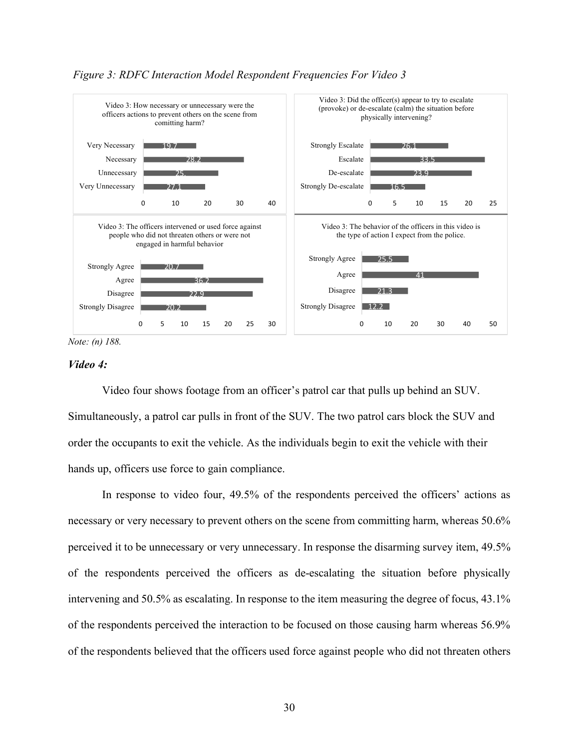

## *Figure 3: RDFC Interaction Model Respondent Frequencies For Video 3*

*Note: (n) 188.*

## *Video 4:*

Video four shows footage from an officer's patrol car that pulls up behind an SUV. Simultaneously, a patrol car pulls in front of the SUV. The two patrol cars block the SUV and order the occupants to exit the vehicle. As the individuals begin to exit the vehicle with their hands up, officers use force to gain compliance.

In response to video four, 49.5% of the respondents perceived the officers' actions as necessary or very necessary to prevent others on the scene from committing harm, whereas 50.6% perceived it to be unnecessary or very unnecessary. In response the disarming survey item, 49.5% of the respondents perceived the officers as de-escalating the situation before physically intervening and 50.5% as escalating. In response to the item measuring the degree of focus, 43.1% of the respondents perceived the interaction to be focused on those causing harm whereas 56.9% of the respondents believed that the officers used force against people who did not threaten others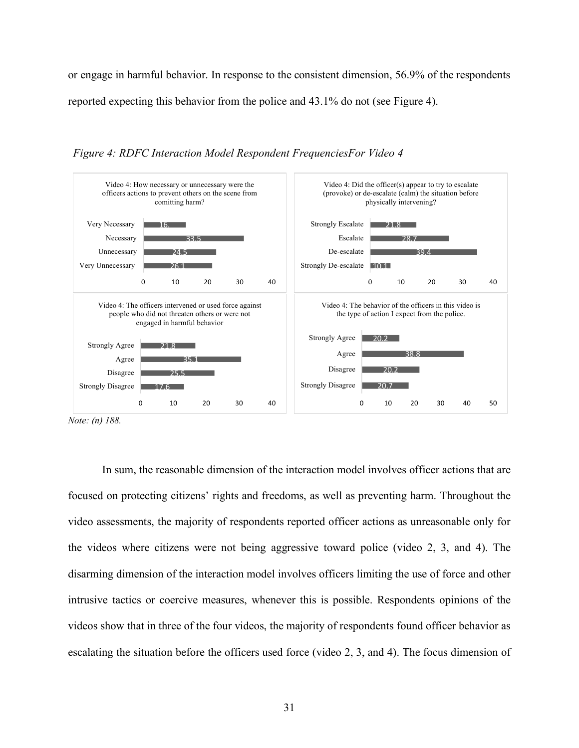or engage in harmful behavior. In response to the consistent dimension, 56.9% of the respondents reported expecting this behavior from the police and 43.1% do not (see Figure 4).



*Figure 4: RDFC Interaction Model Respondent FrequenciesFor Video 4*

*Note: (n) 188.*

In sum, the reasonable dimension of the interaction model involves officer actions that are focused on protecting citizens' rights and freedoms, as well as preventing harm. Throughout the video assessments, the majority of respondents reported officer actions as unreasonable only for the videos where citizens were not being aggressive toward police (video 2, 3, and 4). The disarming dimension of the interaction model involves officers limiting the use of force and other intrusive tactics or coercive measures, whenever this is possible. Respondents opinions of the videos show that in three of the four videos, the majority of respondents found officer behavior as escalating the situation before the officers used force (video 2, 3, and 4). The focus dimension of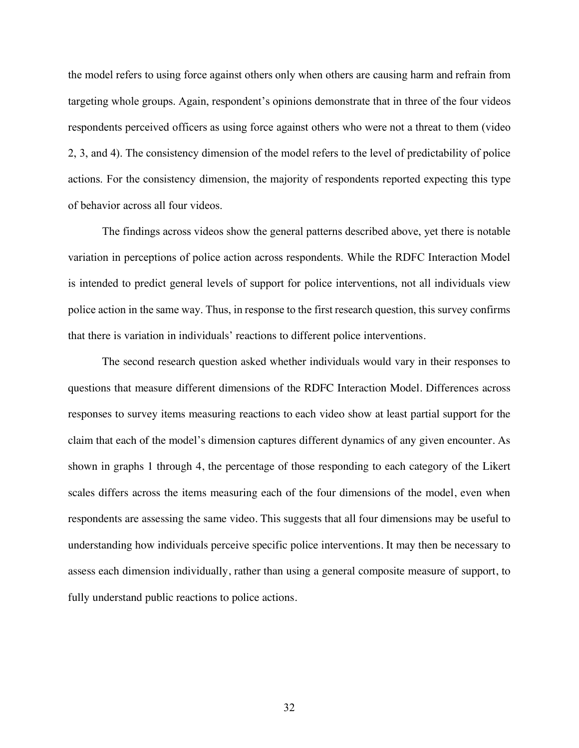the model refers to using force against others only when others are causing harm and refrain from targeting whole groups. Again, respondent's opinions demonstrate that in three of the four videos respondents perceived officers as using force against others who were not a threat to them (video 2, 3, and 4). The consistency dimension of the model refers to the level of predictability of police actions. For the consistency dimension, the majority of respondents reported expecting this type of behavior across all four videos.

The findings across videos show the general patterns described above, yet there is notable variation in perceptions of police action across respondents. While the RDFC Interaction Model is intended to predict general levels of support for police interventions, not all individuals view police action in the same way. Thus, in response to the first research question, this survey confirms that there is variation in individuals' reactions to different police interventions.

The second research question asked whether individuals would vary in their responses to questions that measure different dimensions of the RDFC Interaction Model. Differences across responses to survey items measuring reactions to each video show at least partial support for the claim that each of the model's dimension captures different dynamics of any given encounter. As shown in graphs 1 through 4, the percentage of those responding to each category of the Likert scales differs across the items measuring each of the four dimensions of the model, even when respondents are assessing the same video. This suggests that all four dimensions may be useful to understanding how individuals perceive specific police interventions. It may then be necessary to assess each dimension individually, rather than using a general composite measure of support, to fully understand public reactions to police actions.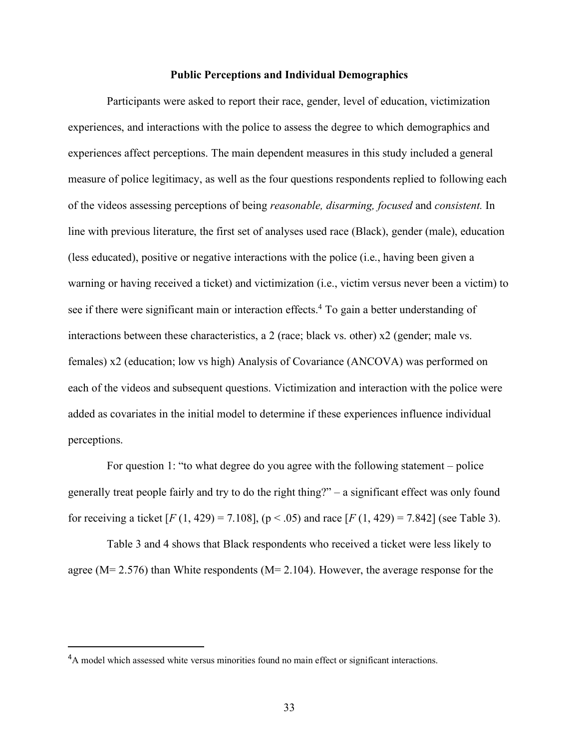### **Public Perceptions and Individual Demographics**

Participants were asked to report their race, gender, level of education, victimization experiences, and interactions with the police to assess the degree to which demographics and experiences affect perceptions. The main dependent measures in this study included a general measure of police legitimacy, as well as the four questions respondents replied to following each of the videos assessing perceptions of being *reasonable, disarming, focused* and *consistent.* In line with previous literature, the first set of analyses used race (Black), gender (male), education (less educated), positive or negative interactions with the police (i.e., having been given a warning or having received a ticket) and victimization (i.e., victim versus never been a victim) to see if there were significant main or interaction effects. <sup>4</sup> To gain a better understanding of interactions between these characteristics, a 2 (race; black vs. other) x2 (gender; male vs. females) x2 (education; low vs high) Analysis of Covariance (ANCOVA) was performed on each of the videos and subsequent questions. Victimization and interaction with the police were added as covariates in the initial model to determine if these experiences influence individual perceptions.

For question 1: "to what degree do you agree with the following statement – police generally treat people fairly and try to do the right thing?" – a significant effect was only found for receiving a ticket  $[F(1, 429) = 7.108]$ ,  $(p < .05)$  and race  $[F(1, 429) = 7.842]$  (see Table 3).

Table 3 and 4 shows that Black respondents who received a ticket were less likely to agree (M= 2.576) than White respondents (M= 2.104). However, the average response for the

 $\overline{a}$ <sup>4</sup>A model which assessed white versus minorities found no main effect or significant interactions.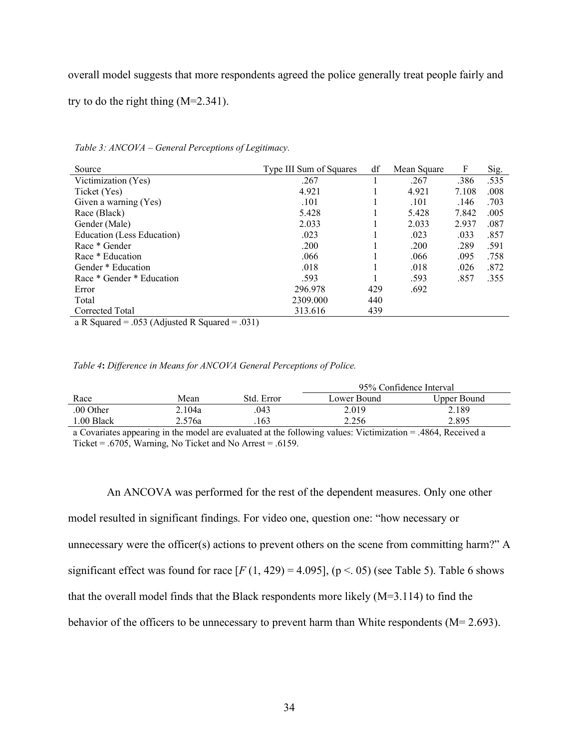overall model suggests that more respondents agreed the police generally treat people fairly and

try to do the right thing (M=2.341).

| Source                                                                    | Type III Sum of Squares | df  | Mean Square | F     | Sig. |
|---------------------------------------------------------------------------|-------------------------|-----|-------------|-------|------|
| Victimization (Yes)                                                       | .267                    |     | .267        | .386  | .535 |
| Ticket (Yes)                                                              | 4.921                   |     | 4.921       | 7.108 | .008 |
| Given a warning (Yes)                                                     | .101                    |     | .101        | .146  | .703 |
| Race (Black)                                                              | 5.428                   |     | 5.428       | 7.842 | .005 |
| Gender (Male)                                                             | 2.033                   |     | 2.033       | 2.937 | .087 |
| Education (Less Education)                                                | .023                    |     | .023        | .033  | .857 |
| Race * Gender                                                             | .200                    |     | .200        | .289  | .591 |
| Race * Education                                                          | .066                    |     | .066        | .095  | .758 |
| Gender * Education                                                        | .018                    |     | .018        | .026  | .872 |
| Race * Gender * Education                                                 | .593                    |     | .593        | .857  | .355 |
| Error                                                                     | 296.978                 | 429 | .692        |       |      |
| Total                                                                     | 2309.000                | 440 |             |       |      |
| Corrected Total                                                           | 313.616                 | 439 |             |       |      |
| 0.21<br>$0.52 \pm 1$ $1.70$<br>$\blacksquare$<br>$\mathbf{a}$<br>$\sim$ 1 |                         |     |             |       |      |

*Table 3: ANCOVA – General Perceptions of Legitimacy.*

a R Squared = .053 (Adjusted R Squared = .031)

#### *Table 4***:** *Difference in Means for ANCOVA General Perceptions of Police.*

|           |        |            | 95% Confidence Interval |             |  |
|-----------|--------|------------|-------------------------|-------------|--|
| Race      | Mean   | Std. Error | Lower Bound             | Upper Bound |  |
| .00 Other | 2.104a | .043       | 2.019                   | 2.189       |  |
| .00 Black | 2.576a | .163       | 2.256                   | 2.895       |  |

a Covariates appearing in the model are evaluated at the following values: Victimization = .4864, Received a Ticket = .6705, Warning, No Ticket and No Arrest = .6159.

An ANCOVA was performed for the rest of the dependent measures. Only one other model resulted in significant findings. For video one, question one: "how necessary or unnecessary were the officer(s) actions to prevent others on the scene from committing harm?" A significant effect was found for race  $[F(1, 429) = 4.095]$ ,  $(p < .05)$  (see Table 5). Table 6 shows that the overall model finds that the Black respondents more likely (M=3.114) to find the behavior of the officers to be unnecessary to prevent harm than White respondents (M= 2.693).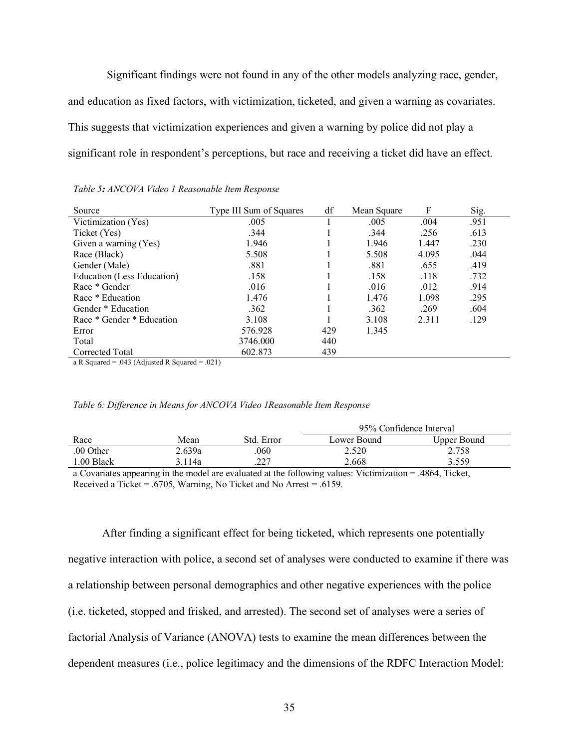Significant findings were not found in any of the other models analyzing race, gender, and education as fixed factors, with victimization, ticketed, and given a warning as covariates. This suggests that victimization experiences and given a warning by police did not play a significant role in respondent's perceptions, but race and receiving a ticket did have an effect.

| Source                     | Type III Sum of Squares | df  | Mean Square | F     | Sig. |
|----------------------------|-------------------------|-----|-------------|-------|------|
| Victimization (Yes)        | .005                    |     | .005        | .004  | .951 |
| Ticket (Yes)               | .344                    |     | .344        | .256  | .613 |
| Given a warning (Yes)      | 1.946                   |     | 1.946       | 1.447 | .230 |
| Race (Black)               | 5.508                   |     | 5.508       | 4.095 | .044 |
| Gender (Male)              | .881                    |     | .881        | .655  | .419 |
| Education (Less Education) | .158                    |     | .158        | .118  | .732 |
| Race * Gender              | .016                    |     | .016        | .012  | .914 |
| Race * Education           | 1.476                   |     | 1.476       | 1.098 | .295 |
| Gender * Education         | .362                    |     | .362        | .269  | .604 |
| Race * Gender * Education  | 3.108                   |     | 3.108       | 2.311 | .129 |
| Error                      | 576.928                 | 429 | 1.345       |       |      |
| Total                      | 3746.000                | 440 |             |       |      |
| Corrected Total<br>.<br>.  | 602.873<br>.            | 439 |             |       |      |

a R Squared = .043 (Adjusted R Squared = .021)

| Table 6: Difference in Means for ANCOVA Video 1 Reasonable Item Response |  |  |  |  |
|--------------------------------------------------------------------------|--|--|--|--|
|                                                                          |  |  |  |  |

|           |        |             | 95% Confidence Interval |             |  |
|-----------|--------|-------------|-------------------------|-------------|--|
| Race      | Mean   | Std. Error  | Lower Bound             | Upper Bound |  |
| .00 Other | 2.639a | .060        | 2.520                   | 2.758       |  |
| .00 Black | .114a  | 227<br>. 22 | 2.668                   | 3.559       |  |

a Covariates appearing in the model are evaluated at the following values: Victimization = .4864, Ticket, Received a Ticket = .6705, Warning, No Ticket and No Arrest = .6159.

After finding a significant effect for being ticketed, which represents one potentially negative interaction with police, a second set of analyses were conducted to examine if there was a relationship between personal demographics and other negative experiences with the police (i.e. ticketed, stopped and frisked, and arrested). The second set of analyses were a series of factorial Analysis of Variance (ANOVA) tests to examine the mean differences between the dependent measures (i.e., police legitimacy and the dimensions of the RDFC Interaction Model: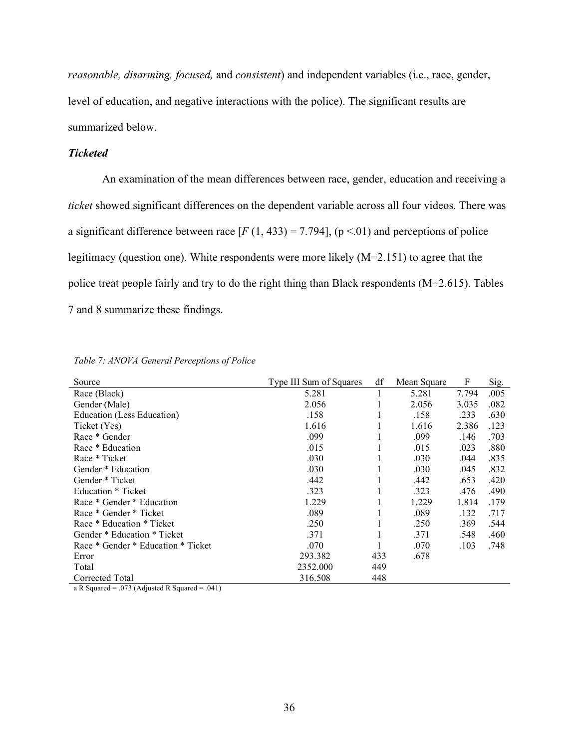*reasonable, disarming, focused,* and *consistent*) and independent variables (i.e., race, gender, level of education, and negative interactions with the police). The significant results are summarized below.

# *Ticketed*

An examination of the mean differences between race, gender, education and receiving a *ticket* showed significant differences on the dependent variable across all four videos. There was a significant difference between race  $[F(1, 433) = 7.794]$ ,  $(p < 01)$  and perceptions of police legitimacy (question one). White respondents were more likely (M=2.151) to agree that the police treat people fairly and try to do the right thing than Black respondents (M=2.615). Tables 7 and 8 summarize these findings.

| Source                             | Type III Sum of Squares | df  | Mean Square | F     | Sig. |
|------------------------------------|-------------------------|-----|-------------|-------|------|
| Race (Black)                       | 5.281                   |     | 5.281       | 7.794 | .005 |
| Gender (Male)                      | 2.056                   |     | 2.056       | 3.035 | .082 |
| Education (Less Education)         | .158                    | I.  | .158        | .233  | .630 |
| Ticket (Yes)                       | 1.616                   |     | 1.616       | 2.386 | .123 |
| Race * Gender                      | .099                    |     | .099        | .146  | .703 |
| Race * Education                   | .015                    |     | .015        | .023  | .880 |
| Race * Ticket                      | .030                    | 1   | .030        | .044  | .835 |
| Gender * Education                 | .030                    | 1   | .030        | .045  | .832 |
| Gender * Ticket                    | .442                    |     | .442        | .653  | .420 |
| Education * Ticket                 | .323                    |     | .323        | .476  | .490 |
| Race * Gender * Education          | 1.229                   |     | 1.229       | 1.814 | .179 |
| Race * Gender * Ticket             | .089                    |     | .089        | .132  | .717 |
| Race * Education * Ticket          | .250                    |     | .250        | .369  | .544 |
| Gender * Education * Ticket        | .371                    |     | .371        | .548  | .460 |
| Race * Gender * Education * Ticket | .070                    |     | .070        | .103  | .748 |
| Error                              | 293.382                 | 433 | .678        |       |      |
| Total                              | 2352.000                | 449 |             |       |      |
| Corrected Total                    | 316.508                 | 448 |             |       |      |

a R Squared = .073 (Adjusted R Squared = .041)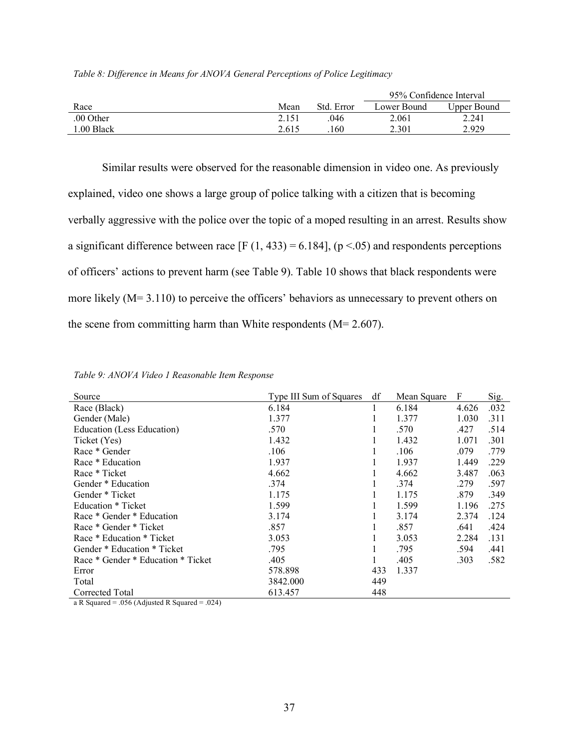|           |       |            | 95% Confidence Interval |             |  |
|-----------|-------|------------|-------------------------|-------------|--|
| Race      | Mean  | Std. Error | Lower Bound             | Upper Bound |  |
| .00 Other | 2.151 | 046        | 2.061                   | 2.241       |  |
| .00 Black | 2.615 | 160        | 2.301                   | 2.929       |  |

|  |  | Table 8: Difference in Means for ANOVA General Perceptions of Police Legitimacy |  |  |
|--|--|---------------------------------------------------------------------------------|--|--|
|  |  |                                                                                 |  |  |

Similar results were observed for the reasonable dimension in video one. As previously explained, video one shows a large group of police talking with a citizen that is becoming verbally aggressive with the police over the topic of a moped resulting in an arrest. Results show a significant difference between race  $[F (1, 433) = 6.184]$ ,  $(p < .05)$  and respondents perceptions of officers' actions to prevent harm (see Table 9). Table 10 shows that black respondents were more likely (M= 3.110) to perceive the officers' behaviors as unnecessary to prevent others on the scene from committing harm than White respondents  $(M= 2.607)$ .

| Source                             | Type III Sum of Squares | df  | Mean Square | F     | Sig. |
|------------------------------------|-------------------------|-----|-------------|-------|------|
| Race (Black)                       | 6.184                   |     | 6.184       | 4.626 | .032 |
| Gender (Male)                      | 1.377                   |     | 1.377       | 1.030 | .311 |
| Education (Less Education)         | .570                    |     | .570        | .427  | .514 |
| Ticket (Yes)                       | 1.432                   |     | 1.432       | 1.071 | .301 |
| Race * Gender                      | .106                    |     | .106        | .079  | .779 |
| Race * Education                   | 1.937                   |     | 1.937       | 1.449 | .229 |
| Race * Ticket                      | 4.662                   |     | 4.662       | 3.487 | .063 |
| Gender * Education                 | .374                    |     | .374        | .279  | .597 |
| Gender * Ticket                    | 1.175                   |     | 1.175       | .879  | .349 |
| Education * Ticket                 | 1.599                   |     | 1.599       | 1.196 | .275 |
| Race * Gender * Education          | 3.174                   |     | 3.174       | 2.374 | .124 |
| Race * Gender * Ticket             | .857                    |     | .857        | .641  | .424 |
| Race * Education * Ticket          | 3.053                   |     | 3.053       | 2.284 | .131 |
| Gender * Education * Ticket        | .795                    |     | .795        | .594  | .441 |
| Race * Gender * Education * Ticket | .405                    |     | .405        | .303  | .582 |
| Error                              | 578.898                 | 433 | 1.337       |       |      |
| Total                              | 3842.000                | 449 |             |       |      |
| Corrected Total                    | 613.457                 | 448 |             |       |      |

*Table 9: ANOVA Video 1 Reasonable Item Response*

a R Squared = .056 (Adjusted R Squared = .024)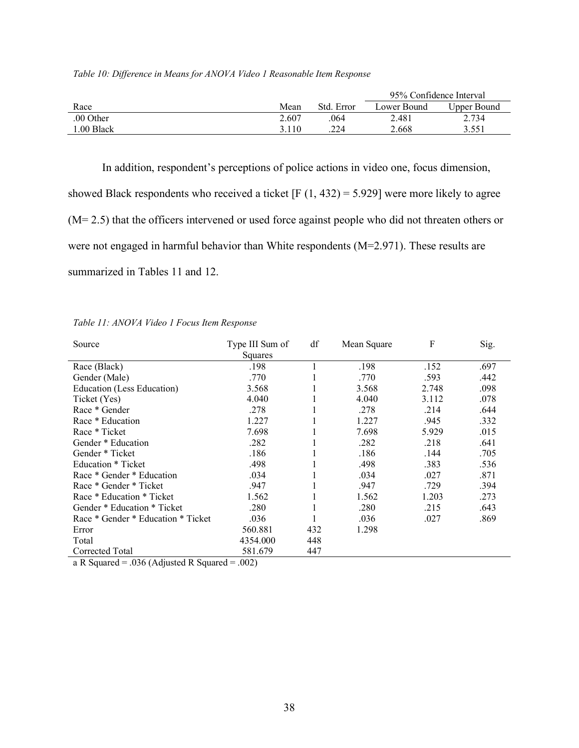|           |       |            | 95% Confidence Interval |             |  |
|-----------|-------|------------|-------------------------|-------------|--|
| Race      | Mean  | Std. Error | Lower Bound             | Upper Bound |  |
| .00 Other | 2.607 | .064       | 2.481                   | 2.734       |  |
| .00 Black | 3.110 | .224       | 2.668                   | 3.551       |  |

*Table 10: Difference in Means for ANOVA Video 1 Reasonable Item Response* 

In addition, respondent's perceptions of police actions in video one, focus dimension, showed Black respondents who received a ticket  $[F(1, 432) = 5.929]$  were more likely to agree (M= 2.5) that the officers intervened or used force against people who did not threaten others or were not engaged in harmful behavior than White respondents (M=2.971). These results are summarized in Tables 11 and 12.

| Source                             | Type III Sum of<br>Squares | df  | Mean Square | F     | Sig. |
|------------------------------------|----------------------------|-----|-------------|-------|------|
| Race (Black)                       | .198                       |     | .198        | .152  | .697 |
| Gender (Male)                      | .770                       |     | .770        | .593  | .442 |
| Education (Less Education)         | 3.568                      |     | 3.568       | 2.748 | .098 |
| Ticket (Yes)                       | 4.040                      |     | 4.040       | 3.112 | .078 |
| Race * Gender                      | .278                       |     | .278        | .214  | .644 |
| Race * Education                   | 1.227                      |     | 1.227       | .945  | .332 |
| Race * Ticket                      | 7.698                      |     | 7.698       | 5.929 | .015 |
| Gender * Education                 | .282                       |     | .282        | .218  | .641 |
| Gender * Ticket                    | .186                       |     | .186        | .144  | .705 |
| Education * Ticket                 | .498                       |     | .498        | .383  | .536 |
| Race * Gender * Education          | .034                       |     | .034        | .027  | .871 |
| Race * Gender * Ticket             | .947                       |     | .947        | .729  | .394 |
| Race * Education * Ticket          | 1.562                      |     | 1.562       | 1.203 | .273 |
| Gender * Education * Ticket        | .280                       |     | .280        | .215  | .643 |
| Race * Gender * Education * Ticket | .036                       |     | .036        | .027  | .869 |
| Error                              | 560.881                    | 432 | 1.298       |       |      |
| Total                              | 4354.000                   | 448 |             |       |      |
| Corrected Total                    | 581.679                    | 447 |             |       |      |

*Table 11: ANOVA Video 1 Focus Item Response*

a R Squared = .036 (Adjusted R Squared = .002)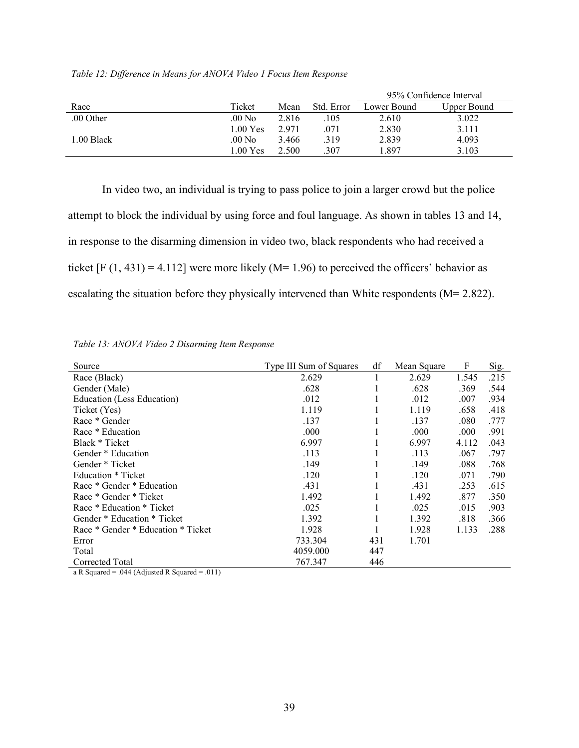|            |                 |       |            | 95% Confidence Interval |             |  |  |
|------------|-----------------|-------|------------|-------------------------|-------------|--|--|
| Race       | Ticket          | Mean  | Std. Error | Lower Bound             | Upper Bound |  |  |
| .00 Other  | $.00\text{ No}$ | 2.816 | .105       | 2.610                   | 3.022       |  |  |
|            | 1.00 Yes        | 2.971 | 071        | 2.830                   | 3.111       |  |  |
| 1.00 Black | .00 No          | 3.466 | .319       | 2.839                   | 4.093       |  |  |
|            | 1.00 Yes        | 2.500 | .307       | .897                    | 3.103       |  |  |

*Table 12: Difference in Means for ANOVA Video 1 Focus Item Response*

In video two, an individual is trying to pass police to join a larger crowd but the police attempt to block the individual by using force and foul language. As shown in tables 13 and 14, in response to the disarming dimension in video two, black respondents who had received a ticket  $[F (1, 431) = 4.112]$  were more likely (M= 1.96) to perceived the officers' behavior as escalating the situation before they physically intervened than White respondents (M= 2.822).

| Source                                         | Type III Sum of Squares | df  | Mean Square | F     | Sig. |
|------------------------------------------------|-------------------------|-----|-------------|-------|------|
| Race (Black)                                   | 2.629                   | 1   | 2.629       | 1.545 | .215 |
| Gender (Male)                                  | .628                    |     | .628        | .369  | .544 |
| Education (Less Education)                     | .012                    |     | .012        | .007  | .934 |
| Ticket (Yes)                                   | 1.119                   |     | 1.119       | .658  | .418 |
| Race * Gender                                  | .137                    |     | .137        | .080  | .777 |
| Race * Education                               | .000                    |     | .000        | .000  | .991 |
| Black * Ticket                                 | 6.997                   |     | 6.997       | 4.112 | .043 |
| Gender * Education                             | .113                    |     | .113        | .067  | .797 |
| Gender * Ticket                                | .149                    |     | .149        | .088  | .768 |
| Education * Ticket                             | .120                    |     | .120        | .071  | .790 |
| Race * Gender * Education                      | .431                    |     | .431        | .253  | .615 |
| Race * Gender * Ticket                         | 1.492                   |     | 1.492       | .877  | .350 |
| Race * Education * Ticket                      | .025                    |     | .025        | .015  | .903 |
| Gender * Education * Ticket                    | 1.392                   |     | 1.392       | .818  | .366 |
| Race * Gender * Education * Ticket             | 1.928                   |     | 1.928       | 1.133 | .288 |
| Error                                          | 733.304                 | 431 | 1.701       |       |      |
| Total                                          | 4059.000                | 447 |             |       |      |
| Corrected Total                                | 767.347                 | 446 |             |       |      |
| a R Squared = .044 (Adjusted R Squared = .011) |                         |     |             |       |      |
|                                                |                         |     |             |       |      |

*Table 13: ANOVA Video 2 Disarming Item Response*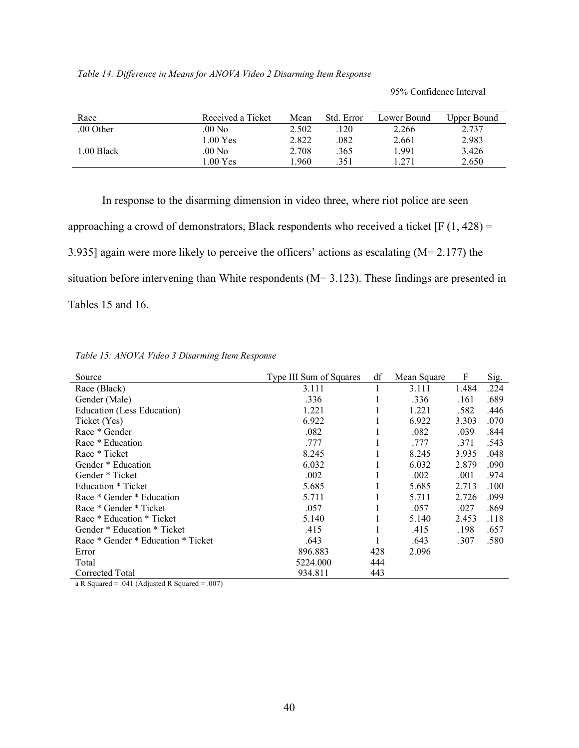95% Confidence Interval

| Race       | Received a Ticket  | Mean  | Std. Error | Lower Bound | Upper Bound |
|------------|--------------------|-------|------------|-------------|-------------|
| .00 Other  | .00 No             | 2.502 | 120        | 2.266       | 2.737       |
|            | 1.00 Yes           | 2.822 | .082       | 2.661       | 2.983       |
| 1.00 Black | .00 No             | 2.708 | .365       | 1.991       | 3.426       |
|            | $1.00 \text{ Yes}$ | .960  | 351        | .271        | 2.650       |

In response to the disarming dimension in video three, where riot police are seen approaching a crowd of demonstrators, Black respondents who received a ticket  $[F(1, 428) =$ 3.935] again were more likely to perceive the officers' actions as escalating (M= 2.177) the situation before intervening than White respondents (M= 3.123). These findings are presented in Tables 15 and 16.

| Source                             | Type III Sum of Squares | df  | Mean Square | F     | Sig. |
|------------------------------------|-------------------------|-----|-------------|-------|------|
| Race (Black)                       | 3.111                   |     | 3.111       | 1.484 | .224 |
| Gender (Male)                      | .336                    |     | .336        | .161  | .689 |
| Education (Less Education)         | 1.221                   |     | 1.221       | .582  | .446 |
| Ticket (Yes)                       | 6.922                   |     | 6.922       | 3.303 | .070 |
| Race * Gender                      | .082                    |     | .082        | .039  | .844 |
| Race * Education                   | .777                    |     | .777        | .371  | .543 |
| Race * Ticket                      | 8.245                   |     | 8.245       | 3.935 | .048 |
| Gender * Education                 | 6.032                   |     | 6.032       | 2.879 | .090 |
| Gender * Ticket                    | .002                    |     | .002        | .001  | .974 |
| Education * Ticket                 | 5.685                   |     | 5.685       | 2.713 | .100 |
| Race * Gender * Education          | 5.711                   |     | 5.711       | 2.726 | .099 |
| Race * Gender * Ticket             | .057                    |     | .057        | .027  | .869 |
| Race * Education * Ticket          | 5.140                   |     | 5.140       | 2.453 | .118 |
| Gender * Education * Ticket        | .415                    |     | .415        | .198  | .657 |
| Race * Gender * Education * Ticket | .643                    |     | .643        | .307  | .580 |
| Error                              | 896.883                 | 428 | 2.096       |       |      |
| Total                              | 5224.000                | 444 |             |       |      |
| Corrected Total                    | 934.811                 | 443 |             |       |      |

a R Squared = .041 (Adjusted R Squared = .007)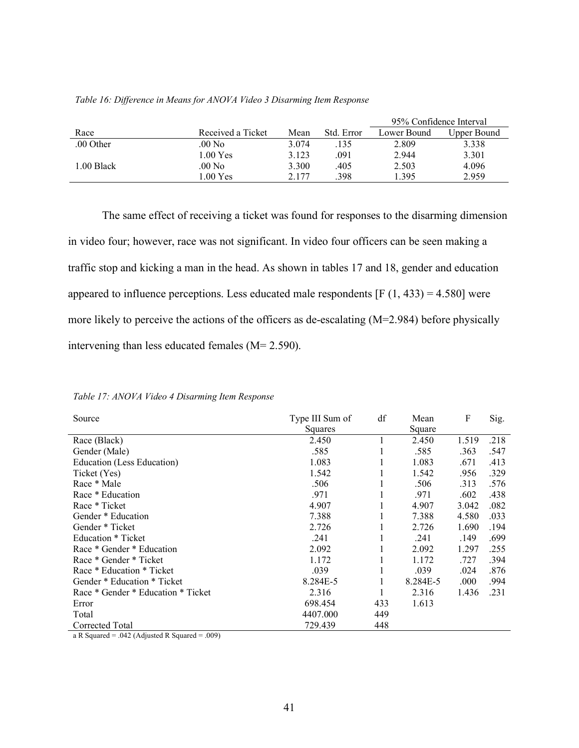|            |                    |       |            | 95% Confidence Interval |             |  |
|------------|--------------------|-------|------------|-------------------------|-------------|--|
| Race       | Received a Ticket  | Mean  | Std. Error | Lower Bound             | Upper Bound |  |
| .00 Other  | $.00\ \mathrm{No}$ | 3.074 | .135       | 2.809                   | 3.338       |  |
|            | 1.00 Yes           | 3.123 | .091       | 2.944                   | 3.301       |  |
| 1.00 Black | $.00\,\mathrm{No}$ | 3.300 | .405       | 2.503                   | 4.096       |  |
|            | $1.00 \text{ Yes}$ | 2.177 | .398       | 1.395                   | 2.959       |  |

#### *Table 16: Difference in Means for ANOVA Video 3 Disarming Item Response*

The same effect of receiving a ticket was found for responses to the disarming dimension in video four; however, race was not significant. In video four officers can be seen making a traffic stop and kicking a man in the head. As shown in tables 17 and 18, gender and education appeared to influence perceptions. Less educated male respondents  $[F(1, 433) = 4.580]$  were more likely to perceive the actions of the officers as de-escalating (M=2.984) before physically intervening than less educated females (M= 2.590).

| Source                             | Type III Sum of<br>Squares | df  | Mean<br>Square | F     | Sig. |
|------------------------------------|----------------------------|-----|----------------|-------|------|
| Race (Black)                       | 2.450                      |     | 2.450          | 1.519 | .218 |
| Gender (Male)                      | .585                       |     | .585           | .363  | .547 |
| Education (Less Education)         | 1.083                      |     | 1.083          | .671  | .413 |
| Ticket (Yes)                       | 1.542                      |     | 1.542          | .956  | .329 |
| Race * Male                        | .506                       |     | .506           | .313  | .576 |
| Race * Education                   | .971                       |     | .971           | .602  | .438 |
| Race * Ticket                      | 4.907                      |     | 4.907          | 3.042 | .082 |
| Gender * Education                 | 7.388                      |     | 7.388          | 4.580 | .033 |
| Gender * Ticket                    | 2.726                      |     | 2.726          | 1.690 | .194 |
| Education * Ticket                 | .241                       |     | .241           | .149  | .699 |
| Race * Gender * Education          | 2.092                      |     | 2.092          | 1.297 | .255 |
| Race * Gender * Ticket             | 1.172                      |     | 1.172          | .727  | .394 |
| Race * Education * Ticket          | .039                       |     | .039           | .024  | .876 |
| Gender * Education * Ticket        | 8.284E-5                   |     | 8.284E-5       | .000  | .994 |
| Race * Gender * Education * Ticket | 2.316                      |     | 2.316          | 1.436 | .231 |
| Error                              | 698.454                    | 433 | 1.613          |       |      |
| Total                              | 4407.000                   | 449 |                |       |      |
| Corrected Total                    | 729.439                    | 448 |                |       |      |

*Table 17: ANOVA Video 4 Disarming Item Response*

a R Squared = .042 (Adjusted R Squared = .009)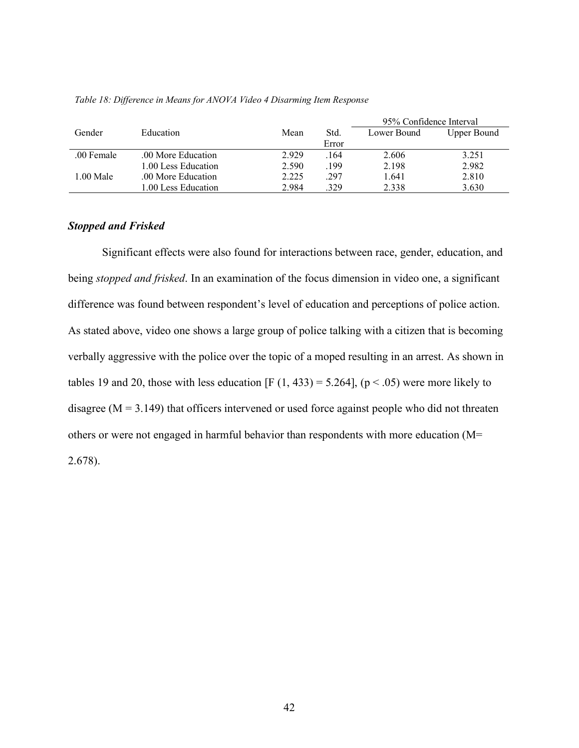|            |                     |       |       | 95% Confidence Interval |                    |  |
|------------|---------------------|-------|-------|-------------------------|--------------------|--|
| Gender     | <b>Education</b>    | Mean  | Std.  | Lower Bound             | <b>Upper Bound</b> |  |
|            |                     |       | Error |                         |                    |  |
| .00 Female | .00 More Education  | 2.929 | .164  | 2.606                   | 3.251              |  |
|            | 1.00 Less Education | 2.590 | .199  | 2.198                   | 2.982              |  |
| 1.00 Male  | .00 More Education  | 2.225 | .297  | 1.641                   | 2.810              |  |
|            | 1.00 Less Education | 2.984 | 329   | 2.338                   | 3.630              |  |

#### *Table 18: Difference in Means for ANOVA Video 4 Disarming Item Response*

## *Stopped and Frisked*

Significant effects were also found for interactions between race, gender, education, and being *stopped and frisked*. In an examination of the focus dimension in video one, a significant difference was found between respondent's level of education and perceptions of police action. As stated above, video one shows a large group of police talking with a citizen that is becoming verbally aggressive with the police over the topic of a moped resulting in an arrest. As shown in tables 19 and 20, those with less education [F  $(1, 433) = 5.264$ ],  $(p < .05)$  were more likely to disagree  $(M = 3.149)$  that officers intervened or used force against people who did not threaten others or were not engaged in harmful behavior than respondents with more education (M= 2.678).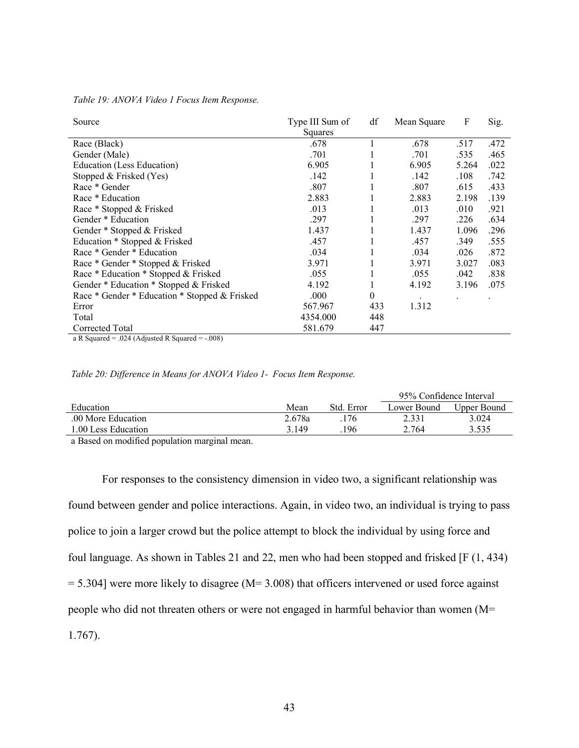| Source                                              | Type III Sum of | df       | Mean Square | F     | Sig. |
|-----------------------------------------------------|-----------------|----------|-------------|-------|------|
|                                                     | Squares         |          |             |       |      |
| Race (Black)                                        | .678            |          | .678        | .517  | .472 |
| Gender (Male)                                       | .701            |          | .701        | .535  | .465 |
| Education (Less Education)                          | 6.905           |          | 6.905       | 5.264 | .022 |
| Stopped & Frisked (Yes)                             | .142            |          | .142        | .108  | .742 |
| Race * Gender                                       | .807            |          | .807        | .615  | .433 |
| Race * Education                                    | 2.883           |          | 2.883       | 2.198 | .139 |
| Race * Stopped & Frisked                            | .013            |          | .013        | .010  | .921 |
| Gender * Education                                  | .297            |          | .297        | .226  | .634 |
| Gender * Stopped & Frisked                          | 1.437           |          | 1.437       | 1.096 | .296 |
| Education * Stopped & Frisked                       | .457            |          | .457        | .349  | .555 |
| Race * Gender * Education                           | .034            |          | .034        | .026  | .872 |
| Race * Gender * Stopped & Frisked                   | 3.971           |          | 3.971       | 3.027 | .083 |
| Race * Education * Stopped & Frisked                | .055            |          | .055        | .042  | .838 |
| Gender * Education * Stopped & Frisked              | 4.192           |          | 4.192       | 3.196 | .075 |
| Race * Gender * Education * Stopped & Frisked       | .000            | $\theta$ |             |       |      |
| Error                                               | 567.967         | 433      | 1.312       |       |      |
| Total                                               | 4354.000        | 448      |             |       |      |
| Corrected Total                                     | 581.679         | 447      |             |       |      |
| $\alpha$ P Squared = 024 (Adjusted P Squared = 008) |                 |          |             |       |      |

*Table 19: ANOVA Video 1 Focus Item Response.* 

a R Squared = .024 (Adjusted R Squared = -.008)

### *Table 20: Difference in Means for ANOVA Video 1- Focus Item Response.*

|                    |        |           | 95% Confidence Interval |             |  |
|--------------------|--------|-----------|-------------------------|-------------|--|
| Education          | Mean   | Std Error | Lower Bound             | Upper Bound |  |
| .00 More Education | 2.678a | .176      | 2.331                   | 3.024       |  |
| 00 Less Education  | 3 149  | 196       | 2.764                   | 3.535       |  |
|                    |        |           |                         |             |  |

a Based on modified population marginal mean.

For responses to the consistency dimension in video two, a significant relationship was found between gender and police interactions. Again, in video two, an individual is trying to pass police to join a larger crowd but the police attempt to block the individual by using force and foul language. As shown in Tables 21 and 22, men who had been stopped and frisked [F (1, 434)  $= 5.304$ ] were more likely to disagree (M= 3.008) that officers intervened or used force against people who did not threaten others or were not engaged in harmful behavior than women (M= 1.767).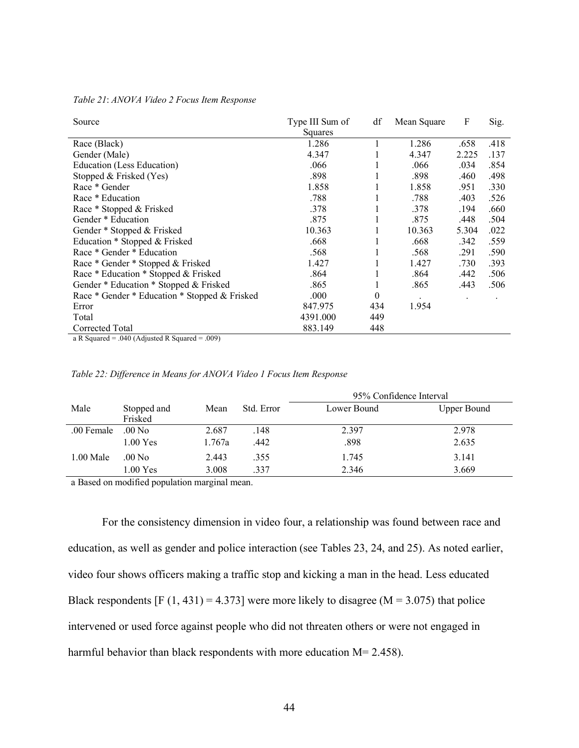| Source                                                    | Type III Sum of | df           | Mean Square | $\boldsymbol{\mathrm{F}}$ | Sig. |
|-----------------------------------------------------------|-----------------|--------------|-------------|---------------------------|------|
|                                                           | Squares         |              |             |                           |      |
| Race (Black)                                              | 1.286           |              | 1.286       | .658                      | .418 |
| Gender (Male)                                             | 4.347           |              | 4.347       | 2.225                     | .137 |
| Education (Less Education)                                | .066            |              | .066        | .034                      | .854 |
| Stopped & Frisked (Yes)                                   | .898            |              | .898        | .460                      | .498 |
| Race * Gender                                             | 1.858           |              | 1.858       | .951                      | .330 |
| Race * Education                                          | .788            |              | .788        | .403                      | .526 |
| Race * Stopped & Frisked                                  | .378            |              | .378        | .194                      | .660 |
| Gender * Education                                        | .875            |              | .875        | .448                      | .504 |
| Gender * Stopped & Frisked                                | 10.363          |              | 10.363      | 5.304                     | .022 |
| Education * Stopped & Frisked                             | .668            |              | .668        | .342                      | .559 |
| Race * Gender * Education                                 | .568            | $\mathbf{I}$ | .568        | .291                      | .590 |
| Race * Gender * Stopped & Frisked                         | 1.427           |              | 1.427       | .730                      | .393 |
| Race * Education * Stopped & Frisked                      | .864            |              | .864        | .442                      | .506 |
| Gender * Education * Stopped & Frisked                    | .865            |              | .865        | .443                      | .506 |
| Race * Gender * Education * Stopped & Frisked             | .000            | $\theta$     |             |                           |      |
| Error                                                     | 847.975         | 434          | 1.954       |                           |      |
| Total                                                     | 4391.000        | 449          |             |                           |      |
| Corrected Total                                           | 883.149         | 448          |             |                           |      |
| $\Omega_{\rm D}$ Caustad = 040 (Adjusted D Caustad = 000) |                 |              |             |                           |      |

*Table 21*: *ANOVA Video 2 Focus Item Response*

a R Squared = .040 (Adjusted R Squared = .009)

|             |                        |        |            | 95% Confidence Interval |                    |  |  |  |
|-------------|------------------------|--------|------------|-------------------------|--------------------|--|--|--|
| Male        | Stopped and<br>Frisked | Mean   | Std. Error | Lower Bound             | <b>Upper Bound</b> |  |  |  |
| .00 Female  | $.00\ N$ o             | 2.687  | .148       | 2.397                   | 2.978              |  |  |  |
|             | $1.00$ Yes             | 1.767a | .442       | .898                    | 2.635              |  |  |  |
| $1.00$ Male | .00 No.                | 2.443  | .355       | 1.745                   | 3.141              |  |  |  |
|             | 1.00 Yes               | 3.008  | .337       | 2.346                   | 3.669              |  |  |  |

*Table 22: Difference in Means for ANOVA Video 1 Focus Item Response*

a Based on modified population marginal mean.

For the consistency dimension in video four, a relationship was found between race and education, as well as gender and police interaction (see Tables 23, 24, and 25). As noted earlier, video four shows officers making a traffic stop and kicking a man in the head. Less educated Black respondents  $[F (1, 431) = 4.373]$  were more likely to disagree  $(M = 3.075)$  that police intervened or used force against people who did not threaten others or were not engaged in harmful behavior than black respondents with more education  $M= 2.458$ ).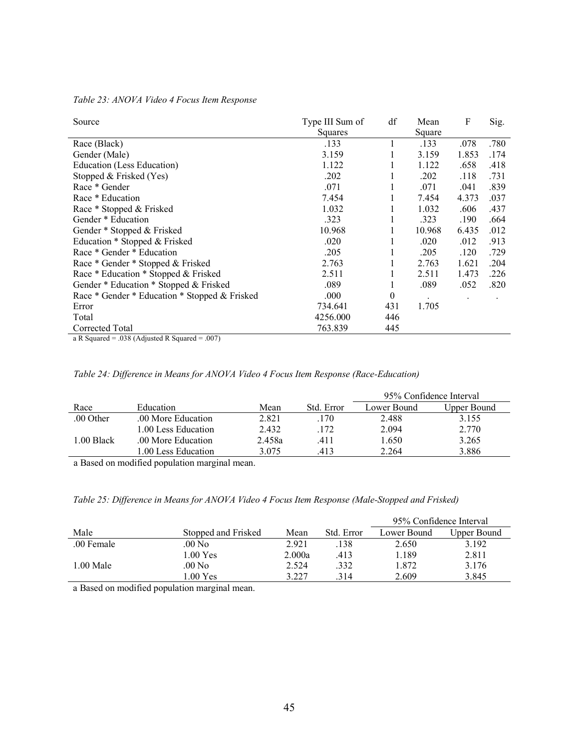| Source                                         | Type III Sum of | df  | Mean   | F     | Sig. |
|------------------------------------------------|-----------------|-----|--------|-------|------|
|                                                | Squares         |     | Square |       |      |
| Race (Black)                                   | .133            |     | .133   | .078  | .780 |
| Gender (Male)                                  | 3.159           |     | 3.159  | 1.853 | .174 |
| Education (Less Education)                     | 1.122           |     | 1.122  | .658  | .418 |
| Stopped & Frisked (Yes)                        | .202            |     | .202   | .118  | .731 |
| Race * Gender                                  | .071            |     | .071   | .041  | .839 |
| Race * Education                               | 7.454           |     | 7.454  | 4.373 | .037 |
| Race * Stopped & Frisked                       | 1.032           |     | 1.032  | .606  | .437 |
| Gender * Education                             | .323            |     | .323   | .190  | .664 |
| Gender * Stopped & Frisked                     | 10.968          |     | 10.968 | 6.435 | .012 |
| Education * Stopped & Frisked                  | .020            |     | .020   | .012  | .913 |
| Race * Gender * Education                      | .205            |     | .205   | .120  | .729 |
| Race * Gender * Stopped & Frisked              | 2.763           |     | 2.763  | 1.621 | .204 |
| Race * Education * Stopped & Frisked           | 2.511           |     | 2.511  | 1.473 | .226 |
| Gender * Education * Stopped & Frisked         | .089            | 1   | .089   | .052  | .820 |
| Race * Gender * Education * Stopped & Frisked  | .000            | 0   |        |       |      |
| Error                                          | 734.641         | 431 | 1.705  |       |      |
| Total                                          | 4256.000        | 446 |        |       |      |
| Corrected Total                                | 763.839         | 445 |        |       |      |
| a R Squared = .038 (Adjusted R Squared = .007) |                 |     |        |       |      |

*Table 23: ANOVA Video 4 Focus Item Response*

|            |                     |        |            | 95% Confidence Interval |             |  |
|------------|---------------------|--------|------------|-------------------------|-------------|--|
| Race       | Education           | Mean   | Std. Error | Lower Bound             | Upper Bound |  |
| .00 Other  | .00 More Education  | 2.821  | .170       | 2.488                   | 3.155       |  |
|            | 1.00 Less Education | 2.432  | .172       | 2.094                   | 2.770       |  |
| 1.00 Black | .00 More Education  | 2.458a | .411       | 1.650                   | 3.265       |  |
|            | 1.00 Less Education | 3.075  | 413        | 2.264                   | 3.886       |  |

a Based on modified population marginal mean.

# *Table 25: Difference in Means for ANOVA Video 4 Focus Item Response (Male-Stopped and Frisked)*

|            |                     |        |            | 95% Confidence Interval |             |  |
|------------|---------------------|--------|------------|-------------------------|-------------|--|
| Male       | Stopped and Frisked | Mean   | Std. Error | Lower Bound             | Upper Bound |  |
| .00 Female | .00 No.             | 2.921  | .138       | 2.650                   | 3.192       |  |
|            | $1.00 \text{ Yes}$  | 2.000a | .413       | 1.189                   | 2.811       |  |
| 1.00 Male  | .00 No              | 2.524  | .332       | 1.872                   | 3.176       |  |
|            | 1.00 Yes            | 3.227  | .314       | 2.609                   | 3.845       |  |

a Based on modified population marginal mean.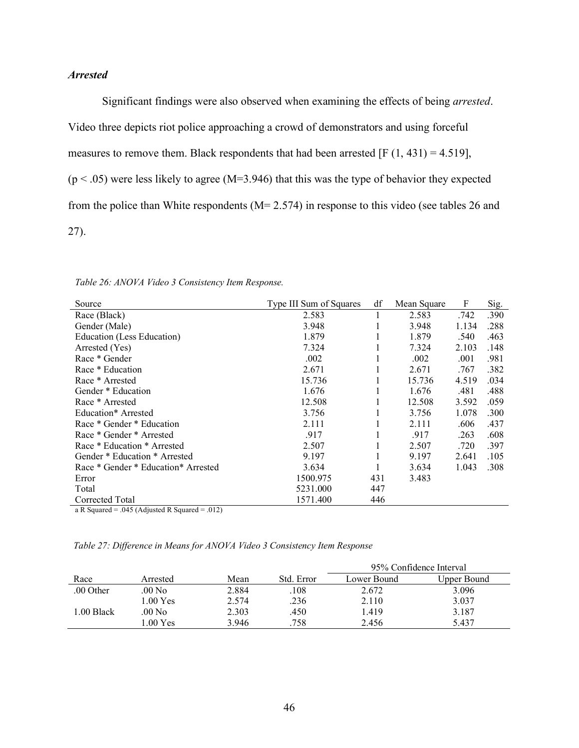# *Arrested*

Significant findings were also observed when examining the effects of being *arrested*. Video three depicts riot police approaching a crowd of demonstrators and using forceful measures to remove them. Black respondents that had been arrested  $[F(1, 431) = 4.519]$ ,  $(p < .05)$  were less likely to agree (M=3.946) that this was the type of behavior they expected from the police than White respondents (M= 2.574) in response to this video (see tables 26 and 27).

| Source                               | Type III Sum of Squares | df  | Mean Square | F     | Sig. |
|--------------------------------------|-------------------------|-----|-------------|-------|------|
| Race (Black)                         | 2.583                   |     | 2.583       | .742  | .390 |
| Gender (Male)                        | 3.948                   |     | 3.948       | 1.134 | .288 |
| Education (Less Education)           | 1.879                   |     | 1.879       | .540  | .463 |
| Arrested (Yes)                       | 7.324                   |     | 7.324       | 2.103 | .148 |
| Race * Gender                        | .002                    |     | .002        | .001  | .981 |
| Race * Education                     | 2.671                   |     | 2.671       | .767  | .382 |
| Race * Arrested                      | 15.736                  |     | 15.736      | 4.519 | .034 |
| Gender * Education                   | 1.676                   |     | 1.676       | .481  | .488 |
| Race * Arrested                      | 12.508                  |     | 12.508      | 3.592 | .059 |
| Education* Arrested                  | 3.756                   |     | 3.756       | 1.078 | .300 |
| Race * Gender * Education            | 2.111                   |     | 2.111       | .606  | .437 |
| Race * Gender * Arrested             | .917                    |     | .917        | .263  | .608 |
| Race * Education * Arrested          | 2.507                   |     | 2.507       | .720  | .397 |
| Gender * Education * Arrested        | 9.197                   |     | 9.197       | 2.641 | .105 |
| Race * Gender * Education * Arrested | 3.634                   |     | 3.634       | 1.043 | .308 |
| Error                                | 1500.975                | 431 | 3.483       |       |      |
| Total                                | 5231.000                | 447 |             |       |      |
| Corrected Total                      | 1571.400                | 446 |             |       |      |

*Table 26: ANOVA Video 3 Consistency Item Response.* 

a R Squared = .045 (Adjusted R Squared = .012)

*Table 27: Difference in Means for ANOVA Video 3 Consistency Item Response*

|            |           |       |            | 95% Confidence Interval |             |  |  |
|------------|-----------|-------|------------|-------------------------|-------------|--|--|
| Race       | Arrested  | Mean  | Std. Error | Lower Bound             | Upper Bound |  |  |
| .00 Other  | .00 No    | 2.884 | .108       | 2.672                   | 3.096       |  |  |
|            | $.00Y$ es | 2.574 | .236       | 2.110                   | 3.037       |  |  |
| 1.00 Black | .00 No    | 2.303 | .450       | 1.419                   | 3.187       |  |  |
|            | $.00$ Yes | 3.946 | .758       | 2.456                   | 5.437       |  |  |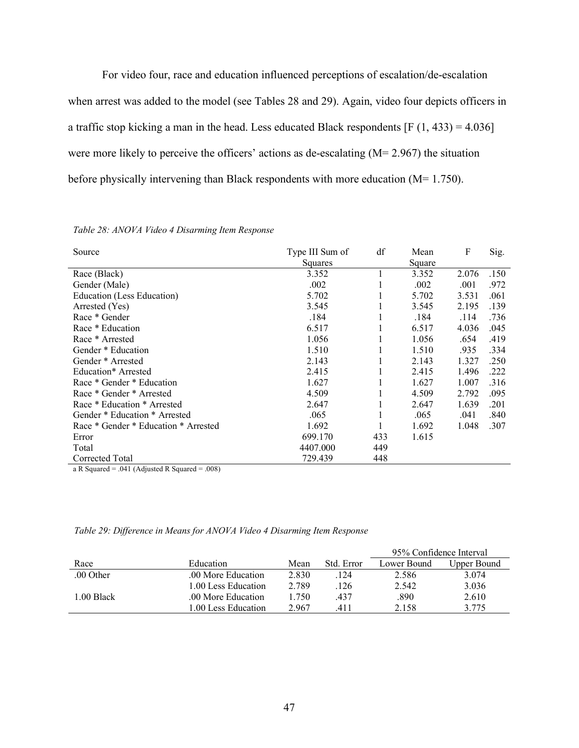For video four, race and education influenced perceptions of escalation/de-escalation when arrest was added to the model (see Tables 28 and 29). Again, video four depicts officers in a traffic stop kicking a man in the head. Less educated Black respondents  $[F (1, 433) = 4.036]$ were more likely to perceive the officers' actions as de-escalating (M= 2.967) the situation before physically intervening than Black respondents with more education (M= 1.750).

| Source                               | Type III Sum of | df  | Mean   | F     | Sig. |
|--------------------------------------|-----------------|-----|--------|-------|------|
|                                      | Squares         |     | Square |       |      |
| Race (Black)                         | 3.352           |     | 3.352  | 2.076 | .150 |
| Gender (Male)                        | .002            |     | .002   | .001  | .972 |
| Education (Less Education)           | 5.702           |     | 5.702  | 3.531 | .061 |
| Arrested (Yes)                       | 3.545           |     | 3.545  | 2.195 | .139 |
| Race * Gender                        | .184            |     | .184   | .114  | .736 |
| Race * Education                     | 6.517           |     | 6.517  | 4.036 | .045 |
| Race * Arrested                      | 1.056           |     | 1.056  | .654  | .419 |
| Gender * Education                   | 1.510           |     | 1.510  | .935  | .334 |
| Gender * Arrested                    | 2.143           |     | 2.143  | 1.327 | .250 |
| Education* Arrested                  | 2.415           |     | 2.415  | 1.496 | .222 |
| Race * Gender * Education            | 1.627           |     | 1.627  | 1.007 | .316 |
| Race * Gender * Arrested             | 4.509           |     | 4.509  | 2.792 | .095 |
| Race * Education * Arrested          | 2.647           |     | 2.647  | 1.639 | .201 |
| Gender * Education * Arrested        | .065            |     | .065   | .041  | .840 |
| Race * Gender * Education * Arrested | 1.692           |     | 1.692  | 1.048 | .307 |
| Error                                | 699.170         | 433 | 1.615  |       |      |
| Total                                | 4407.000        | 449 |        |       |      |
| Corrected Total                      | 729.439         | 448 |        |       |      |

#### *Table 28: ANOVA Video 4 Disarming Item Response*

a R Squared = .041 (Adjusted R Squared = .008)

|            |                     |       |            | 95% Confidence Interval |             |  |
|------------|---------------------|-------|------------|-------------------------|-------------|--|
| Race       | Education           | Mean  | Std. Error | Lower Bound             | Upper Bound |  |
| .00 Other  | .00 More Education  | 2.830 | .124       | 2.586                   | 3.074       |  |
|            | 1.00 Less Education | 2.789 | .126       | 2.542                   | 3.036       |  |
| 1.00 Black | .00 More Education  | 1.750 | .437       | .890                    | 2.610       |  |
|            | 1.00 Less Education | 2.967 | 411        | 2.158                   | 3.775       |  |

|  |  |  |  |  |  | Table 29: Difference in Means for ANOVA Video 4 Disarming Item Response |
|--|--|--|--|--|--|-------------------------------------------------------------------------|
|--|--|--|--|--|--|-------------------------------------------------------------------------|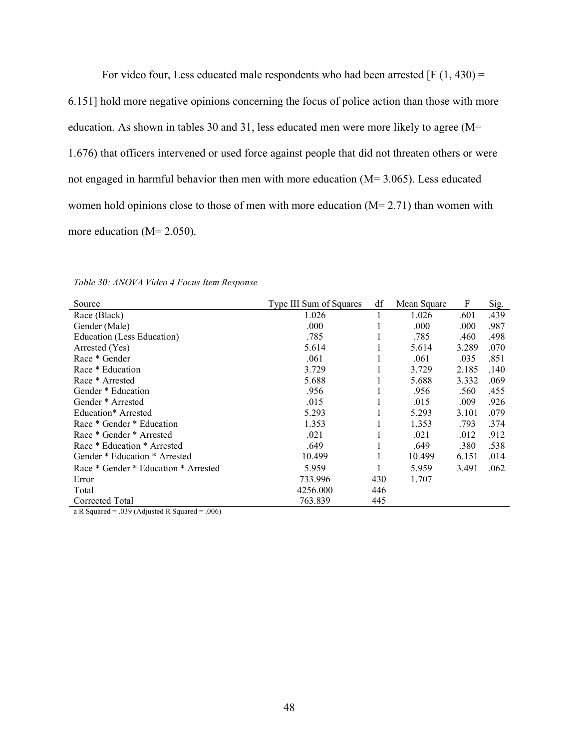For video four, Less educated male respondents who had been arrested  $[F(1, 430) =$ 6.151] hold more negative opinions concerning the focus of police action than those with more education. As shown in tables 30 and 31, less educated men were more likely to agree (M= 1.676) that officers intervened or used force against people that did not threaten others or were not engaged in harmful behavior then men with more education (M= 3.065). Less educated women hold opinions close to those of men with more education  $(M= 2.71)$  than women with more education (M= 2.050).

| Source                               | Type III Sum of Squares | df  | Mean Square | F     | Sig. |
|--------------------------------------|-------------------------|-----|-------------|-------|------|
| Race (Black)                         | 1.026                   |     | 1.026       | .601  | .439 |
| Gender (Male)                        | .000                    |     | .000        | .000  | .987 |
| Education (Less Education)           | .785                    |     | .785        | .460  | .498 |
| Arrested (Yes)                       | 5.614                   |     | 5.614       | 3.289 | .070 |
| Race * Gender                        | .061                    | 1   | .061        | .035  | .851 |
| Race * Education                     | 3.729                   | 1   | 3.729       | 2.185 | .140 |
| Race * Arrested                      | 5.688                   | л.  | 5.688       | 3.332 | .069 |
| Gender * Education                   | .956                    |     | .956        | .560  | .455 |
| Gender * Arrested                    | .015                    |     | .015        | .009  | .926 |
| Education* Arrested                  | 5.293                   |     | 5.293       | 3.101 | .079 |
| Race * Gender * Education            | 1.353                   |     | 1.353       | .793  | .374 |
| Race * Gender * Arrested             | .021                    |     | .021        | .012  | .912 |
| Race * Education * Arrested          | .649                    |     | .649        | .380  | .538 |
| Gender * Education * Arrested        | 10.499                  |     | 10.499      | 6.151 | .014 |
| Race * Gender * Education * Arrested | 5.959                   |     | 5.959       | 3.491 | .062 |
| Error                                | 733.996                 | 430 | 1.707       |       |      |
| Total                                | 4256.000                | 446 |             |       |      |
| Corrected Total                      | 763.839                 | 445 |             |       |      |

a R Squared = .039 (Adjusted R Squared = .006)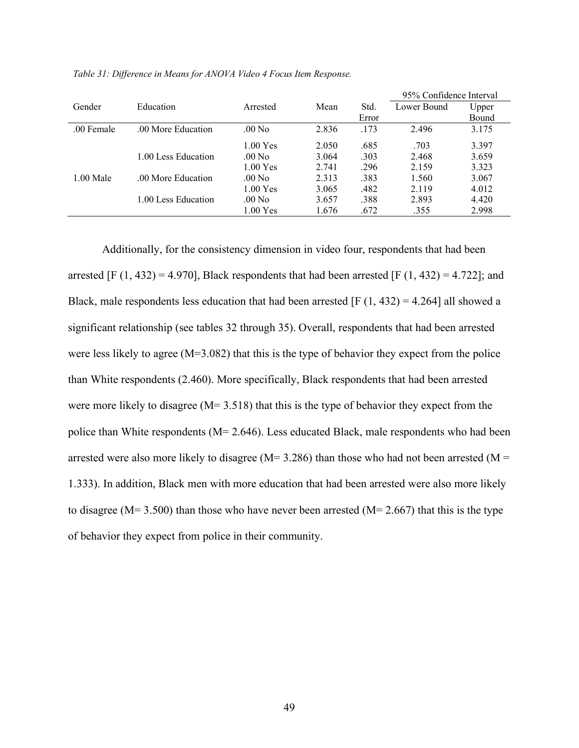|             |                     |                    |       |       | 95% Confidence Interval |       |  |
|-------------|---------------------|--------------------|-------|-------|-------------------------|-------|--|
| Gender      | Education           | Arrested           | Mean  | Std.  | Lower Bound             | Upper |  |
|             |                     |                    |       | Error |                         | Bound |  |
| .00 Female  | 00 More Education   | $.00\ \mathrm{No}$ | 2.836 | .173  | 2.496                   | 3.175 |  |
|             |                     | $1.00$ Yes         | 2.050 | .685  | .703                    | 3.397 |  |
|             | 1.00 Less Education | $.00\text{ No}$    | 3.064 | .303  | 2.468                   | 3.659 |  |
|             |                     | 1.00 Yes           | 2.741 | .296  | 2.159                   | 3.323 |  |
| $1.00$ Male | .00 More Education  | $.00\ N$ o         | 2.313 | .383  | 1.560                   | 3.067 |  |
|             |                     | $1.00$ Yes         | 3.065 | .482  | 2.119                   | 4.012 |  |
|             | 1.00 Less Education | $.00\ \mathrm{No}$ | 3.657 | .388  | 2.893                   | 4.420 |  |
|             |                     | 1.00 Yes           | 1.676 | .672  | .355                    | 2.998 |  |

*Table 31: Difference in Means for ANOVA Video 4 Focus Item Response.* 

Additionally, for the consistency dimension in video four, respondents that had been arrested [F  $(1, 432) = 4.970$ ], Black respondents that had been arrested [F  $(1, 432) = 4.722$ ]; and Black, male respondents less education that had been arrested [F  $(1, 432) = 4.264$ ] all showed a significant relationship (see tables 32 through 35). Overall, respondents that had been arrested were less likely to agree (M=3.082) that this is the type of behavior they expect from the police than White respondents (2.460). More specifically, Black respondents that had been arrested were more likely to disagree (M= 3.518) that this is the type of behavior they expect from the police than White respondents (M= 2.646). Less educated Black, male respondents who had been arrested were also more likely to disagree ( $M= 3.286$ ) than those who had not been arrested ( $M =$ 1.333). In addition, Black men with more education that had been arrested were also more likely to disagree ( $M= 3.500$ ) than those who have never been arrested ( $M= 2.667$ ) that this is the type of behavior they expect from police in their community.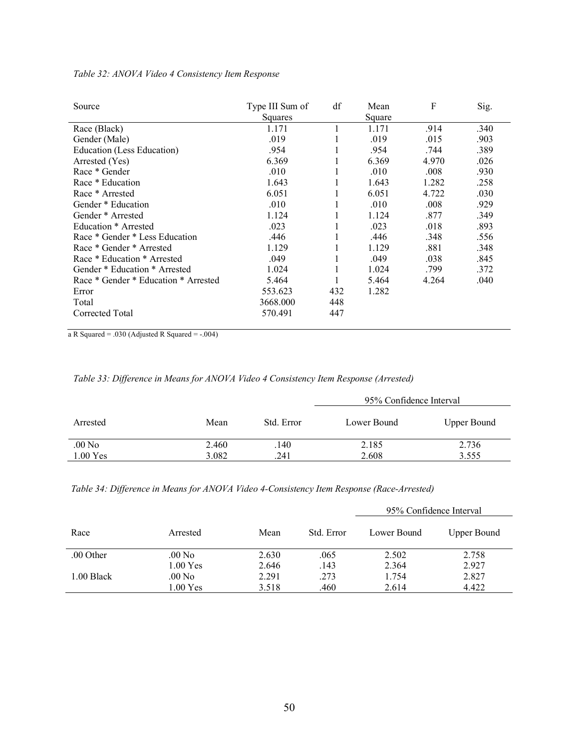| Source                               | Type III Sum of<br>Squares | df  | Mean<br>Square | F     | Sig. |
|--------------------------------------|----------------------------|-----|----------------|-------|------|
| Race (Black)                         | 1.171                      |     | 1.171          | .914  | .340 |
| Gender (Male)                        | .019                       |     | .019           | .015  | .903 |
| Education (Less Education)           | .954                       |     | .954           | .744  | .389 |
| Arrested (Yes)                       | 6.369                      |     | 6.369          | 4.970 | .026 |
| Race * Gender                        | .010                       |     | .010           | .008  | .930 |
| Race * Education                     | 1.643                      |     | 1.643          | 1.282 | .258 |
| Race * Arrested                      | 6.051                      |     | 6.051          | 4.722 | .030 |
| Gender * Education                   | .010                       |     | .010           | .008  | .929 |
| Gender * Arrested                    | 1.124                      |     | 1.124          | .877  | .349 |
| Education * Arrested                 | .023                       |     | .023           | .018  | .893 |
| Race * Gender * Less Education       | .446                       |     | .446           | .348  | .556 |
| Race * Gender * Arrested             | 1.129                      |     | 1.129          | .881  | .348 |
| Race * Education * Arrested          | .049                       |     | .049           | .038  | .845 |
| Gender * Education * Arrested        | 1.024                      |     | 1.024          | .799  | .372 |
| Race * Gender * Education * Arrested | 5.464                      |     | 5.464          | 4.264 | .040 |
| Error                                | 553.623                    | 432 | 1.282          |       |      |
| Total                                | 3668.000                   | 448 |                |       |      |
| Corrected Total                      | 570.491                    | 447 |                |       |      |
|                                      |                            |     |                |       |      |

## *Table 32: ANOVA Video 4 Consistency Item Response*

a R Squared = .030 (Adjusted R Squared = -.004)

*Table 33: Difference in Means for ANOVA Video 4 Consistency Item Response (Arrested)*

|                                |                |             | 95% Confidence Interval |                    |  |  |  |
|--------------------------------|----------------|-------------|-------------------------|--------------------|--|--|--|
| Arrested                       | Mean           | Std. Error  | Lower Bound             | <b>Upper Bound</b> |  |  |  |
| .00 N <sub>0</sub><br>1.00 Yes | 2.460<br>3.082 | .140<br>241 | 2.185<br>2.608          | 2.736<br>3.555     |  |  |  |
|                                |                |             |                         |                    |  |  |  |

*Table 34: Difference in Means for ANOVA Video 4-Consistency Item Response (Race-Arrested)*

|            |                    |       |            | 95% Confidence Interval |             |  |  |
|------------|--------------------|-------|------------|-------------------------|-------------|--|--|
| Race       | Arrested           | Mean  | Std. Error | Lower Bound             | Upper Bound |  |  |
| .00 Other  | $.00\ \mathrm{No}$ | 2.630 | .065       | 2.502                   | 2.758       |  |  |
|            | $1.00$ Yes         | 2.646 | .143       | 2.364                   | 2.927       |  |  |
| 1.00 Black | $.00\ \mathrm{No}$ | 2.291 | .273       | 1.754                   | 2.827       |  |  |
|            | 1.00 Yes           | 3.518 | .460       | 2.614                   | 4.422       |  |  |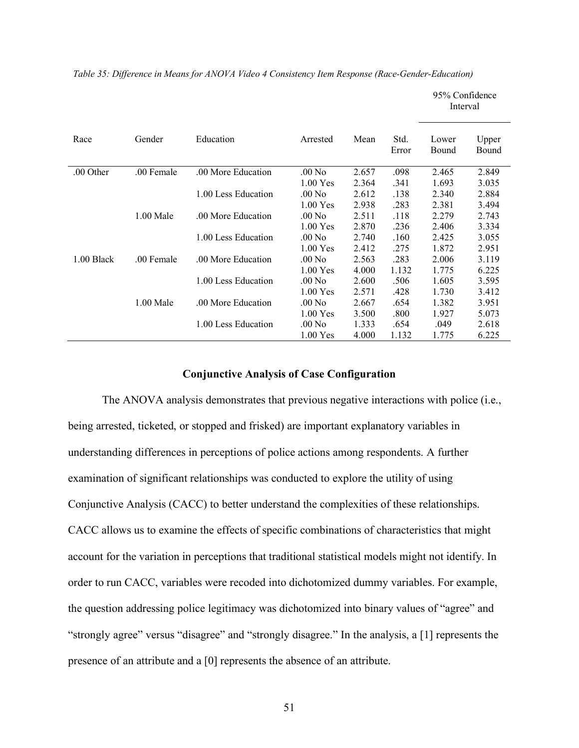95% Confidence Interval Race Gender Education Arrested Mean Std. Error Lower Bound Upper Bound .00 Other .00 Female .00 More Education .00 No 2.657 .098 2.465 2.849 1.00 Yes 2.364 .341 1.693 3.035 1.00 Less Education .00 No 2.612 .138 2.340 2.884 1.00 Yes 2.938 .283 2.381 3.494 1.00 Male .00 More Education .00 No 2.511 .118 2.279 2.743 1.00 Yes 2.870 .236 2.406 3.334 1.00 Less Education .00 No 2.740 .160 2.425 3.055 1.00 Yes 2.412 .275 1.872 2.951 1.00 Black .00 Female .00 More Education .00 No 2.563 .283 2.006 3.119 1.00 Yes 4.000 1.132 1.775 6.225 1.00 Less Education .00 No 2.600 .506 1.605 3.595 1.00 Yes 2.571 .428 1.730 3.412 1.00 Male .00 More Education .00 No 2.667 .654 1.382 3.951 1.00 Yes 3.500 .800 1.927 5.073 1.00 Less Education .00 No 1.333 .654 .049 2.618

*Table 35: Difference in Means for ANOVA Video 4 Consistency Item Response (Race-Gender-Education)*

## **Conjunctive Analysis of Case Configuration**

1.00 Yes 4.000 1.132 1.775 6.225

The ANOVA analysis demonstrates that previous negative interactions with police (i.e., being arrested, ticketed, or stopped and frisked) are important explanatory variables in understanding differences in perceptions of police actions among respondents. A further examination of significant relationships was conducted to explore the utility of using Conjunctive Analysis (CACC) to better understand the complexities of these relationships. CACC allows us to examine the effects of specific combinations of characteristics that might account for the variation in perceptions that traditional statistical models might not identify. In order to run CACC, variables were recoded into dichotomized dummy variables. For example, the question addressing police legitimacy was dichotomized into binary values of "agree" and "strongly agree" versus "disagree" and "strongly disagree." In the analysis, a [1] represents the presence of an attribute and a [0] represents the absence of an attribute.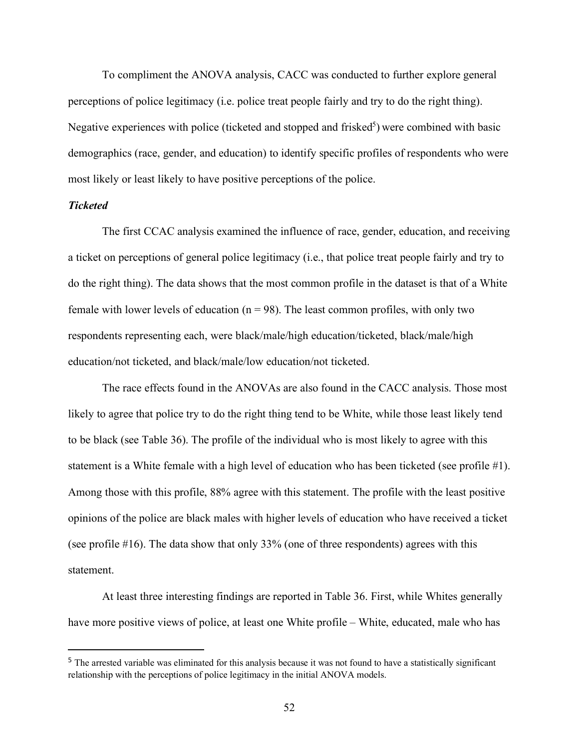To compliment the ANOVA analysis, CACC was conducted to further explore general perceptions of police legitimacy (i.e. police treat people fairly and try to do the right thing). Negative experiences with police (ticketed and stopped and frisked<sup>5</sup>) were combined with basic demographics (race, gender, and education) to identify specific profiles of respondents who were most likely or least likely to have positive perceptions of the police.

## *Ticketed*

The first CCAC analysis examined the influence of race, gender, education, and receiving a ticket on perceptions of general police legitimacy (i.e., that police treat people fairly and try to do the right thing). The data shows that the most common profile in the dataset is that of a White female with lower levels of education ( $n = 98$ ). The least common profiles, with only two respondents representing each, were black/male/high education/ticketed, black/male/high education/not ticketed, and black/male/low education/not ticketed.

The race effects found in the ANOVAs are also found in the CACC analysis. Those most likely to agree that police try to do the right thing tend to be White, while those least likely tend to be black (see Table 36). The profile of the individual who is most likely to agree with this statement is a White female with a high level of education who has been ticketed (see profile #1). Among those with this profile, 88% agree with this statement. The profile with the least positive opinions of the police are black males with higher levels of education who have received a ticket (see profile #16). The data show that only 33% (one of three respondents) agrees with this statement.

At least three interesting findings are reported in Table 36. First, while Whites generally have more positive views of police, at least one White profile – White, educated, male who has

<sup>&</sup>lt;sup>5</sup> The arrested variable was eliminated for this analysis because it was not found to have a statistically significant relationship with the perceptions of police legitimacy in the initial ANOVA models.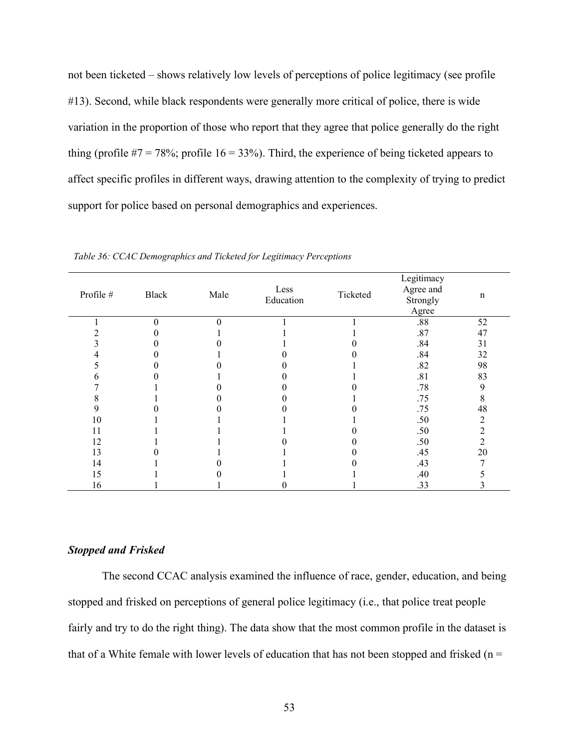not been ticketed – shows relatively low levels of perceptions of police legitimacy (see profile #13). Second, while black respondents were generally more critical of police, there is wide variation in the proportion of those who report that they agree that police generally do the right thing (profile  $#7 = 78\%$ ; profile  $16 = 33\%$ ). Third, the experience of being ticketed appears to affect specific profiles in different ways, drawing attention to the complexity of trying to predict support for police based on personal demographics and experiences.

| Profile # | Black    | Male     | Less<br>Education | Ticketed | Legitimacy<br>Agree and<br>Strongly<br>Agree | $\mathbf n$ |
|-----------|----------|----------|-------------------|----------|----------------------------------------------|-------------|
|           | $\Omega$ | $\theta$ |                   |          | $.88\,$                                      | 52          |
|           |          |          |                   |          | .87                                          | 47          |
|           |          |          |                   |          | .84                                          | 31          |
|           |          |          |                   |          | .84                                          | 32          |
|           |          |          |                   |          | .82                                          | 98          |
|           |          |          |                   |          | .81                                          | 83          |
|           |          |          |                   |          | .78                                          | 9           |
|           |          |          |                   |          | .75                                          | 8           |
| 9         |          |          |                   |          | .75                                          | 48          |
| 10        |          |          |                   |          | .50                                          | 2           |
| l 1       |          |          |                   |          | .50                                          | 2           |
| 12        |          |          |                   |          | .50                                          | 2           |
| 13        |          |          |                   |          | .45                                          | 20          |
| 14        |          |          |                   |          | .43                                          |             |
| 15        |          |          |                   |          | .40                                          |             |
| 16        |          |          |                   |          | .33                                          |             |

*Table 36: CCAC Demographics and Ticketed for Legitimacy Perceptions*

#### *Stopped and Frisked*

The second CCAC analysis examined the influence of race, gender, education, and being stopped and frisked on perceptions of general police legitimacy (i.e., that police treat people fairly and try to do the right thing). The data show that the most common profile in the dataset is that of a White female with lower levels of education that has not been stopped and frisked ( $n =$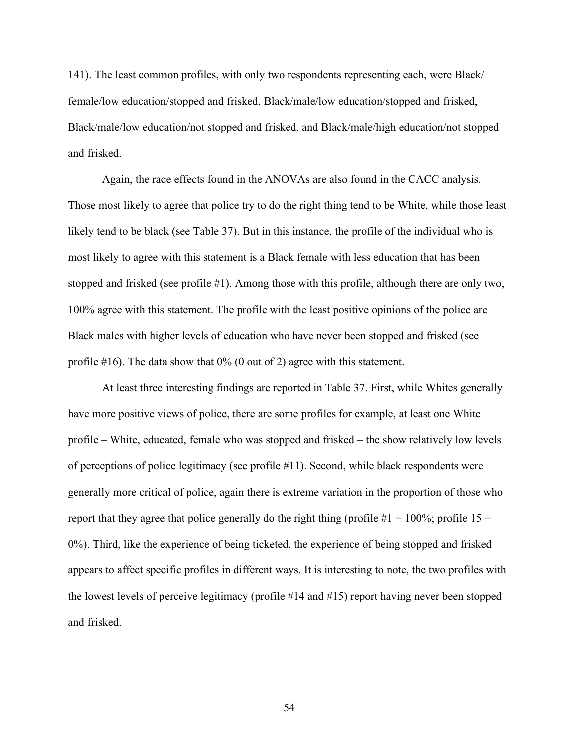141). The least common profiles, with only two respondents representing each, were Black/ female/low education/stopped and frisked, Black/male/low education/stopped and frisked, Black/male/low education/not stopped and frisked, and Black/male/high education/not stopped and frisked.

Again, the race effects found in the ANOVAs are also found in the CACC analysis. Those most likely to agree that police try to do the right thing tend to be White, while those least likely tend to be black (see Table 37). But in this instance, the profile of the individual who is most likely to agree with this statement is a Black female with less education that has been stopped and frisked (see profile #1). Among those with this profile, although there are only two, 100% agree with this statement. The profile with the least positive opinions of the police are Black males with higher levels of education who have never been stopped and frisked (see profile  $#16$ ). The data show that  $0\%$  (0 out of 2) agree with this statement.

At least three interesting findings are reported in Table 37. First, while Whites generally have more positive views of police, there are some profiles for example, at least one White profile – White, educated, female who was stopped and frisked – the show relatively low levels of perceptions of police legitimacy (see profile #11). Second, while black respondents were generally more critical of police, again there is extreme variation in the proportion of those who report that they agree that police generally do the right thing (profile  $#1 = 100\%$ ; profile 15 = 0%). Third, like the experience of being ticketed, the experience of being stopped and frisked appears to affect specific profiles in different ways. It is interesting to note, the two profiles with the lowest levels of perceive legitimacy (profile #14 and #15) report having never been stopped and frisked.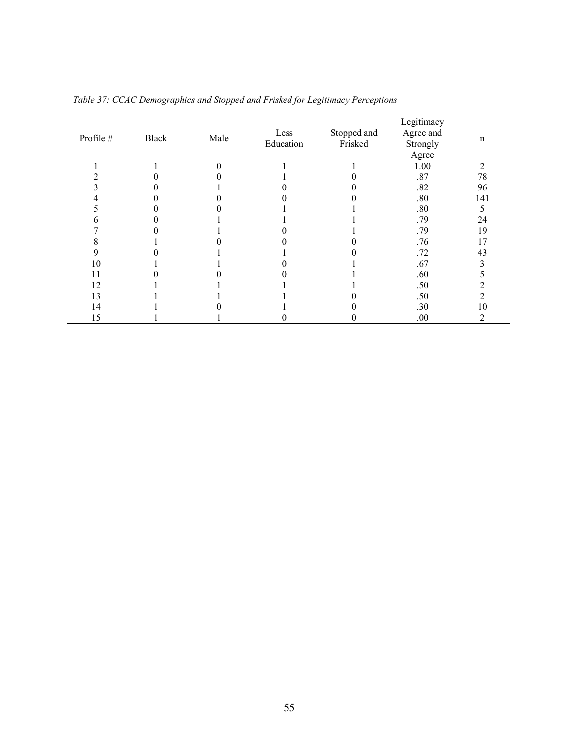| Profile # | Black | Male     | Less<br>Education | Stopped and<br>Frisked | Legitimacy<br>Agree and<br>Strongly<br>Agree | n              |
|-----------|-------|----------|-------------------|------------------------|----------------------------------------------|----------------|
|           |       | $\Omega$ |                   |                        | 1.00                                         | $\overline{2}$ |
|           |       |          |                   |                        | .87                                          | 78             |
|           |       |          |                   |                        | .82                                          | 96             |
|           |       |          |                   |                        | .80                                          | 141            |
|           |       |          |                   |                        | .80                                          | 5              |
|           |       |          |                   |                        | .79                                          | 24             |
|           |       |          |                   |                        | .79                                          | 19             |
|           |       |          |                   |                        | .76                                          | 17             |
|           |       |          |                   |                        | .72                                          | 43             |
| 10        |       |          |                   |                        | .67                                          |                |
| 11        |       |          |                   |                        | .60                                          |                |
| 12        |       |          |                   |                        | .50                                          |                |
| 3         |       |          |                   |                        | .50                                          |                |
| 4         |       |          |                   |                        | .30                                          | 10             |
| 15        |       |          |                   |                        | .00                                          |                |

|  |  |  |  |  | Table 37: CCAC Demographics and Stopped and Frisked for Legitimacy Perceptions |  |
|--|--|--|--|--|--------------------------------------------------------------------------------|--|
|  |  |  |  |  |                                                                                |  |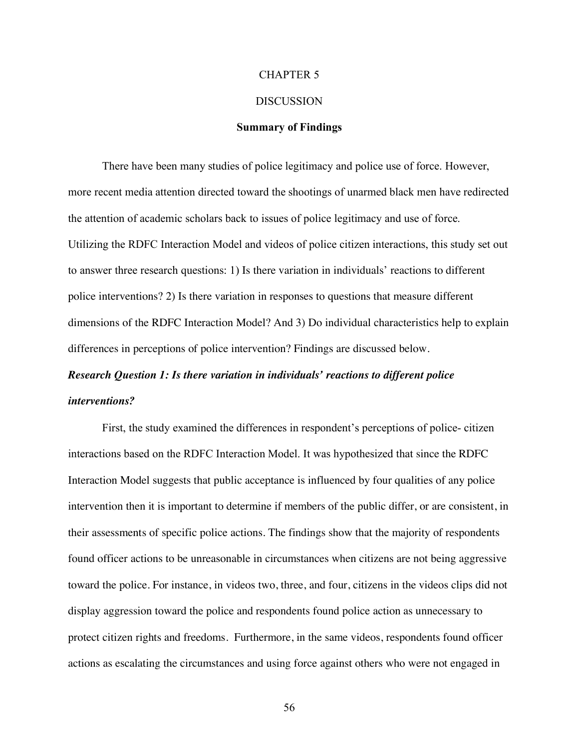#### CHAPTER 5

#### DISCUSSION

## **Summary of Findings**

There have been many studies of police legitimacy and police use of force. However, more recent media attention directed toward the shootings of unarmed black men have redirected the attention of academic scholars back to issues of police legitimacy and use of force. Utilizing the RDFC Interaction Model and videos of police citizen interactions, this study set out to answer three research questions: 1) Is there variation in individuals' reactions to different police interventions? 2) Is there variation in responses to questions that measure different dimensions of the RDFC Interaction Model? And 3) Do individual characteristics help to explain differences in perceptions of police intervention? Findings are discussed below.

# *Research Question 1: Is there variation in individuals' reactions to different police interventions?*

First, the study examined the differences in respondent's perceptions of police- citizen interactions based on the RDFC Interaction Model. It was hypothesized that since the RDFC Interaction Model suggests that public acceptance is influenced by four qualities of any police intervention then it is important to determine if members of the public differ, or are consistent, in their assessments of specific police actions. The findings show that the majority of respondents found officer actions to be unreasonable in circumstances when citizens are not being aggressive toward the police. For instance, in videos two, three, and four, citizens in the videos clips did not display aggression toward the police and respondents found police action as unnecessary to protect citizen rights and freedoms. Furthermore, in the same videos, respondents found officer actions as escalating the circumstances and using force against others who were not engaged in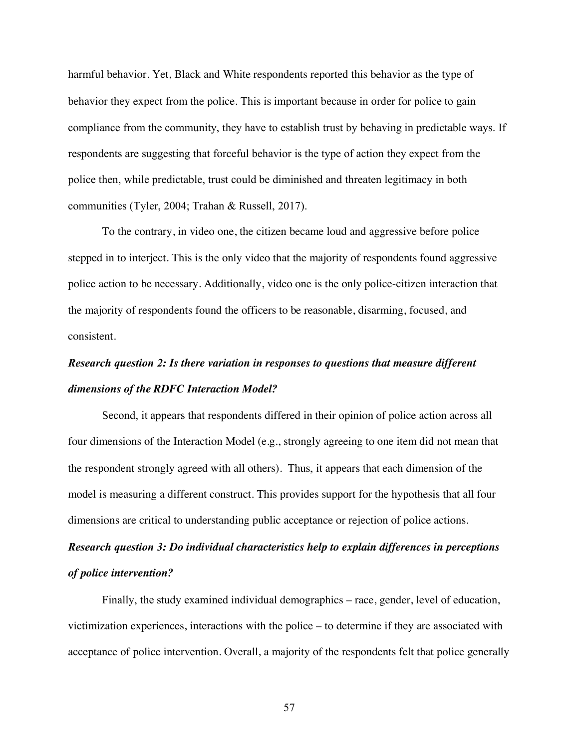harmful behavior. Yet, Black and White respondents reported this behavior as the type of behavior they expect from the police. This is important because in order for police to gain compliance from the community, they have to establish trust by behaving in predictable ways. If respondents are suggesting that forceful behavior is the type of action they expect from the police then, while predictable, trust could be diminished and threaten legitimacy in both communities (Tyler, 2004; Trahan & Russell, 2017).

To the contrary, in video one, the citizen became loud and aggressive before police stepped in to interject. This is the only video that the majority of respondents found aggressive police action to be necessary. Additionally, video one is the only police-citizen interaction that the majority of respondents found the officers to be reasonable, disarming, focused, and consistent.

# *Research question 2: Is there variation in responses to questions that measure different dimensions of the RDFC Interaction Model?*

Second, it appears that respondents differed in their opinion of police action across all four dimensions of the Interaction Model (e.g., strongly agreeing to one item did not mean that the respondent strongly agreed with all others). Thus, it appears that each dimension of the model is measuring a different construct. This provides support for the hypothesis that all four dimensions are critical to understanding public acceptance or rejection of police actions.

# *Research question 3: Do individual characteristics help to explain differences in perceptions of police intervention?*

Finally, the study examined individual demographics – race, gender, level of education, victimization experiences, interactions with the police – to determine if they are associated with acceptance of police intervention. Overall, a majority of the respondents felt that police generally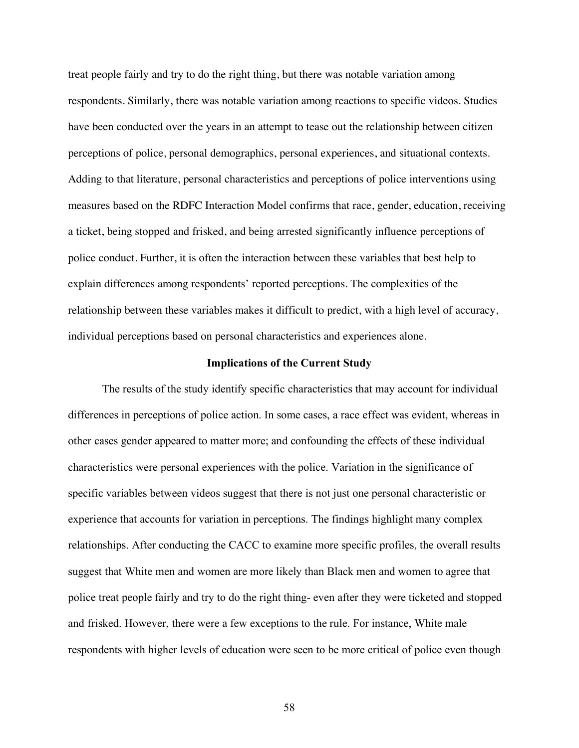treat people fairly and try to do the right thing, but there was notable variation among respondents. Similarly, there was notable variation among reactions to specific videos. Studies have been conducted over the years in an attempt to tease out the relationship between citizen perceptions of police, personal demographics, personal experiences, and situational contexts. Adding to that literature, personal characteristics and perceptions of police interventions using measures based on the RDFC Interaction Model confirms that race, gender, education, receiving a ticket, being stopped and frisked, and being arrested significantly influence perceptions of police conduct. Further, it is often the interaction between these variables that best help to explain differences among respondents' reported perceptions. The complexities of the relationship between these variables makes it difficult to predict, with a high level of accuracy, individual perceptions based on personal characteristics and experiences alone.

#### **Implications of the Current Study**

The results of the study identify specific characteristics that may account for individual differences in perceptions of police action. In some cases, a race effect was evident, whereas in other cases gender appeared to matter more; and confounding the effects of these individual characteristics were personal experiences with the police. Variation in the significance of specific variables between videos suggest that there is not just one personal characteristic or experience that accounts for variation in perceptions. The findings highlight many complex relationships. After conducting the CACC to examine more specific profiles, the overall results suggest that White men and women are more likely than Black men and women to agree that police treat people fairly and try to do the right thing- even after they were ticketed and stopped and frisked. However, there were a few exceptions to the rule. For instance, White male respondents with higher levels of education were seen to be more critical of police even though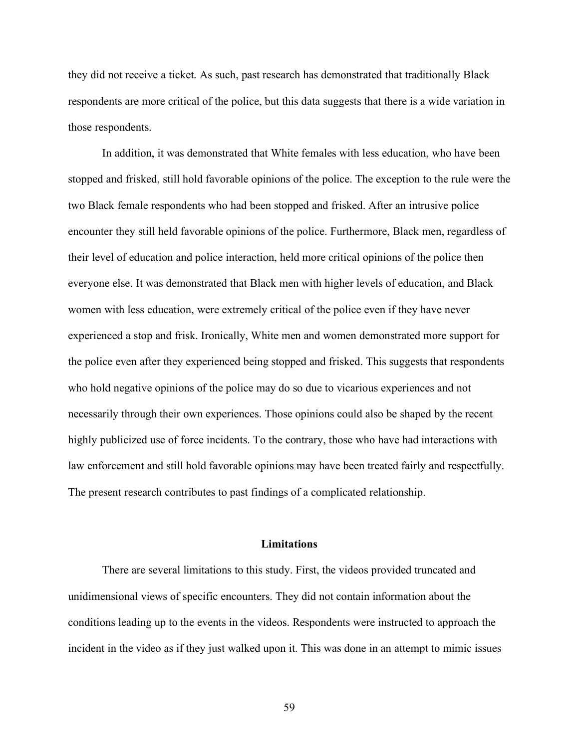they did not receive a ticket. As such, past research has demonstrated that traditionally Black respondents are more critical of the police, but this data suggests that there is a wide variation in those respondents.

In addition, it was demonstrated that White females with less education, who have been stopped and frisked, still hold favorable opinions of the police. The exception to the rule were the two Black female respondents who had been stopped and frisked. After an intrusive police encounter they still held favorable opinions of the police. Furthermore, Black men, regardless of their level of education and police interaction, held more critical opinions of the police then everyone else. It was demonstrated that Black men with higher levels of education, and Black women with less education, were extremely critical of the police even if they have never experienced a stop and frisk. Ironically, White men and women demonstrated more support for the police even after they experienced being stopped and frisked. This suggests that respondents who hold negative opinions of the police may do so due to vicarious experiences and not necessarily through their own experiences. Those opinions could also be shaped by the recent highly publicized use of force incidents. To the contrary, those who have had interactions with law enforcement and still hold favorable opinions may have been treated fairly and respectfully. The present research contributes to past findings of a complicated relationship.

#### **Limitations**

There are several limitations to this study. First, the videos provided truncated and unidimensional views of specific encounters. They did not contain information about the conditions leading up to the events in the videos. Respondents were instructed to approach the incident in the video as if they just walked upon it. This was done in an attempt to mimic issues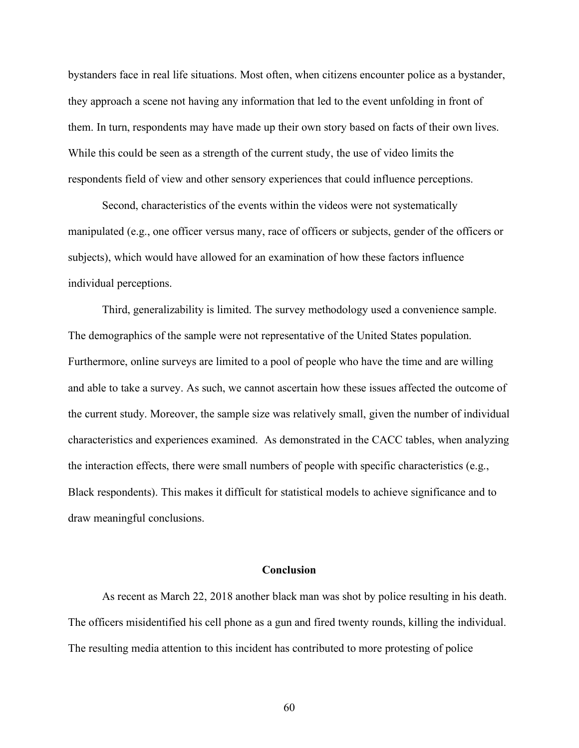bystanders face in real life situations. Most often, when citizens encounter police as a bystander, they approach a scene not having any information that led to the event unfolding in front of them. In turn, respondents may have made up their own story based on facts of their own lives. While this could be seen as a strength of the current study, the use of video limits the respondents field of view and other sensory experiences that could influence perceptions.

Second, characteristics of the events within the videos were not systematically manipulated (e.g., one officer versus many, race of officers or subjects, gender of the officers or subjects), which would have allowed for an examination of how these factors influence individual perceptions.

Third, generalizability is limited. The survey methodology used a convenience sample. The demographics of the sample were not representative of the United States population. Furthermore, online surveys are limited to a pool of people who have the time and are willing and able to take a survey. As such, we cannot ascertain how these issues affected the outcome of the current study. Moreover, the sample size was relatively small, given the number of individual characteristics and experiences examined. As demonstrated in the CACC tables, when analyzing the interaction effects, there were small numbers of people with specific characteristics (e.g., Black respondents). This makes it difficult for statistical models to achieve significance and to draw meaningful conclusions.

## **Conclusion**

As recent as March 22, 2018 another black man was shot by police resulting in his death. The officers misidentified his cell phone as a gun and fired twenty rounds, killing the individual. The resulting media attention to this incident has contributed to more protesting of police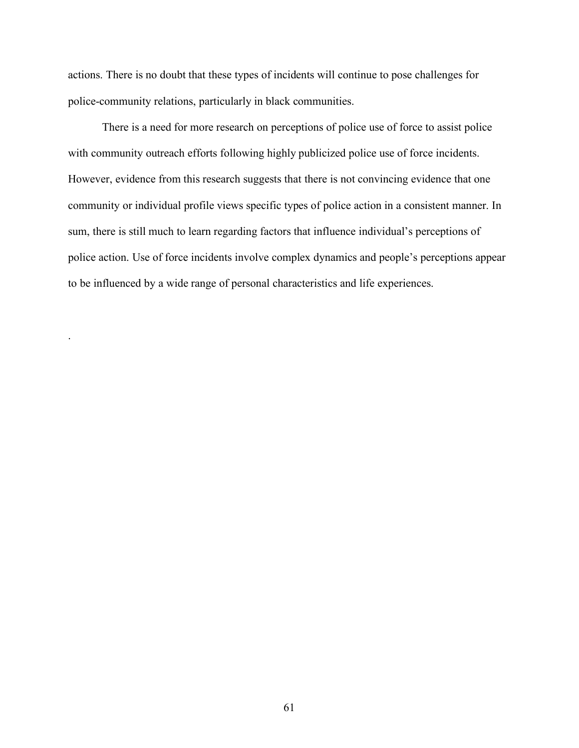actions. There is no doubt that these types of incidents will continue to pose challenges for police-community relations, particularly in black communities.

There is a need for more research on perceptions of police use of force to assist police with community outreach efforts following highly publicized police use of force incidents. However, evidence from this research suggests that there is not convincing evidence that one community or individual profile views specific types of police action in a consistent manner. In sum, there is still much to learn regarding factors that influence individual's perceptions of police action. Use of force incidents involve complex dynamics and people's perceptions appear to be influenced by a wide range of personal characteristics and life experiences.

.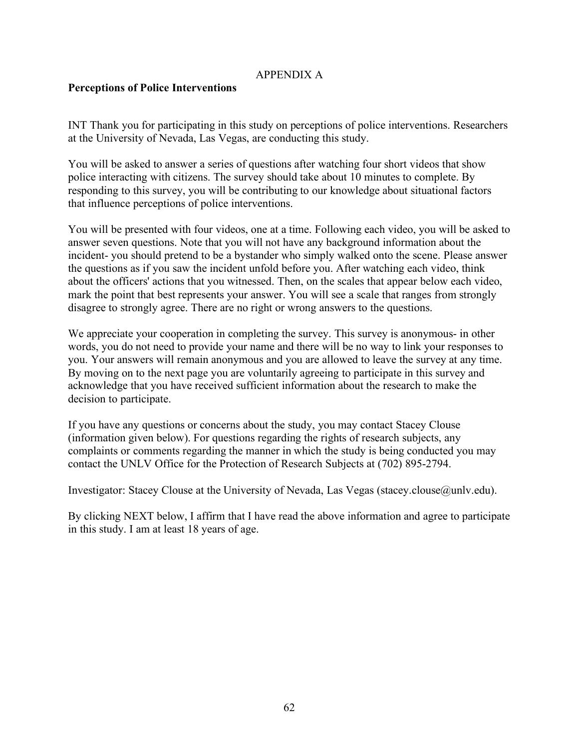### APPENDIX A

#### **Perceptions of Police Interventions**

INT Thank you for participating in this study on perceptions of police interventions. Researchers at the University of Nevada, Las Vegas, are conducting this study.

You will be asked to answer a series of questions after watching four short videos that show police interacting with citizens. The survey should take about 10 minutes to complete. By responding to this survey, you will be contributing to our knowledge about situational factors that influence perceptions of police interventions.

You will be presented with four videos, one at a time. Following each video, you will be asked to answer seven questions. Note that you will not have any background information about the incident- you should pretend to be a bystander who simply walked onto the scene. Please answer the questions as if you saw the incident unfold before you. After watching each video, think about the officers' actions that you witnessed. Then, on the scales that appear below each video, mark the point that best represents your answer. You will see a scale that ranges from strongly disagree to strongly agree. There are no right or wrong answers to the questions.

We appreciate your cooperation in completing the survey. This survey is anonymous- in other words, you do not need to provide your name and there will be no way to link your responses to you. Your answers will remain anonymous and you are allowed to leave the survey at any time. By moving on to the next page you are voluntarily agreeing to participate in this survey and acknowledge that you have received sufficient information about the research to make the decision to participate.

If you have any questions or concerns about the study, you may contact Stacey Clouse (information given below). For questions regarding the rights of research subjects, any complaints or comments regarding the manner in which the study is being conducted you may contact the UNLV Office for the Protection of Research Subjects at (702) 895-2794.

Investigator: Stacey Clouse at the University of Nevada, Las Vegas (stacey.clouse@unlv.edu).

By clicking NEXT below, I affirm that I have read the above information and agree to participate in this study. I am at least 18 years of age.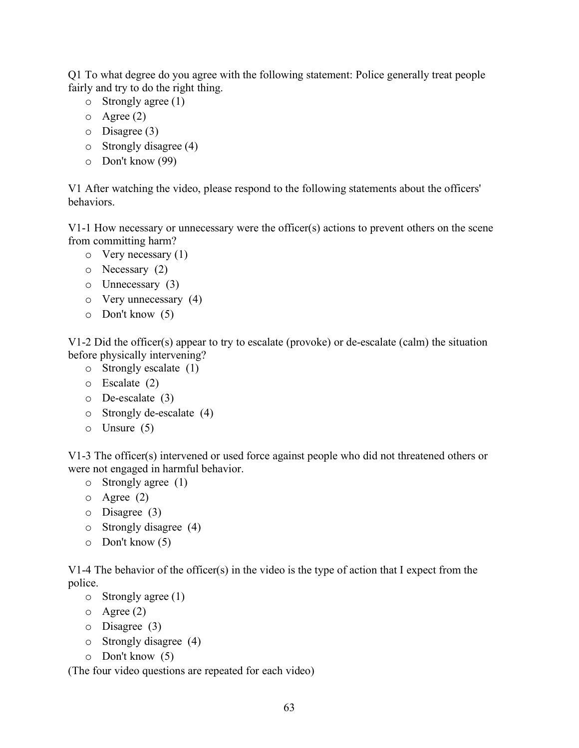Q1 To what degree do you agree with the following statement: Police generally treat people fairly and try to do the right thing.

- o Strongly agree (1)
- $\circ$  Agree (2)
- o Disagree (3)
- o Strongly disagree (4)
- o Don't know (99)

V1 After watching the video, please respond to the following statements about the officers' behaviors.

V1-1 How necessary or unnecessary were the officer(s) actions to prevent others on the scene from committing harm?

- $\circ$  Very necessary (1)
- o Necessary (2)
- o Unnecessary (3)
- o Very unnecessary (4)
- o Don't know (5)

V1-2 Did the officer(s) appear to try to escalate (provoke) or de-escalate (calm) the situation before physically intervening?

- o Strongly escalate (1)
- o Escalate (2)
- o De-escalate (3)
- o Strongly de-escalate (4)
- o Unsure (5)

V1-3 The officer(s) intervened or used force against people who did not threatened others or were not engaged in harmful behavior.

- o Strongly agree (1)
- o Agree (2)
- o Disagree (3)
- o Strongly disagree (4)
- o Don't know (5)

V1-4 The behavior of the officer(s) in the video is the type of action that I expect from the police.

- o Strongly agree (1)
- $\circ$  Agree (2)
- o Disagree (3)
- o Strongly disagree (4)
- o Don't know (5)

(The four video questions are repeated for each video)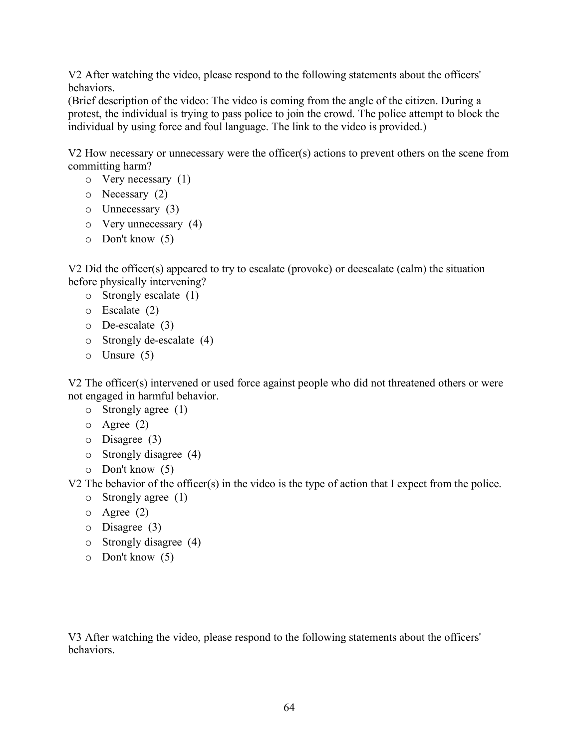V2 After watching the video, please respond to the following statements about the officers' behaviors.

(Brief description of the video: The video is coming from the angle of the citizen. During a protest, the individual is trying to pass police to join the crowd. The police attempt to block the individual by using force and foul language. The link to the video is provided.)

V2 How necessary or unnecessary were the officer(s) actions to prevent others on the scene from committing harm?

- o Very necessary (1)
- o Necessary (2)
- o Unnecessary (3)
- o Very unnecessary (4)
- o Don't know (5)

V2 Did the officer(s) appeared to try to escalate (provoke) or deescalate (calm) the situation before physically intervening?

- o Strongly escalate (1)
- o Escalate (2)
- o De-escalate (3)
- o Strongly de-escalate (4)
- o Unsure (5)

V2 The officer(s) intervened or used force against people who did not threatened others or were not engaged in harmful behavior.

- o Strongly agree (1)
- o Agree (2)
- o Disagree (3)
- o Strongly disagree (4)
- o Don't know (5)

V2 The behavior of the officer(s) in the video is the type of action that I expect from the police.

- o Strongly agree (1)
- o Agree (2)
- o Disagree (3)
- o Strongly disagree (4)
- o Don't know (5)

V3 After watching the video, please respond to the following statements about the officers' behaviors.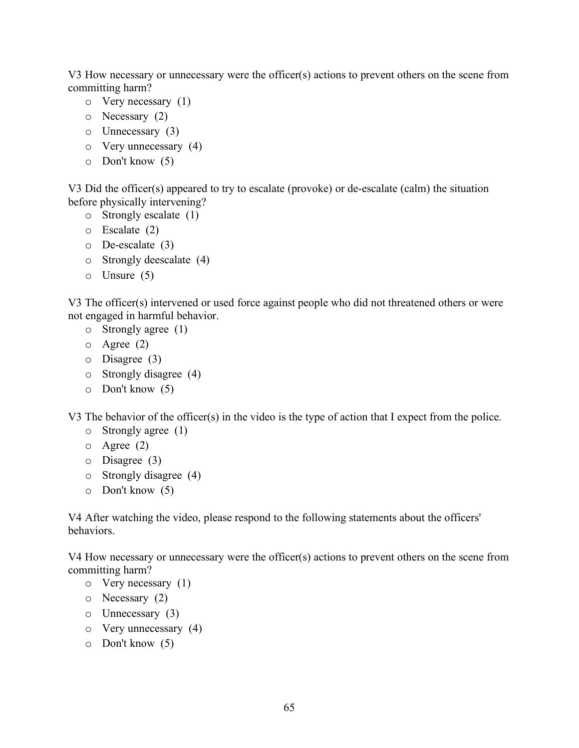V3 How necessary or unnecessary were the officer(s) actions to prevent others on the scene from committing harm?

- o Very necessary (1)
- o Necessary (2)
- o Unnecessary (3)
- o Very unnecessary (4)
- o Don't know (5)

V3 Did the officer(s) appeared to try to escalate (provoke) or de-escalate (calm) the situation before physically intervening?

- o Strongly escalate (1)
- o Escalate (2)
- o De-escalate (3)
- o Strongly deescalate (4)
- o Unsure (5)

V3 The officer(s) intervened or used force against people who did not threatened others or were not engaged in harmful behavior.

- o Strongly agree (1)
- o Agree (2)
- o Disagree (3)
- o Strongly disagree (4)
- o Don't know (5)

V3 The behavior of the officer(s) in the video is the type of action that I expect from the police.

- o Strongly agree (1)
- o Agree (2)
- o Disagree (3)
- o Strongly disagree (4)
- o Don't know (5)

V4 After watching the video, please respond to the following statements about the officers' behaviors.

V4 How necessary or unnecessary were the officer(s) actions to prevent others on the scene from committing harm?

- $\circ$  Very necessary (1)
- o Necessary (2)
- o Unnecessary (3)
- o Very unnecessary (4)
- o Don't know (5)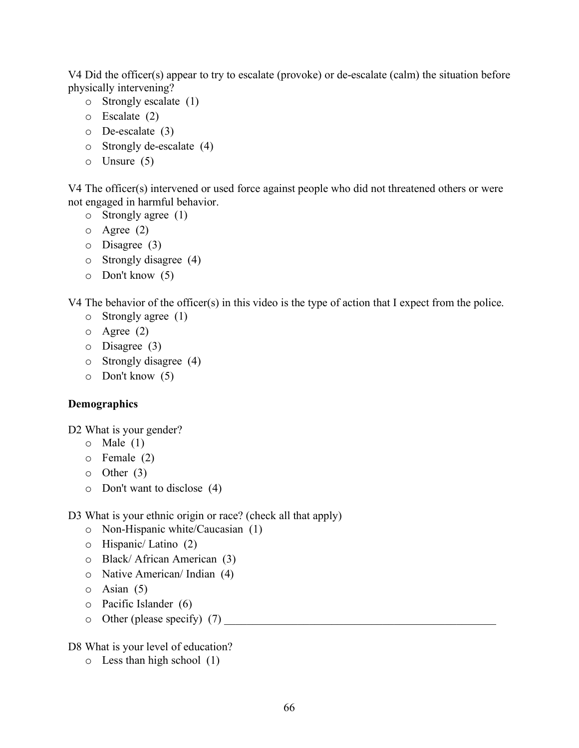V4 Did the officer(s) appear to try to escalate (provoke) or de-escalate (calm) the situation before physically intervening?

- o Strongly escalate (1)
- o Escalate (2)
- o De-escalate (3)
- o Strongly de-escalate (4)
- o Unsure (5)

V4 The officer(s) intervened or used force against people who did not threatened others or were not engaged in harmful behavior.

- o Strongly agree (1)
- o Agree (2)
- o Disagree (3)
- o Strongly disagree (4)
- o Don't know (5)

V4 The behavior of the officer(s) in this video is the type of action that I expect from the police.

- o Strongly agree (1)
- o Agree (2)
- o Disagree (3)
- o Strongly disagree (4)
- o Don't know (5)

### **Demographics**

D2 What is your gender?

- $\circ$  Male (1)
- o Female (2)
- $\circ$  Other (3)
- o Don't want to disclose (4)
- D3 What is your ethnic origin or race? (check all that apply)
	- o Non-Hispanic white/Caucasian (1)
	- o Hispanic/ Latino (2)
	- o Black/ African American (3)
	- o Native American/ Indian (4)
	- $\circ$  Asian (5)
	- o Pacific Islander (6)
	- o Other (please specify) (7) \_\_\_\_\_\_\_\_\_\_\_\_\_\_\_\_\_\_\_\_\_\_\_\_\_\_\_\_\_\_\_\_\_\_\_\_\_\_\_\_\_\_\_\_\_\_\_\_

D8 What is your level of education?

o Less than high school (1)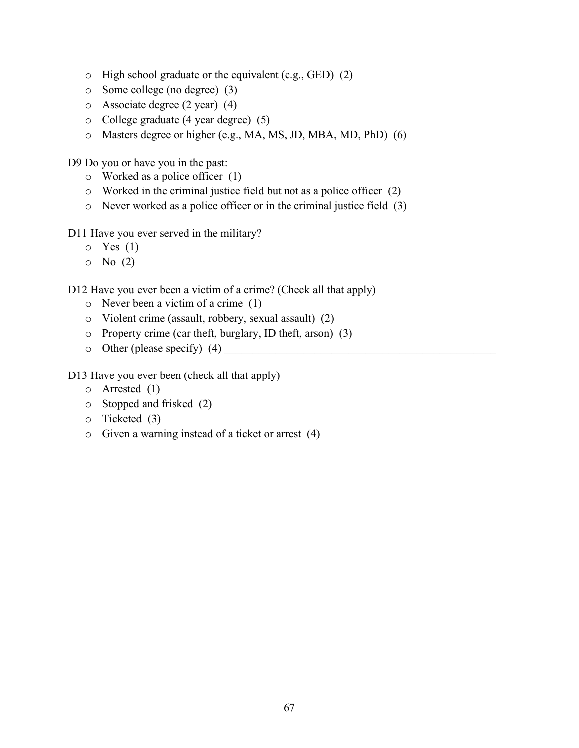- o High school graduate or the equivalent (e.g., GED) (2)
- o Some college (no degree) (3)
- o Associate degree (2 year) (4)
- o College graduate (4 year degree) (5)
- o Masters degree or higher (e.g., MA, MS, JD, MBA, MD, PhD) (6)

D9 Do you or have you in the past:

- o Worked as a police officer (1)
- o Worked in the criminal justice field but not as a police officer (2)
- o Never worked as a police officer or in the criminal justice field (3)

D11 Have you ever served in the military?

- $\circ$  Yes (1)
- $\circ$  No  $(2)$

D12 Have you ever been a victim of a crime? (Check all that apply)

- o Never been a victim of a crime (1)
- o Violent crime (assault, robbery, sexual assault) (2)
- o Property crime (car theft, burglary, ID theft, arson) (3)
- $\circ$  Other (please specify) (4)

D13 Have you ever been (check all that apply)

- o Arrested (1)
- o Stopped and frisked (2)
- o Ticketed (3)
- o Given a warning instead of a ticket or arrest (4)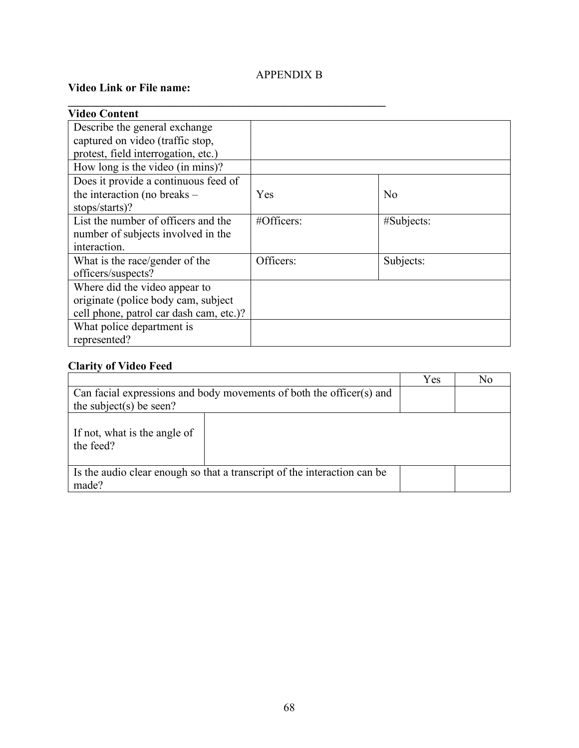# APPENDIX B

 $\mathcal{L} = \{ \mathcal{L} \mid \mathcal{L} \in \mathcal{L} \}$ 

# **Video Link or File name:**

| <b>Video Content</b>                    |               |                |
|-----------------------------------------|---------------|----------------|
| Describe the general exchange           |               |                |
| captured on video (traffic stop,        |               |                |
| protest, field interrogation, etc.)     |               |                |
| How long is the video (in mins)?        |               |                |
| Does it provide a continuous feed of    |               |                |
| the interaction (no breaks –            | Yes           | N <sub>0</sub> |
| stops/starts)?                          |               |                |
| List the number of officers and the     | $#Officers$ : | #Subjects:     |
| number of subjects involved in the      |               |                |
| interaction.                            |               |                |
| What is the race/gender of the          | Officers:     | Subjects:      |
| officers/suspects?                      |               |                |
| Where did the video appear to           |               |                |
| originate (police body cam, subject     |               |                |
| cell phone, patrol car dash cam, etc.)? |               |                |
| What police department is               |               |                |
| represented?                            |               |                |

# **Clarity of Video Feed**

|                                                                                                 | Yes | No |
|-------------------------------------------------------------------------------------------------|-----|----|
| Can facial expressions and body movements of both the officer(s) and<br>the subject(s) be seen? |     |    |
| If not, what is the angle of<br>the feed?                                                       |     |    |
| Is the audio clear enough so that a transcript of the interaction can be                        |     |    |
| made?                                                                                           |     |    |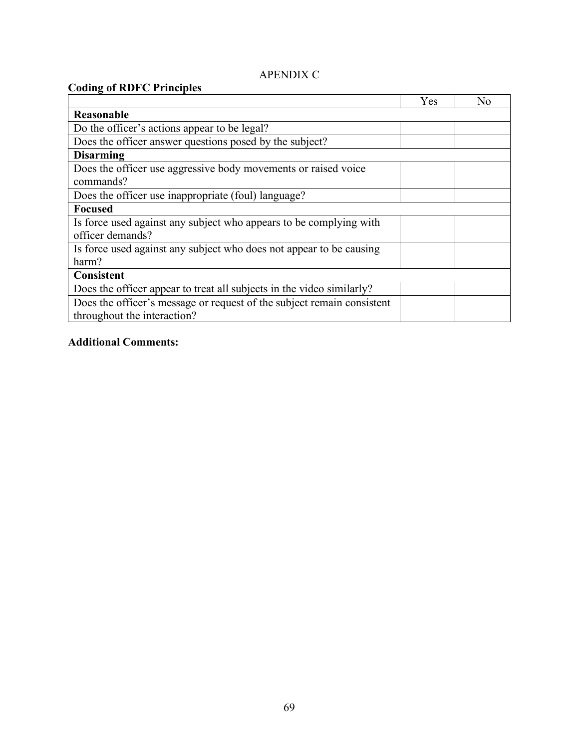# APENDIX C

| <b>Coding of RDFC Principles</b>                                                                      |     |                |
|-------------------------------------------------------------------------------------------------------|-----|----------------|
|                                                                                                       | Yes | N <sub>0</sub> |
| Reasonable                                                                                            |     |                |
| Do the officer's actions appear to be legal?                                                          |     |                |
| Does the officer answer questions posed by the subject?                                               |     |                |
| <b>Disarming</b>                                                                                      |     |                |
| Does the officer use aggressive body movements or raised voice<br>commands?                           |     |                |
| Does the officer use inappropriate (foul) language?                                                   |     |                |
| <b>Focused</b>                                                                                        |     |                |
| Is force used against any subject who appears to be complying with<br>officer demands?                |     |                |
| Is force used against any subject who does not appear to be causing<br>harm?                          |     |                |
| <b>Consistent</b>                                                                                     |     |                |
| Does the officer appear to treat all subjects in the video similarly?                                 |     |                |
| Does the officer's message or request of the subject remain consistent<br>throughout the interaction? |     |                |

# **Additional Comments:**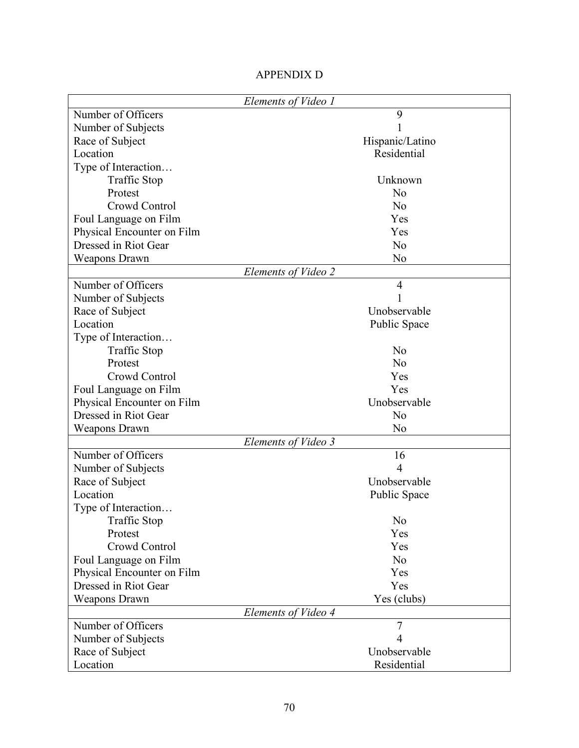|                            | Elements of Video 1 |
|----------------------------|---------------------|
| Number of Officers         | 9                   |
| Number of Subjects         |                     |
| Race of Subject            | Hispanic/Latino     |
| Location                   | Residential         |
| Type of Interaction        |                     |
| <b>Traffic Stop</b>        | Unknown             |
| Protest                    | N <sub>o</sub>      |
| Crowd Control              | N <sub>o</sub>      |
| Foul Language on Film      | Yes                 |
| Physical Encounter on Film | Yes                 |
| Dressed in Riot Gear       | N <sub>o</sub>      |
| <b>Weapons Drawn</b>       | N <sub>0</sub>      |
|                            | Elements of Video 2 |
| Number of Officers         | $\overline{4}$      |
| Number of Subjects         | 1                   |
| Race of Subject            | Unobservable        |
| Location                   | Public Space        |
| Type of Interaction        |                     |
| <b>Traffic Stop</b>        | N <sub>0</sub>      |
| Protest                    | N <sub>o</sub>      |
| Crowd Control              | Yes                 |
| Foul Language on Film      | Yes                 |
| Physical Encounter on Film | Unobservable        |
| Dressed in Riot Gear       | N <sub>o</sub>      |
| <b>Weapons Drawn</b>       | N <sub>0</sub>      |
|                            | Elements of Video 3 |
| Number of Officers         | 16                  |
| Number of Subjects         | 4                   |
| Race of Subject            | Unobservable        |
| Location                   | Public Space        |
| Type of Interaction        |                     |
| <b>Traffic Stop</b>        | No                  |
| Protest                    | Yes                 |
| Crowd Control              | Yes                 |
| Foul Language on Film      | N <sub>o</sub>      |
| Physical Encounter on Film | Yes                 |
| Dressed in Riot Gear       | Yes                 |
| <b>Weapons Drawn</b>       | Yes (clubs)         |
|                            | Elements of Video 4 |
| Number of Officers         | $\overline{7}$      |
| Number of Subjects         | 4                   |
| Race of Subject            | Unobservable        |
| Location                   | Residential         |

## APPENDIX D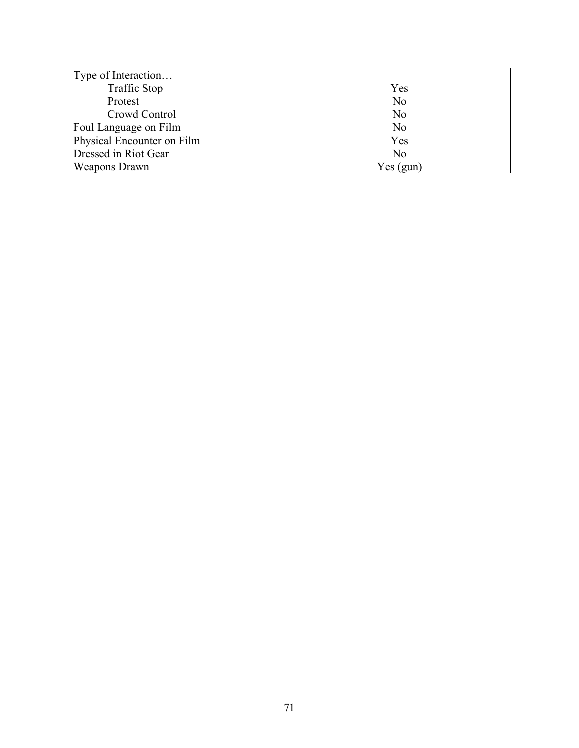| Type of Interaction        |                |
|----------------------------|----------------|
| <b>Traffic Stop</b>        | Yes            |
| Protest                    | N <sub>0</sub> |
| Crowd Control              | N <sub>0</sub> |
| Foul Language on Film      | N <sub>0</sub> |
| Physical Encounter on Film | Yes            |
| Dressed in Riot Gear       | N <sub>0</sub> |
| Weapons Drawn              | Yes(gun)       |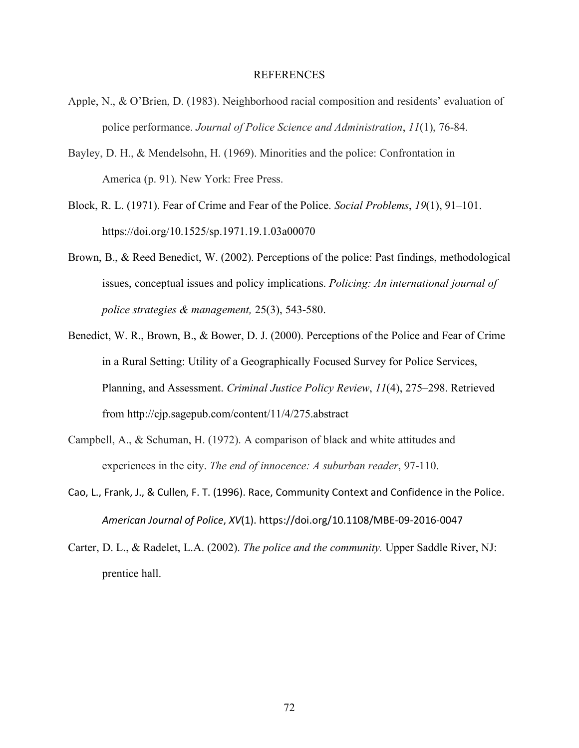#### REFERENCES

- Apple, N., & O'Brien, D. (1983). Neighborhood racial composition and residents' evaluation of police performance. *Journal of Police Science and Administration*, *11*(1), 76-84.
- Bayley, D. H., & Mendelsohn, H. (1969). Minorities and the police: Confrontation in America (p. 91). New York: Free Press.
- Block, R. L. (1971). Fear of Crime and Fear of the Police. *Social Problems*, *19*(1), 91–101. https://doi.org/10.1525/sp.1971.19.1.03a00070
- Brown, B., & Reed Benedict, W. (2002). Perceptions of the police: Past findings, methodological issues, conceptual issues and policy implications. *Policing: An international journal of police strategies & management,* 25(3), 543-580.
- Benedict, W. R., Brown, B., & Bower, D. J. (2000). Perceptions of the Police and Fear of Crime in a Rural Setting: Utility of a Geographically Focused Survey for Police Services, Planning, and Assessment. *Criminal Justice Policy Review*, *11*(4), 275–298. Retrieved from http://cjp.sagepub.com/content/11/4/275.abstract
- Campbell, A., & Schuman, H. (1972). A comparison of black and white attitudes and experiences in the city. *The end of innocence: A suburban reader*, 97-110.
- Cao, L., Frank, J., & Cullen, F. T. (1996). Race, Community Context and Confidence in the Police. *American Journal of Police*, *XV*(1). https://doi.org/10.1108/MBE-09-2016-0047
- Carter, D. L., & Radelet, L.A. (2002). *The police and the community.* Upper Saddle River, NJ: prentice hall.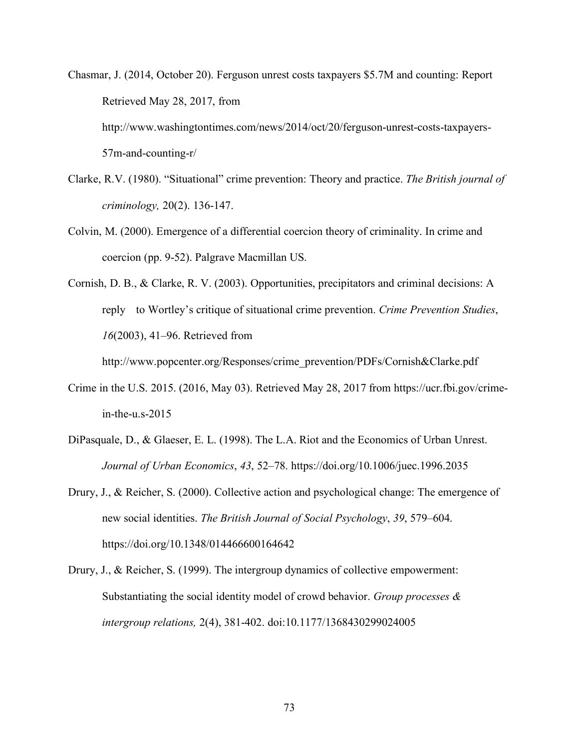Chasmar, J. (2014, October 20). Ferguson unrest costs taxpayers \$5.7M and counting: Report Retrieved May 28, 2017, from http://www.washingtontimes.com/news/2014/oct/20/ferguson-unrest-costs-taxpayers-57m-and-counting-r/

- Clarke, R.V. (1980). "Situational" crime prevention: Theory and practice. *The British journal of criminology,* 20(2). 136-147.
- Colvin, M. (2000). Emergence of a differential coercion theory of criminality. In crime and coercion (pp. 9-52). Palgrave Macmillan US.
- Cornish, D. B., & Clarke, R. V. (2003). Opportunities, precipitators and criminal decisions: A reply to Wortley's critique of situational crime prevention. *Crime Prevention Studies*, *16*(2003), 41–96. Retrieved from

http://www.popcenter.org/Responses/crime\_prevention/PDFs/Cornish&Clarke.pdf

- Crime in the U.S. 2015. (2016, May 03). Retrieved May 28, 2017 from https://ucr.fbi.gov/crimein-the-u.s-2015
- DiPasquale, D., & Glaeser, E. L. (1998). The L.A. Riot and the Economics of Urban Unrest. *Journal of Urban Economics*, *43*, 52–78. https://doi.org/10.1006/juec.1996.2035
- Drury, J., & Reicher, S. (2000). Collective action and psychological change: The emergence of new social identities. *The British Journal of Social Psychology*, *39*, 579–604. https://doi.org/10.1348/014466600164642
- Drury, J., & Reicher, S. (1999). The intergroup dynamics of collective empowerment: Substantiating the social identity model of crowd behavior. *Group processes & intergroup relations,* 2(4), 381-402. doi:10.1177/1368430299024005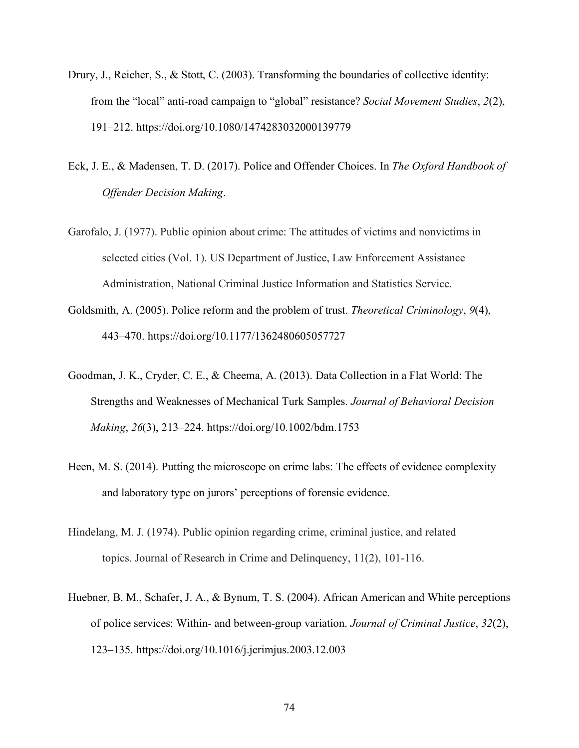- Drury, J., Reicher, S., & Stott, C. (2003). Transforming the boundaries of collective identity: from the "local" anti-road campaign to "global" resistance? *Social Movement Studies*, *2*(2), 191–212. https://doi.org/10.1080/1474283032000139779
- Eck, J. E., & Madensen, T. D. (2017). Police and Offender Choices. In *The Oxford Handbook of Offender Decision Making*.
- Garofalo, J. (1977). Public opinion about crime: The attitudes of victims and nonvictims in selected cities (Vol. 1). US Department of Justice, Law Enforcement Assistance Administration, National Criminal Justice Information and Statistics Service.
- Goldsmith, A. (2005). Police reform and the problem of trust. *Theoretical Criminology*, *9*(4), 443–470. https://doi.org/10.1177/1362480605057727
- Goodman, J. K., Cryder, C. E., & Cheema, A. (2013). Data Collection in a Flat World: The Strengths and Weaknesses of Mechanical Turk Samples. *Journal of Behavioral Decision Making*, *26*(3), 213–224. https://doi.org/10.1002/bdm.1753
- Heen, M. S. (2014). Putting the microscope on crime labs: The effects of evidence complexity and laboratory type on jurors' perceptions of forensic evidence.
- Hindelang, M. J. (1974). Public opinion regarding crime, criminal justice, and related topics. Journal of Research in Crime and Delinquency, 11(2), 101-116.
- Huebner, B. M., Schafer, J. A., & Bynum, T. S. (2004). African American and White perceptions of police services: Within- and between-group variation. *Journal of Criminal Justice*, *32*(2), 123–135. https://doi.org/10.1016/j.jcrimjus.2003.12.003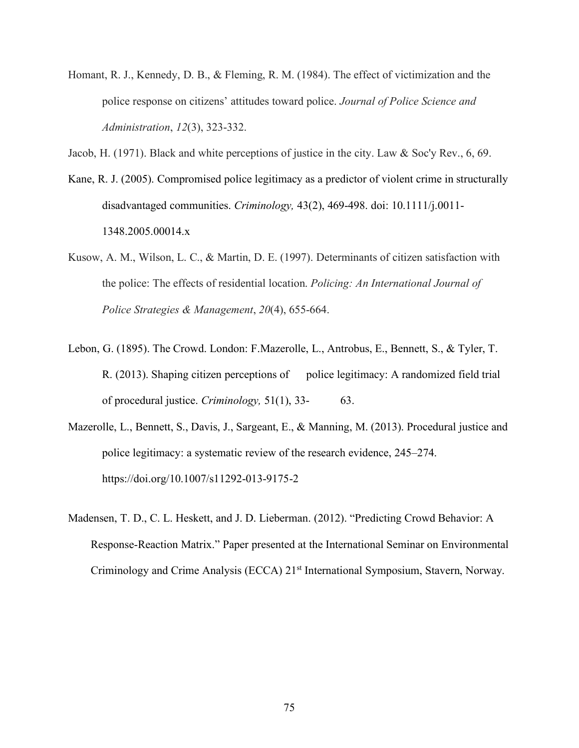- Homant, R. J., Kennedy, D. B., & Fleming, R. M. (1984). The effect of victimization and the police response on citizens' attitudes toward police. *Journal of Police Science and Administration*, *12*(3), 323-332.
- Jacob, H. (1971). Black and white perceptions of justice in the city. Law & Soc'y Rev., 6, 69.
- Kane, R. J. (2005). Compromised police legitimacy as a predictor of violent crime in structurally disadvantaged communities. *Criminology,* 43(2), 469-498. doi: 10.1111/j.0011- 1348.2005.00014.x
- Kusow, A. M., Wilson, L. C., & Martin, D. E. (1997). Determinants of citizen satisfaction with the police: The effects of residential location. *Policing: An International Journal of Police Strategies & Management*, *20*(4), 655-664.
- Lebon, G. (1895). The Crowd. London: F.Mazerolle, L., Antrobus, E., Bennett, S., & Tyler, T. R. (2013). Shaping citizen perceptions of police legitimacy: A randomized field trial of procedural justice. *Criminology,* 51(1), 33- 63.
- Mazerolle, L., Bennett, S., Davis, J., Sargeant, E., & Manning, M. (2013). Procedural justice and police legitimacy: a systematic review of the research evidence, 245–274. https://doi.org/10.1007/s11292-013-9175-2
- Madensen, T. D., C. L. Heskett, and J. D. Lieberman. (2012). "Predicting Crowd Behavior: A Response-Reaction Matrix." Paper presented at the International Seminar on Environmental Criminology and Crime Analysis (ECCA) 21<sup>st</sup> International Symposium, Stavern, Norway.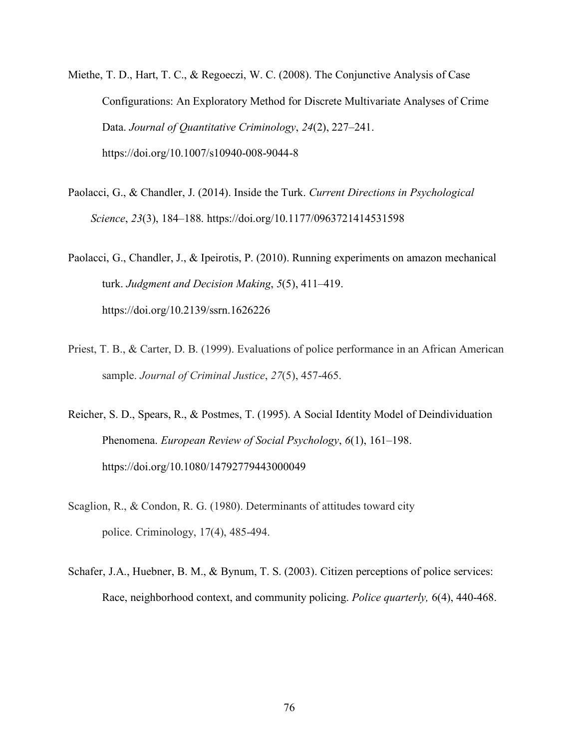- Miethe, T. D., Hart, T. C., & Regoeczi, W. C. (2008). The Conjunctive Analysis of Case Configurations: An Exploratory Method for Discrete Multivariate Analyses of Crime Data. *Journal of Quantitative Criminology*, *24*(2), 227–241. https://doi.org/10.1007/s10940-008-9044-8
- Paolacci, G., & Chandler, J. (2014). Inside the Turk. *Current Directions in Psychological Science*, *23*(3), 184–188. https://doi.org/10.1177/0963721414531598

Paolacci, G., Chandler, J., & Ipeirotis, P. (2010). Running experiments on amazon mechanical turk. *Judgment and Decision Making*, *5*(5), 411–419. https://doi.org/10.2139/ssrn.1626226

- Priest, T. B., & Carter, D. B. (1999). Evaluations of police performance in an African American sample. *Journal of Criminal Justice*, *27*(5), 457-465.
- Reicher, S. D., Spears, R., & Postmes, T. (1995). A Social Identity Model of Deindividuation Phenomena. *European Review of Social Psychology*, *6*(1), 161–198. https://doi.org/10.1080/14792779443000049
- Scaglion, R., & Condon, R. G. (1980). Determinants of attitudes toward city police. Criminology, 17(4), 485-494.
- Schafer, J.A., Huebner, B. M., & Bynum, T. S. (2003). Citizen perceptions of police services: Race, neighborhood context, and community policing. *Police quarterly,* 6(4), 440-468.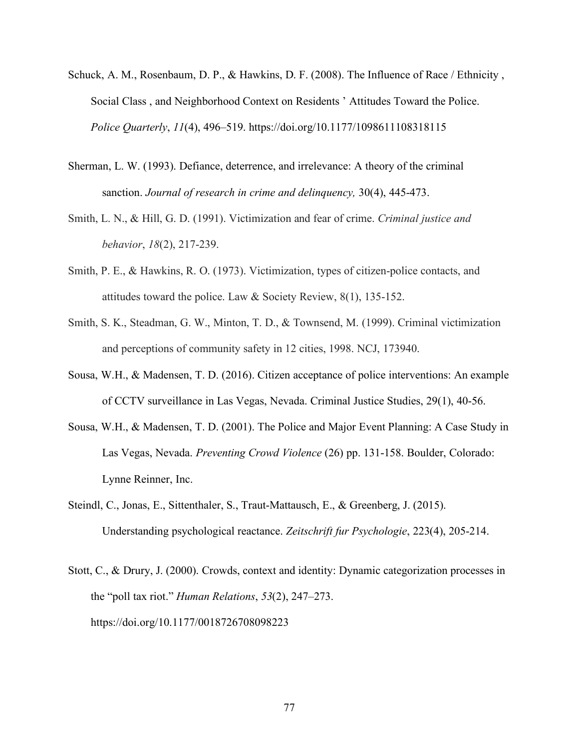- Schuck, A. M., Rosenbaum, D. P., & Hawkins, D. F. (2008). The Influence of Race / Ethnicity , Social Class , and Neighborhood Context on Residents ' Attitudes Toward the Police. *Police Quarterly*, *11*(4), 496–519. https://doi.org/10.1177/1098611108318115
- Sherman, L. W. (1993). Defiance, deterrence, and irrelevance: A theory of the criminal sanction. *Journal of research in crime and delinquency,* 30(4), 445-473.
- Smith, L. N., & Hill, G. D. (1991). Victimization and fear of crime. *Criminal justice and behavior*, *18*(2), 217-239.
- Smith, P. E., & Hawkins, R. O. (1973). Victimization, types of citizen-police contacts, and attitudes toward the police. Law & Society Review, 8(1), 135-152.
- Smith, S. K., Steadman, G. W., Minton, T. D., & Townsend, M. (1999). Criminal victimization and perceptions of community safety in 12 cities, 1998. NCJ, 173940.
- Sousa, W.H., & Madensen, T. D. (2016). Citizen acceptance of police interventions: An example of CCTV surveillance in Las Vegas, Nevada. Criminal Justice Studies, 29(1), 40-56.
- Sousa, W.H., & Madensen, T. D. (2001). The Police and Major Event Planning: A Case Study in Las Vegas, Nevada. *Preventing Crowd Violence* (26) pp. 131-158. Boulder, Colorado: Lynne Reinner, Inc.
- Steindl, C., Jonas, E., Sittenthaler, S., Traut-Mattausch, E., & Greenberg, J. (2015). Understanding psychological reactance. *Zeitschrift fur Psychologie*, 223(4), 205-214.
- Stott, C., & Drury, J. (2000). Crowds, context and identity: Dynamic categorization processes in the "poll tax riot." *Human Relations*, *53*(2), 247–273. https://doi.org/10.1177/0018726708098223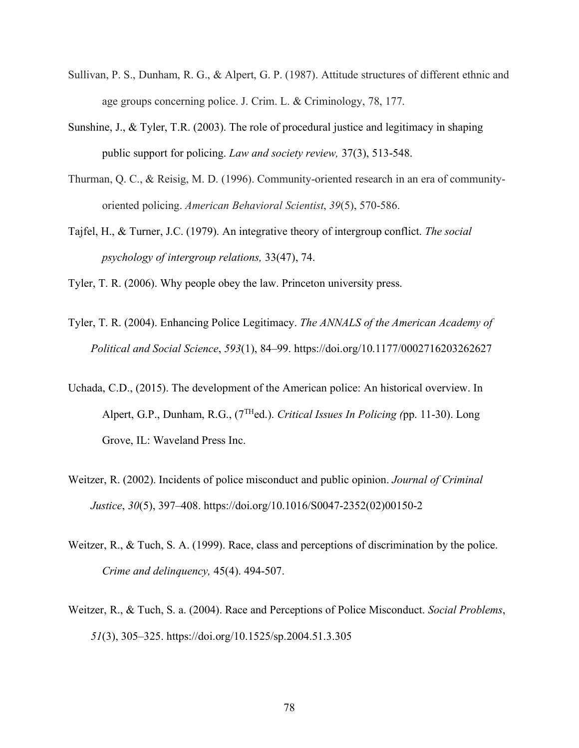- Sullivan, P. S., Dunham, R. G., & Alpert, G. P. (1987). Attitude structures of different ethnic and age groups concerning police. J. Crim. L. & Criminology, 78, 177.
- Sunshine, J., & Tyler, T.R. (2003). The role of procedural justice and legitimacy in shaping public support for policing. *Law and society review,* 37(3), 513-548.
- Thurman, Q. C., & Reisig, M. D. (1996). Community-oriented research in an era of communityoriented policing. *American Behavioral Scientist*, *39*(5), 570-586.
- Tajfel, H., & Turner, J.C. (1979). An integrative theory of intergroup conflict. *The social psychology of intergroup relations,* 33(47), 74.
- Tyler, T. R. (2006). Why people obey the law. Princeton university press.
- Tyler, T. R. (2004). Enhancing Police Legitimacy. *The ANNALS of the American Academy of Political and Social Science*, *593*(1), 84–99. https://doi.org/10.1177/0002716203262627
- Uchada, C.D., (2015). The development of the American police: An historical overview. In Alpert, G.P., Dunham, R.G., (7THed.). *Critical Issues In Policing (*pp. 11-30). Long Grove, IL: Waveland Press Inc.
- Weitzer, R. (2002). Incidents of police misconduct and public opinion. *Journal of Criminal Justice*, *30*(5), 397–408. https://doi.org/10.1016/S0047-2352(02)00150-2
- Weitzer, R., & Tuch, S. A. (1999). Race, class and perceptions of discrimination by the police. *Crime and delinquency,* 45(4). 494-507.
- Weitzer, R., & Tuch, S. a. (2004). Race and Perceptions of Police Misconduct. *Social Problems*, *51*(3), 305–325. https://doi.org/10.1525/sp.2004.51.3.305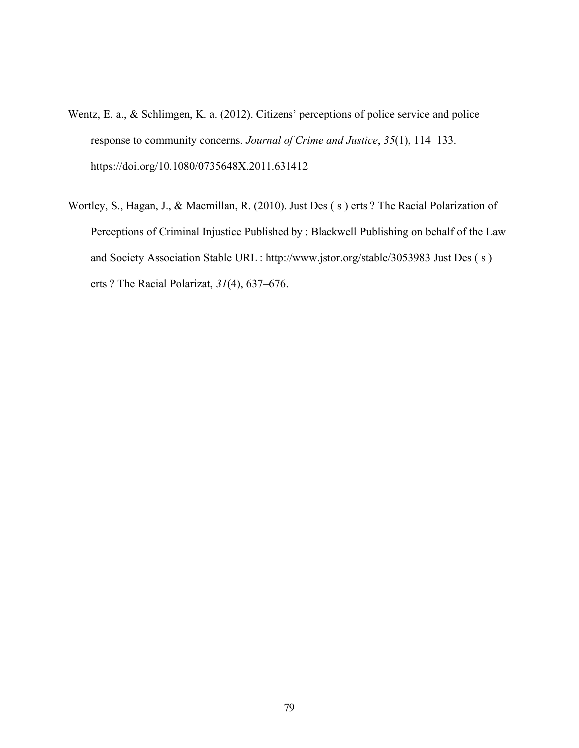- Wentz, E. a., & Schlimgen, K. a. (2012). Citizens' perceptions of police service and police response to community concerns. *Journal of Crime and Justice*, *35*(1), 114–133. https://doi.org/10.1080/0735648X.2011.631412
- Wortley, S., Hagan, J., & Macmillan, R. (2010). Just Des ( s ) erts ? The Racial Polarization of Perceptions of Criminal Injustice Published by : Blackwell Publishing on behalf of the Law and Society Association Stable URL : http://www.jstor.org/stable/3053983 Just Des ( s ) erts ? The Racial Polarizat, *31*(4), 637–676.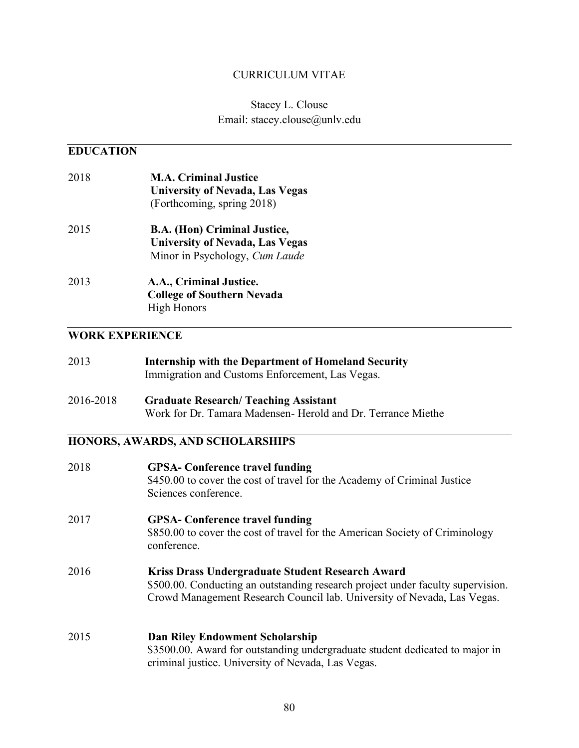#### CURRICULUM VITAE

## Stacey L. Clouse Email: stacey.clouse@unlv.edu

### **EDUCATION**

2018 **M.A. Criminal Justice University of Nevada, Las Vegas** (Forthcoming, spring 2018) 2015 **B.A. (Hon) Criminal Justice, University of Nevada, Las Vegas** Minor in Psychology, *Cum Laude* 2013 **A.A., Criminal Justice. College of Southern Nevada** High Honors

#### **WORK EXPERIENCE**

| 2013            | Internship with the Department of Homeland Security<br>Immigration and Customs Enforcement, Las Vegas. |  |
|-----------------|--------------------------------------------------------------------------------------------------------|--|
|                 |                                                                                                        |  |
| - - - - - - - - |                                                                                                        |  |

2016-2018 **Graduate Research/ Teaching Assistant** Work for Dr. Tamara Madensen- Herold and Dr. Terrance Miethe

## **HONORS, AWARDS, AND SCHOLARSHIPS**

| 2018 | <b>GPSA-</b> Conference travel funding<br>\$450.00 to cover the cost of travel for the Academy of Criminal Justice<br>Sciences conference.                                                                     |
|------|----------------------------------------------------------------------------------------------------------------------------------------------------------------------------------------------------------------|
| 2017 | <b>GPSA-</b> Conference travel funding<br>\$850.00 to cover the cost of travel for the American Society of Criminology<br>conference.                                                                          |
| 2016 | Kriss Drass Undergraduate Student Research Award<br>\$500.00. Conducting an outstanding research project under faculty supervision.<br>Crowd Management Research Council lab. University of Nevada, Las Vegas. |
| 2015 | <b>Dan Riley Endowment Scholarship</b><br>\$3500.00. Award for outstanding undergraduate student dedicated to major in<br>criminal justice. University of Nevada, Las Vegas.                                   |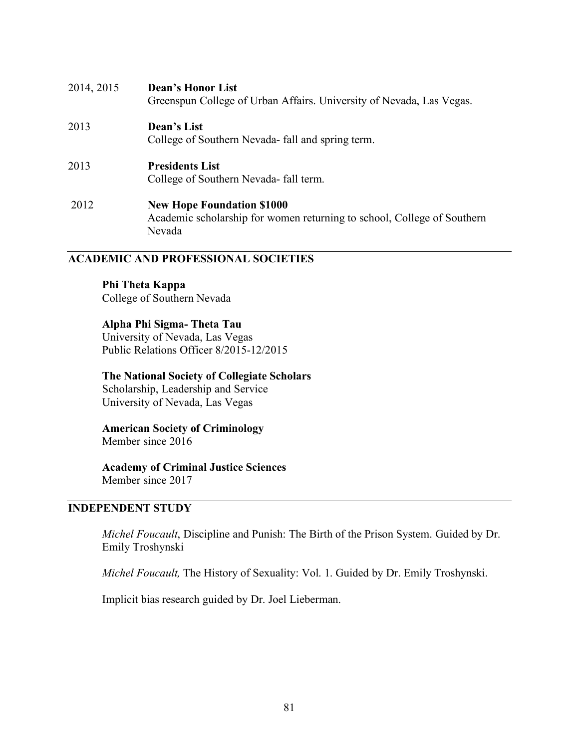| 2014, 2015 | <b>Dean's Honor List</b><br>Greenspun College of Urban Affairs. University of Nevada, Las Vegas.                       |
|------------|------------------------------------------------------------------------------------------------------------------------|
| 2013       | Dean's List<br>College of Southern Nevada- fall and spring term.                                                       |
| 2013       | <b>Presidents List</b><br>College of Southern Nevada- fall term.                                                       |
| 2012       | <b>New Hope Foundation \$1000</b><br>Academic scholarship for women returning to school, College of Southern<br>Nevada |

#### **ACADEMIC AND PROFESSIONAL SOCIETIES**

**Phi Theta Kappa**

College of Southern Nevada

### **Alpha Phi Sigma- Theta Tau**

University of Nevada, Las Vegas Public Relations Officer 8/2015-12/2015

### **The National Society of Collegiate Scholars**

Scholarship, Leadership and Service University of Nevada, Las Vegas

**American Society of Criminology**  Member since 2016

# **Academy of Criminal Justice Sciences**

Member since 2017

### **INDEPENDENT STUDY**

*Michel Foucault*, Discipline and Punish: The Birth of the Prison System. Guided by Dr. Emily Troshynski

*Michel Foucault,* The History of Sexuality: Vol. 1. Guided by Dr. Emily Troshynski.

Implicit bias research guided by Dr. Joel Lieberman.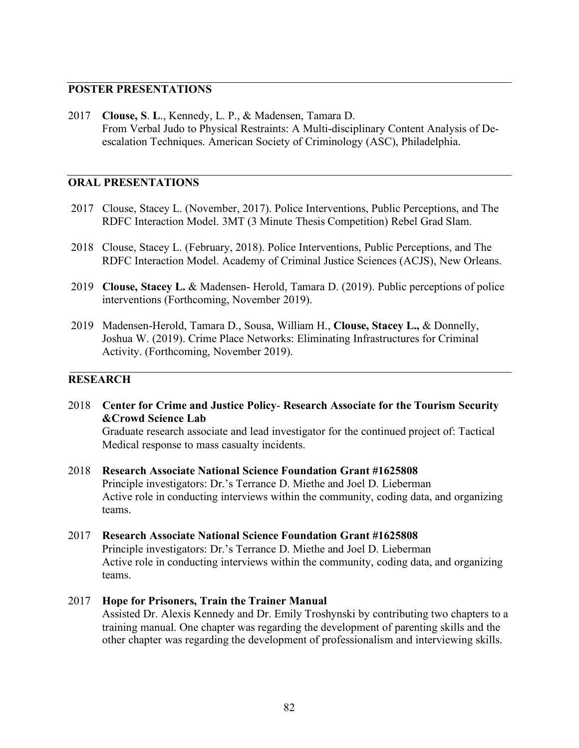### **POSTER PRESENTATIONS**

2017 **Clouse, S**. **L**., Kennedy, L. P., & Madensen, Tamara D. From Verbal Judo to Physical Restraints: A Multi-disciplinary Content Analysis of Deescalation Techniques. American Society of Criminology (ASC), Philadelphia.

### **ORAL PRESENTATIONS**

- 2017 Clouse, Stacey L. (November, 2017). Police Interventions, Public Perceptions, and The RDFC Interaction Model. 3MT (3 Minute Thesis Competition) Rebel Grad Slam.
- 2018 Clouse, Stacey L. (February, 2018). Police Interventions, Public Perceptions, and The RDFC Interaction Model. Academy of Criminal Justice Sciences (ACJS), New Orleans.
- 2019 **Clouse, Stacey L.** & Madensen- Herold, Tamara D. (2019). Public perceptions of police interventions (Forthcoming, November 2019).
- 2019 Madensen-Herold, Tamara D., Sousa, William H., **Clouse, Stacey L.,** & Donnelly, Joshua W. (2019). Crime Place Networks: Eliminating Infrastructures for Criminal Activity. (Forthcoming, November 2019).

## **RESEARCH**

2018 **Center for Crime and Justice Policy**- **Research Associate for the Tourism Security &Crowd Science Lab**

Graduate research associate and lead investigator for the continued project of: Tactical Medical response to mass casualty incidents.

- 2018 **Research Associate National Science Foundation Grant #1625808** Principle investigators: Dr.'s Terrance D. Miethe and Joel D. Lieberman Active role in conducting interviews within the community, coding data, and organizing teams.
- 2017 **Research Associate National Science Foundation Grant #1625808** Principle investigators: Dr.'s Terrance D. Miethe and Joel D. Lieberman Active role in conducting interviews within the community, coding data, and organizing teams.
- 2017 **Hope for Prisoners, Train the Trainer Manual** Assisted Dr. Alexis Kennedy and Dr. Emily Troshynski by contributing two chapters to a training manual. One chapter was regarding the development of parenting skills and the other chapter was regarding the development of professionalism and interviewing skills.